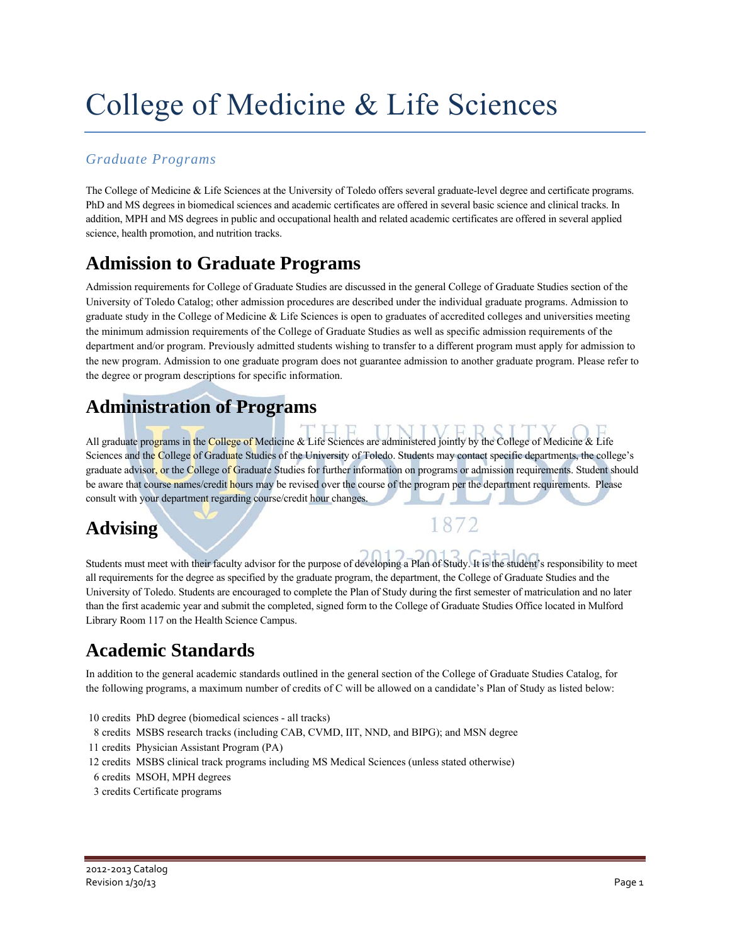# College of Medicine & Life Sciences

### *Graduate Programs*

The College of Medicine & Life Sciences at the University of Toledo offers several graduate-level degree and certificate programs. PhD and MS degrees in biomedical sciences and academic certificates are offered in several basic science and clinical tracks. In addition, MPH and MS degrees in public and occupational health and related academic certificates are offered in several applied science, health promotion, and nutrition tracks.

## **Admission to Graduate Programs**

Admission requirements for College of Graduate Studies are discussed in the general College of Graduate Studies section of the University of Toledo Catalog; other admission procedures are described under the individual graduate programs. Admission to graduate study in the College of Medicine & Life Sciences is open to graduates of accredited colleges and universities meeting the minimum admission requirements of the College of Graduate Studies as well as specific admission requirements of the department and/or program. Previously admitted students wishing to transfer to a different program must apply for admission to the new program. Admission to one graduate program does not guarantee admission to another graduate program. Please refer to the degree or program descriptions for specific information.

### **Administration of Programs**

All graduate programs in the College of Medicine & Life Sciences are administered jointly by the College of Medicine  $\&$  Life Sciences and the College of Graduate Studies of the University of Toledo. Students may contact specific departments, the college's graduate advisor, or the College of Graduate Studies for further information on programs or admission requirements. Student should be aware that course names/credit hours may be revised over the course of the program per the department requirements. Please consult with your department regarding course/credit hour changes.

1872

## **Advising**

Students must meet with their faculty advisor for the purpose of developing a Plan of Study. It is the student's responsibility to meet all requirements for the degree as specified by the graduate program, the department, the College of Graduate Studies and the University of Toledo. Students are encouraged to complete the Plan of Study during the first semester of matriculation and no later than the first academic year and submit the completed, signed form to the College of Graduate Studies Office located in Mulford Library Room 117 on the Health Science Campus.

## **Academic Standards**

In addition to the general academic standards outlined in the general section of the College of Graduate Studies Catalog, for the following programs, a maximum number of credits of C will be allowed on a candidate's Plan of Study as listed below:

- 10 credits PhD degree (biomedical sciences all tracks)
- 8 credits MSBS research tracks (including CAB, CVMD, IIT, NND, and BIPG); and MSN degree
- 11 credits Physician Assistant Program (PA)
- 12 credits MSBS clinical track programs including MS Medical Sciences (unless stated otherwise)
- 6 credits MSOH, MPH degrees
- 3 credits Certificate programs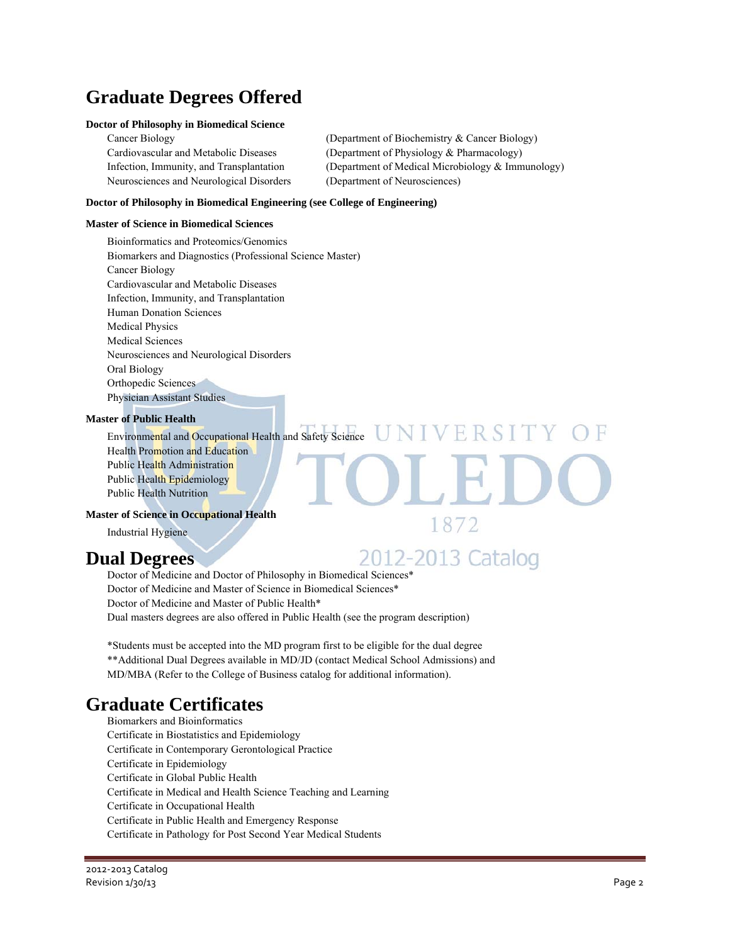## **Graduate Degrees Offered**

### **Doctor of Philosophy in Biomedical Science**

| Cancer Biology                           | (Department of Biochemistry & Cancer Biology)     |
|------------------------------------------|---------------------------------------------------|
| Cardiovascular and Metabolic Diseases    | (Department of Physiology & Pharmacology)         |
| Infection, Immunity, and Transplantation | (Department of Medical Microbiology & Immunology) |
| Neurosciences and Neurological Disorders | (Department of Neurosciences)                     |

#### **Doctor of Philosophy in Biomedical Engineering (see College of Engineering)**

#### **Master of Science in Biomedical Sciences**

Bioinformatics and Proteomics/Genomics Biomarkers and Diagnostics (Professional Science Master) Cancer Biology Cardiovascular and Metabolic Diseases Infection, Immunity, and Transplantation Human Donation Sciences Medical Physics Medical Sciences Neurosciences and Neurological Disorders Oral Biology Orthopedic Sciences Physician Assistant Studies

### **Master of Public Health**

Environmental and Occupational Health and Safety Science  $UNIVERSIT$ Health Promotion and Education Public Health Administration Public Health Epidemiology Public Health Nutrition

### **Master of Science in Occupational Health**

Industrial Hygiene

### **Dual Degrees**

2012-2013 Catalog

1872

Doctor of Medicine and Doctor of Philosophy in Biomedical Sciences\* Doctor of Medicine and Master of Science in Biomedical Sciences\* Doctor of Medicine and Master of Public Health\* Dual masters degrees are also offered in Public Health (see the program description)

\*Students must be accepted into the MD program first to be eligible for the dual degree \*\*Additional Dual Degrees available in MD/JD (contact Medical School Admissions) and MD/MBA (Refer to the College of Business catalog for additional information).

## **Graduate Certificates**

Biomarkers and Bioinformatics Certificate in Biostatistics and Epidemiology Certificate in Contemporary Gerontological Practice Certificate in Epidemiology Certificate in Global Public Health Certificate in Medical and Health Science Teaching and Learning Certificate in Occupational Health Certificate in Public Health and Emergency Response Certificate in Pathology for Post Second Year Medical Students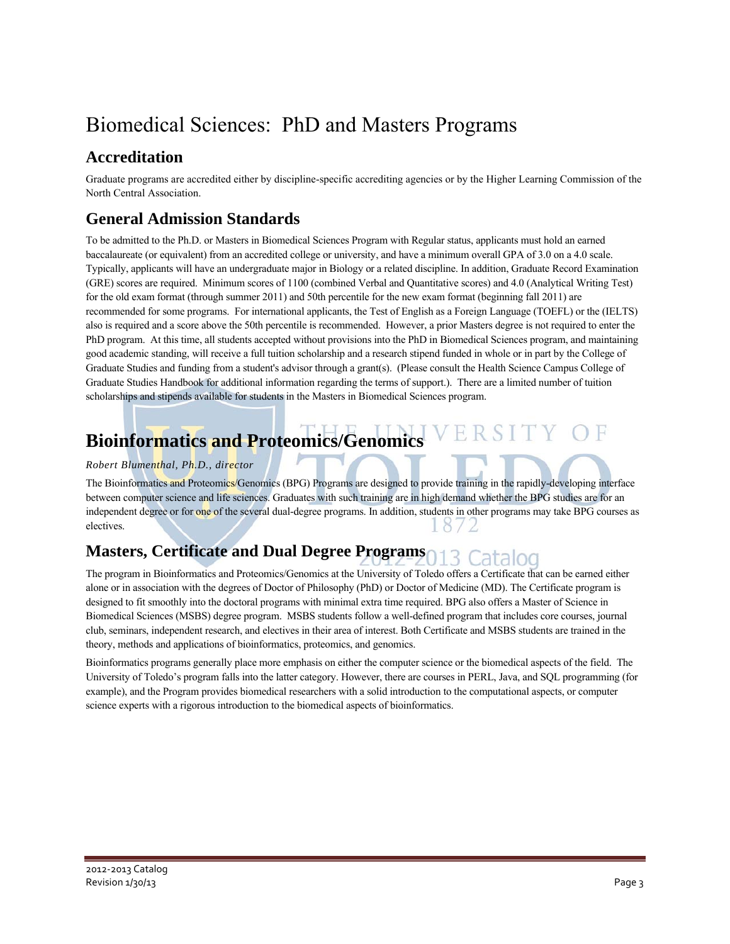## Biomedical Sciences: PhD and Masters Programs

### **Accreditation**

Graduate programs are accredited either by discipline-specific accrediting agencies or by the Higher Learning Commission of the North Central Association.

### **General Admission Standards**

To be admitted to the Ph.D. or Masters in Biomedical Sciences Program with Regular status, applicants must hold an earned baccalaureate (or equivalent) from an accredited college or university, and have a minimum overall GPA of 3.0 on a 4.0 scale. Typically, applicants will have an undergraduate major in Biology or a related discipline. In addition, Graduate Record Examination (GRE) scores are required. Minimum scores of 1100 (combined Verbal and Quantitative scores) and 4.0 (Analytical Writing Test) for the old exam format (through summer 2011) and 50th percentile for the new exam format (beginning fall 2011) are recommended for some programs. For international applicants, the Test of English as a Foreign Language (TOEFL) or the (IELTS) also is required and a score above the 50th percentile is recommended. However, a prior Masters degree is not required to enter the PhD program. At this time, all students accepted without provisions into the PhD in Biomedical Sciences program, and maintaining good academic standing, will receive a full tuition scholarship and a research stipend funded in whole or in part by the College of Graduate Studies and funding from a student's advisor through a grant(s). (Please consult the Health Science Campus College of Graduate Studies Handbook for additional information regarding the terms of support.). There are a limited number of tuition scholarships and stipends available for students in the Masters in Biomedical Sciences program.

### RSITY OF **Bioinformatics and Proteomics/Genomics**

### *Robert Blumenthal, Ph.D., director*

The Bioinformatics and Proteomics/Genomics (BPG) Programs are designed to provide training in the rapidly-developing interface between computer science and life sciences. Graduates with such training are in high demand whether the BPG studies are for an independent degree or for one of the several dual-degree programs. In addition, students in other programs may take BPG courses as electives.  $\delta/$ 

## **Masters, Certificate and Dual Degree Programs**

The program in Bioinformatics and Proteomics/Genomics at the University of Toledo offers a Certificate that can be earned either alone or in association with the degrees of Doctor of Philosophy (PhD) or Doctor of Medicine (MD). The Certificate program is designed to fit smoothly into the doctoral programs with minimal extra time required. BPG also offers a Master of Science in Biomedical Sciences (MSBS) degree program. MSBS students follow a well-defined program that includes core courses, journal club, seminars, independent research, and electives in their area of interest. Both Certificate and MSBS students are trained in the theory, methods and applications of bioinformatics, proteomics, and genomics.

Bioinformatics programs generally place more emphasis on either the computer science or the biomedical aspects of the field. The University of Toledo's program falls into the latter category. However, there are courses in PERL, Java, and SQL programming (for example), and the Program provides biomedical researchers with a solid introduction to the computational aspects, or computer science experts with a rigorous introduction to the biomedical aspects of bioinformatics.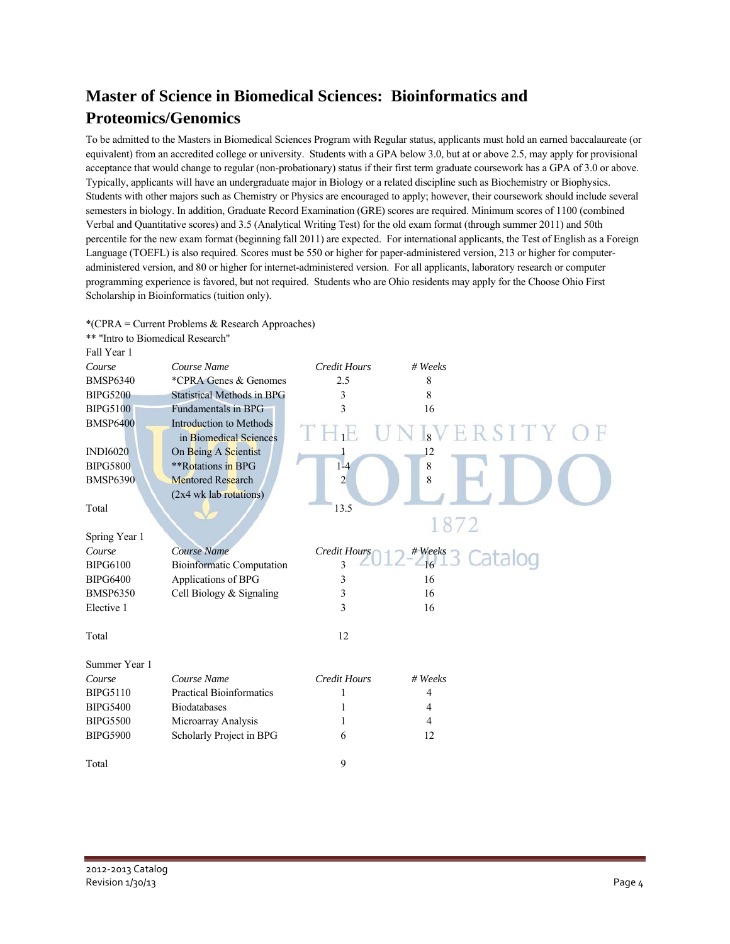## **Master of Science in Biomedical Sciences: Bioinformatics and Proteomics/Genomics**

To be admitted to the Masters in Biomedical Sciences Program with Regular status, applicants must hold an earned baccalaureate (or equivalent) from an accredited college or university. Students with a GPA below 3.0, but at or above 2.5, may apply for provisional acceptance that would change to regular (non-probationary) status if their first term graduate coursework has a GPA of 3.0 or above. Typically, applicants will have an undergraduate major in Biology or a related discipline such as Biochemistry or Biophysics. Students with other majors such as Chemistry or Physics are encouraged to apply; however, their coursework should include several semesters in biology. In addition, Graduate Record Examination (GRE) scores are required. Minimum scores of 1100 (combined Verbal and Quantitative scores) and 3.5 (Analytical Writing Test) for the old exam format (through summer 2011) and 50th percentile for the new exam format (beginning fall 2011) are expected. For international applicants, the Test of English as a Foreign Language (TOEFL) is also required. Scores must be 550 or higher for paper-administered version, 213 or higher for computeradministered version, and 80 or higher for internet-administered version. For all applicants, laboratory research or computer programming experience is favored, but not required. Students who are Ohio residents may apply for the Choose Ohio First Scholarship in Bioinformatics (tuition only).

\*(CPRA = Current Problems & Research Approaches)

| ** "Intro to Biomedical Research" |                                   |                     |                                |  |
|-----------------------------------|-----------------------------------|---------------------|--------------------------------|--|
| Fall Year 1                       |                                   |                     |                                |  |
| Course                            | Course Name                       | <b>Credit Hours</b> | # Weeks                        |  |
| <b>BMSP6340</b>                   | *CPRA Genes & Genomes             | 2.5                 | 8                              |  |
| <b>BIPG5200</b>                   | <b>Statistical Methods in BPG</b> | 3                   | 8                              |  |
| <b>BIPG5100</b>                   | <b>Fundamentals in BPG</b>        | 3                   | 16                             |  |
| <b>BMSP6400</b>                   | <b>Introduction to Methods</b>    |                     |                                |  |
|                                   | in Biomedical Sciences            |                     | $8\sqrt{E}$<br>RSIT            |  |
| <b>INDI6020</b>                   | On Being A Scientist              |                     | 12                             |  |
| <b>BIPG5800</b>                   | **Rotations in BPG                | $1-4$               | $\,8\,$                        |  |
| <b>BMSP6390</b>                   | <b>Mentored Research</b>          | $\overline{2}$      | 8                              |  |
|                                   | (2x4 wk lab rotations)            |                     |                                |  |
| Total                             |                                   | 13.5                |                                |  |
|                                   |                                   |                     | 1872                           |  |
| Spring Year 1                     |                                   |                     |                                |  |
| Course                            | Course Name                       | Credit Hours        | $4$ <sup>Weeks</sup> 3 Catalog |  |
| <b>BIPG6100</b>                   | <b>Bioinformatic Computation</b>  | $\overline{3}$      |                                |  |
| <b>BIPG6400</b>                   | Applications of BPG               | 3                   | 16                             |  |
| <b>BMSP6350</b>                   | Cell Biology & Signaling          | 3                   | 16                             |  |
| Elective 1                        |                                   | 3                   | 16                             |  |
|                                   |                                   |                     |                                |  |
| Total                             |                                   | 12                  |                                |  |
|                                   |                                   |                     |                                |  |
| Summer Year 1                     |                                   |                     |                                |  |
| Course                            | Course Name                       | <b>Credit Hours</b> | # Weeks                        |  |
| <b>BIPG5110</b>                   | <b>Practical Bioinformatics</b>   | 1                   | 4                              |  |
| <b>BIPG5400</b>                   | <b>Biodatabases</b>               | 1                   | 4                              |  |
| <b>BIPG5500</b>                   | Microarray Analysis               | 1                   | $\overline{4}$                 |  |
| <b>BIPG5900</b>                   | Scholarly Project in BPG          | 6                   | 12                             |  |
|                                   |                                   |                     |                                |  |
| Total                             |                                   | 9                   |                                |  |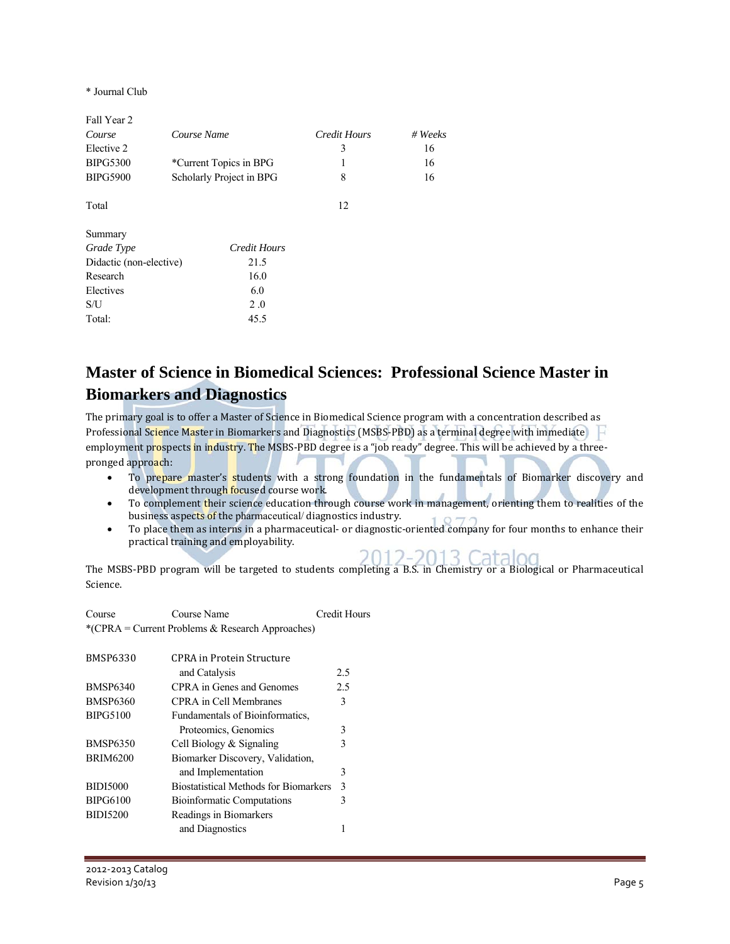\* Journal Club

| Course Name                     | Credit Hours | $# \nWeeks$ |
|---------------------------------|--------------|-------------|
|                                 | 3            | 16          |
| *Current Topics in BPG          |              | 16          |
| Scholarly Project in BPG        | 8            | 16          |
|                                 | 12           |             |
|                                 |              |             |
| Credit Hours                    |              |             |
| Didactic (non-elective)<br>21.5 |              |             |
| 16.0                            |              |             |
| 6.0                             |              |             |
| 2.0                             |              |             |
| 45.5                            |              |             |
|                                 |              |             |

### **Master of Science in Biomedical Sciences: Professional Science Master in Biomarkers and Diagnostics**

The primary goal is to offer a Master of Science in Biomedical Science program with a concentration described as Professional Science Master in Biomarkers and Diagnostics (MSBS-PBD) as a terminal degree with immediate employment prospects in industry. The MSBS-PBD degree is a "job ready" degree. This will be achieved by a threepronged approach:

- To prepare master's students with a strong foundation in the fundamentals of Biomarker discovery and development through focused course work.
- To complement their science education through course work in management, orienting them to realities of the business aspects of the pharmaceutical/diagnostics industry.
- To place them as interns in a pharmaceutical- or diagnostic-oriented company for four months to enhance their practical training and employability.

The MSBS-PBD program will be targeted to students completing a B.S. in Chemistry or a Biological or Pharmaceutical Science. 

| Course | Course Name                                      | Credit Hours |
|--------|--------------------------------------------------|--------------|
|        | *(CPRA = Current Problems & Research Approaches) |              |

| <b>BMSP6330</b> | <b>CPRA</b> in Protein Structure             |               |
|-----------------|----------------------------------------------|---------------|
|                 | and Catalysis                                | 2.5           |
| <b>BMSP6340</b> | CPRA in Genes and Genomes                    | 2.5           |
| <b>BMSP6360</b> | CPRA in Cell Membranes                       | 3             |
| <b>BIPG5100</b> | Fundamentals of Bioinformatics.              |               |
|                 | Proteomics, Genomics                         | 3             |
| <b>BMSP6350</b> | Cell Biology $&$ Signaling                   | 3             |
| <b>BRIM6200</b> | Biomarker Discovery, Validation,             |               |
|                 | and Implementation                           | 3             |
| <b>BIDI5000</b> | <b>Biostatistical Methods for Biomarkers</b> | $\mathcal{E}$ |
| <b>BIPG6100</b> | <b>Bioinformatic Computations</b>            | 3             |
| <b>BIDI5200</b> | Readings in Biomarkers                       |               |
|                 | and Diagnostics                              |               |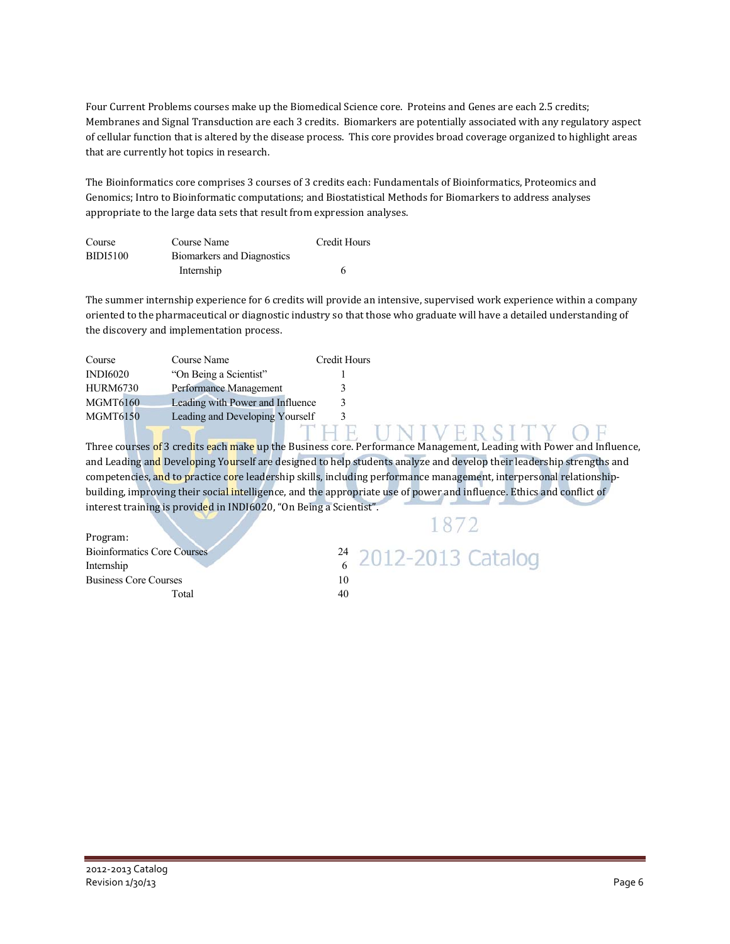Four Current Problems courses make up the Biomedical Science core. Proteins and Genes are each 2.5 credits; Membranes and Signal Transduction are each 3 credits. Biomarkers are potentially associated with any regulatory aspect of cellular function that is altered by the disease process. This core provides broad coverage organized to highlight areas that are currently hot topics in research.

The Bioinformatics core comprises 3 courses of 3 credits each: Fundamentals of Bioinformatics, Proteomics and Genomics; Intro to Bioinformatic computations; and Biostatistical Methods for Biomarkers to address analyses appropriate to the large data sets that result from expression analyses.

| Course          | Course Name                       | Credit Hours |
|-----------------|-----------------------------------|--------------|
| <b>BIDI5100</b> | <b>Biomarkers and Diagnostics</b> |              |
|                 | Internship                        |              |

The summer internship experience for 6 credits will provide an intensive, supervised work experience within a company oriented to the pharmaceutical or diagnostic industry so that those who graduate will have a detailed understanding of the discovery and implementation process.

| <b>Credit Hours</b><br>Course Name<br>Course             |  |
|----------------------------------------------------------|--|
| <b>INDI6020</b><br>"On Being a Scientist"                |  |
| <b>HURM6730</b><br>Performance Management                |  |
| <b>MGMT6160</b><br>Leading with Power and Influence<br>3 |  |
| <b>MGMT6150</b><br>Leading and Developing Yourself<br>3  |  |

Three courses of 3 credits each make up the Business core. Performance Management, Leading with Power and Influence, and Leading and Developing Yourself are designed to help students analyze and develop their leadership strengths and competencies, and to practice core leadership skills, including performance management, interpersonal relationshipbuilding, improving their social intelligence, and the appropriate use of power and influence. Ethics and conflict of interest training is provided in INDI6020, "On Being a Scientist".

| Program:                           |    |
|------------------------------------|----|
| <b>Bioinformatics Core Courses</b> | 24 |
| Internship                         |    |
| <b>Business Core Courses</b>       | 10 |
| Total                              |    |

1872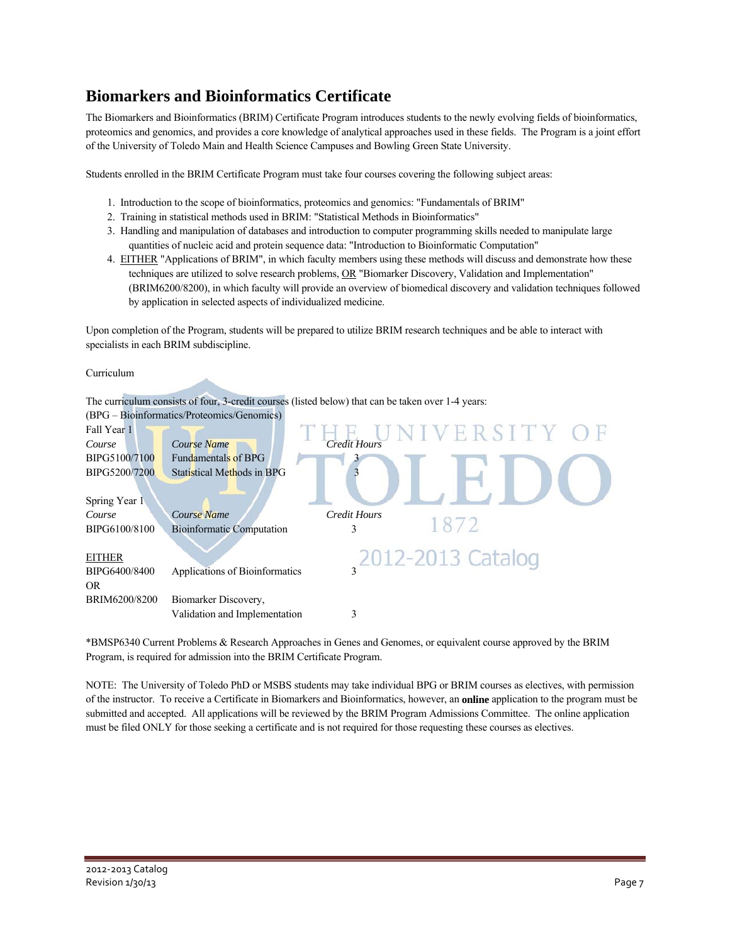### **Biomarkers and Bioinformatics Certificate**

The Biomarkers and Bioinformatics (BRIM) Certificate Program introduces students to the newly evolving fields of bioinformatics, proteomics and genomics, and provides a core knowledge of analytical approaches used in these fields. The Program is a joint effort of the University of Toledo Main and Health Science Campuses and Bowling Green State University.

Students enrolled in the BRIM Certificate Program must take four courses covering the following subject areas:

- 1. Introduction to the scope of bioinformatics, proteomics and genomics: "Fundamentals of BRIM"
- 2. Training in statistical methods used in BRIM: "Statistical Methods in Bioinformatics"
- 3. Handling and manipulation of databases and introduction to computer programming skills needed to manipulate large quantities of nucleic acid and protein sequence data: "Introduction to Bioinformatic Computation"
- 4. EITHER "Applications of BRIM", in which faculty members using these methods will discuss and demonstrate how these techniques are utilized to solve research problems, OR "Biomarker Discovery, Validation and Implementation" (BRIM6200/8200), in which faculty will provide an overview of biomedical discovery and validation techniques followed by application in selected aspects of individualized medicine.

Upon completion of the Program, students will be prepared to utilize BRIM research techniques and be able to interact with specialists in each BRIM subdiscipline.

Curriculum



\*BMSP6340 Current Problems & Research Approaches in Genes and Genomes, or equivalent course approved by the BRIM Program, is required for admission into the BRIM Certificate Program.

NOTE: The University of Toledo PhD or MSBS students may take individual BPG or BRIM courses as electives, with permission of the instructor. To receive a Certificate in Biomarkers and Bioinformatics, however, an **online** application to the program must be submitted and accepted. All applications will be reviewed by the BRIM Program Admissions Committee. The online application must be filed ONLY for those seeking a certificate and is not required for those requesting these courses as electives.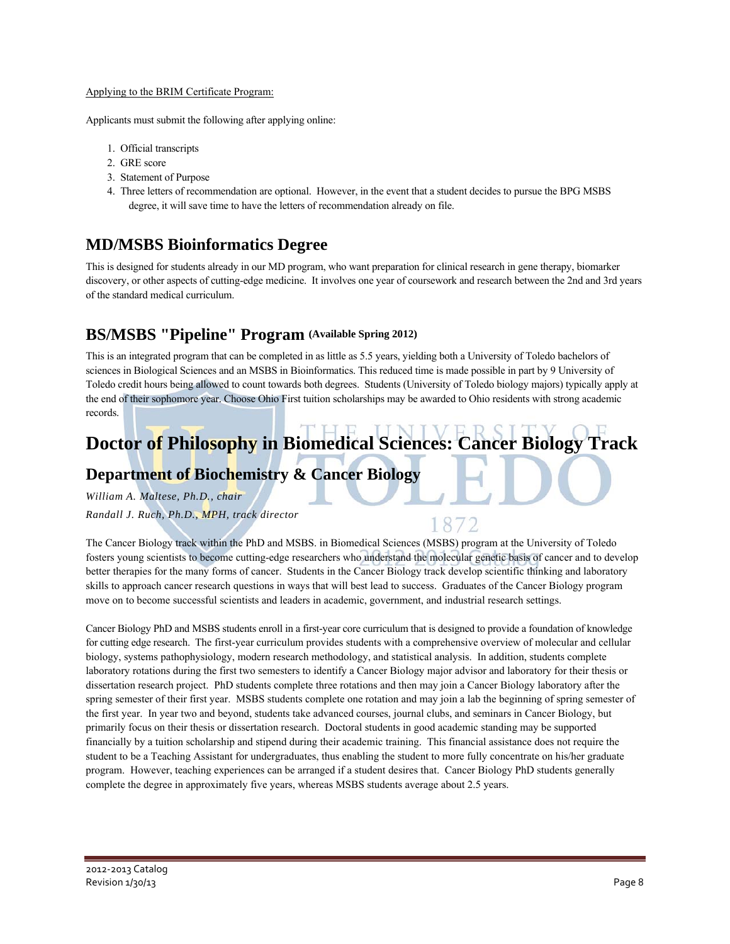#### Applying to the BRIM Certificate Program:

Applicants must submit the following after applying online:

- 1. Official transcripts
- 2. GRE score
- 3. Statement of Purpose
- 4. Three letters of recommendation are optional. However, in the event that a student decides to pursue the BPG MSBS degree, it will save time to have the letters of recommendation already on file.

### **MD/MSBS Bioinformatics Degree**

This is designed for students already in our MD program, who want preparation for clinical research in gene therapy, biomarker discovery, or other aspects of cutting-edge medicine. It involves one year of coursework and research between the 2nd and 3rd years of the standard medical curriculum.

### **BS/MSBS "Pipeline" Program (Available Spring 2012)**

This is an integrated program that can be completed in as little as 5.5 years, yielding both a University of Toledo bachelors of sciences in Biological Sciences and an MSBS in Bioinformatics. This reduced time is made possible in part by 9 University of Toledo credit hours being allowed to count towards both degrees. Students (University of Toledo biology majors) typically apply at the end of their sophomore year. Choose Ohio First tuition scholarships may be awarded to Ohio residents with strong academic records.

## **Doctor of Philosophy in Biomedical Sciences: Cancer Biology Track**

### **Department of Biochemistry & Cancer Biology**

*William A. Maltese, Ph.D., chair Randall J. Ruch, Ph.D., MPH, track director* 

The Cancer Biology track within the PhD and MSBS. in Biomedical Sciences (MSBS) program at the University of Toledo fosters young scientists to become cutting-edge researchers who understand the molecular genetic basis of cancer and to develop better therapies for the many forms of cancer. Students in the Cancer Biology track develop scientific thinking and laboratory skills to approach cancer research questions in ways that will best lead to success. Graduates of the Cancer Biology program move on to become successful scientists and leaders in academic, government, and industrial research settings.

8

Cancer Biology PhD and MSBS students enroll in a first-year core curriculum that is designed to provide a foundation of knowledge for cutting edge research. The first-year curriculum provides students with a comprehensive overview of molecular and cellular biology, systems pathophysiology, modern research methodology, and statistical analysis. In addition, students complete laboratory rotations during the first two semesters to identify a Cancer Biology major advisor and laboratory for their thesis or dissertation research project. PhD students complete three rotations and then may join a Cancer Biology laboratory after the spring semester of their first year. MSBS students complete one rotation and may join a lab the beginning of spring semester of the first year. In year two and beyond, students take advanced courses, journal clubs, and seminars in Cancer Biology, but primarily focus on their thesis or dissertation research. Doctoral students in good academic standing may be supported financially by a tuition scholarship and stipend during their academic training. This financial assistance does not require the student to be a Teaching Assistant for undergraduates, thus enabling the student to more fully concentrate on his/her graduate program. However, teaching experiences can be arranged if a student desires that. Cancer Biology PhD students generally complete the degree in approximately five years, whereas MSBS students average about 2.5 years.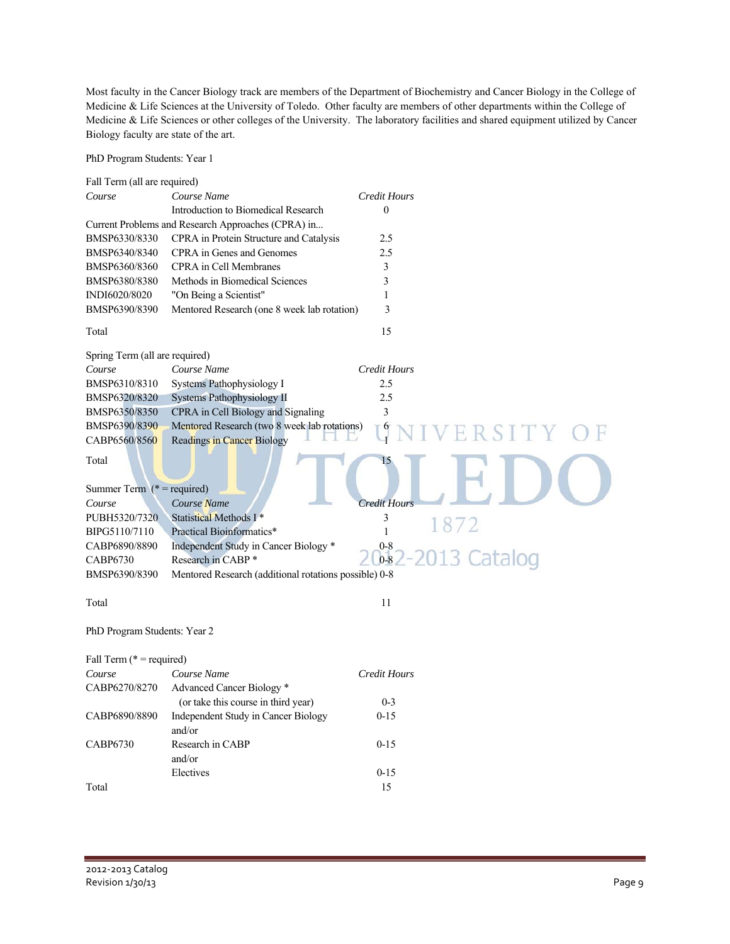Most faculty in the Cancer Biology track are members of the Department of Biochemistry and Cancer Biology in the College of Medicine & Life Sciences at the University of Toledo. Other faculty are members of other departments within the College of Medicine & Life Sciences or other colleges of the University. The laboratory facilities and shared equipment utilized by Cancer Biology faculty are state of the art.

PhD Program Students: Year 1

| Fall Term (all are required)                    |                                                       |                                                   |
|-------------------------------------------------|-------------------------------------------------------|---------------------------------------------------|
| Course                                          | Course Name                                           | <b>Credit Hours</b>                               |
|                                                 | Introduction to Biomedical Research                   | $\boldsymbol{0}$                                  |
|                                                 | Current Problems and Research Approaches (CPRA) in    |                                                   |
| BMSP6330/8330                                   | CPRA in Protein Structure and Catalysis               | 2.5                                               |
| BMSP6340/8340                                   | CPRA in Genes and Genomes                             | 2.5                                               |
| BMSP6360/8360                                   | <b>CPRA</b> in Cell Membranes                         | 3                                                 |
| BMSP6380/8380                                   | Methods in Biomedical Sciences                        | 3                                                 |
| INDI6020/8020                                   | "On Being a Scientist"                                | 1                                                 |
| BMSP6390/8390                                   | Mentored Research (one 8 week lab rotation)           | 3                                                 |
| Total                                           |                                                       | 15                                                |
| Spring Term (all are required)                  |                                                       |                                                   |
| Course                                          | Course Name                                           | <b>Credit Hours</b>                               |
| BMSP6310/8310                                   | Systems Pathophysiology I                             | 2.5                                               |
| BMSP6320/8320                                   | Systems Pathophysiology II                            | 2.5                                               |
| BMSP6350/8350                                   | CPRA in Cell Biology and Signaling                    | 3                                                 |
| BMSP6390/8390                                   | Mentored Research (two 8 week lab rotations)          | $\begin{array}{c} 6 \\ 1 \end{array}$<br>ERSITY O |
| CABP6560/8560                                   | <b>Readings in Cancer Biology</b>                     |                                                   |
| Total<br>Summer Term $(* = required)$<br>Course | Course Name                                           | 15<br><b>Credit Hours</b>                         |
| PUBH5320/7320                                   | Statistical Methods I*                                | 3                                                 |
| BIPG5110/7110                                   | Practical Bioinformatics*                             | 1872<br>$\mathbf{1}$                              |
| CABP6890/8890                                   | Independent Study in Cancer Biology *                 | $0 - 8$                                           |
| <b>CABP6730</b>                                 | Research in CABP <sup>*</sup>                         | 013 Catalog<br>$0-8$                              |
| BMSP6390/8390                                   | Mentored Research (additional rotations possible) 0-8 |                                                   |
|                                                 |                                                       |                                                   |
| Total                                           |                                                       | 11                                                |
| PhD Program Students: Year 2                    |                                                       |                                                   |
| Fall Term ( $* =$ required)                     |                                                       |                                                   |
| Course                                          | Course Name                                           | <b>Credit Hours</b>                               |
| CABP6270/8270                                   | Advanced Cancer Biology *                             |                                                   |
|                                                 | (or take this course in third year)                   | $0 - 3$                                           |
| CABP6890/8890                                   | Independent Study in Cancer Biology<br>and/or         | $0 - 15$                                          |
| CABP6730                                        | Research in CABP<br>and/or                            | $0 - 15$                                          |
|                                                 | Electives                                             | $0 - 15$                                          |
| Total                                           |                                                       | 15                                                |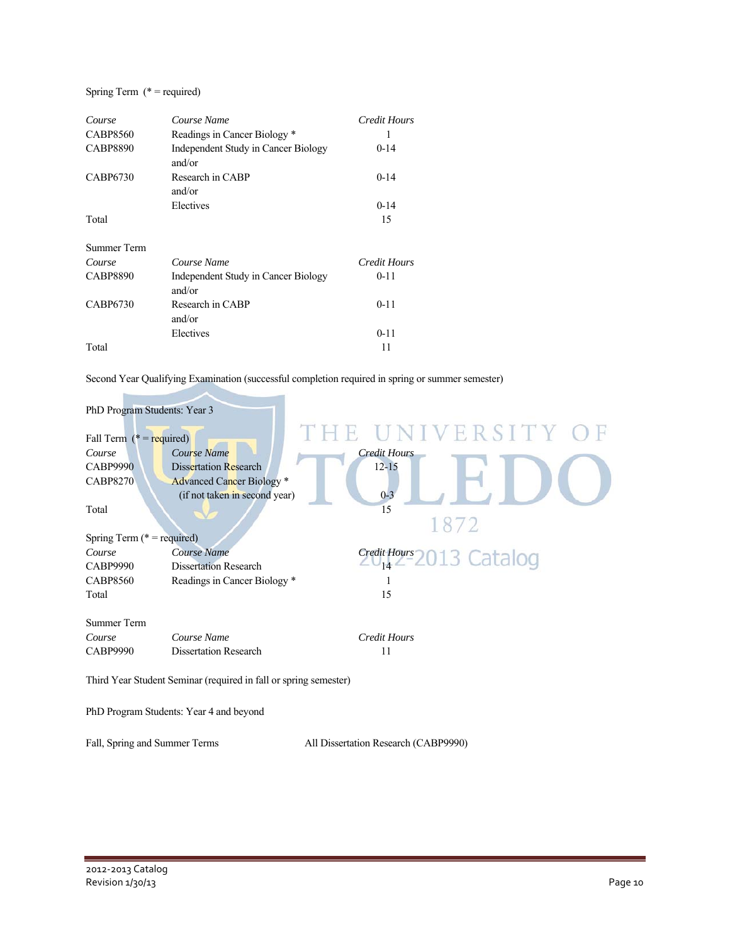### Spring Term (\* = required)

| Course          | Course Name                                   | Credit Hours        |
|-----------------|-----------------------------------------------|---------------------|
| <b>CABP8560</b> | Readings in Cancer Biology *                  |                     |
| <b>CABP8890</b> | Independent Study in Cancer Biology<br>and/or | $0-14$              |
| CABP6730        | Research in CABP<br>and/or                    | $0 - 14$            |
|                 | Electives                                     | $0 - 14$            |
| Total           |                                               | 15                  |
| Summer Term     |                                               |                     |
| Course          | Course Name                                   | <b>Credit Hours</b> |
| <b>CABP8890</b> | Independent Study in Cancer Biology<br>and/or | $0 - 11$            |
| CABP6730        | Research in CABP<br>and/or                    | $0 - 11$            |
|                 | Electives                                     | $0 - 11$            |
| Total           |                                               | 11                  |

Second Year Qualifying Examination (successful completion required in spring or summer semester)

| PhD Program Students: Year 3         |                                                                  |                     |                           |
|--------------------------------------|------------------------------------------------------------------|---------------------|---------------------------|
| Fall Term $(* = required)$<br>Course | Course Name                                                      | <b>Credit Hours</b> | THE UNIVERSITY OF         |
| <b>CABP9990</b><br><b>CABP8270</b>   | <b>Dissertation Research</b><br><b>Advanced Cancer Biology *</b> | $12 - 15$           |                           |
|                                      | (if not taken in second year)                                    | $0 - 3$             |                           |
| Total                                |                                                                  | 15                  | 1872                      |
| Spring Term ( $* =$ required)        |                                                                  |                     |                           |
| Course                               | Course Name                                                      |                     | Credit Hours 2013 Catalog |
| <b>CABP9990</b>                      | <b>Dissertation Research</b>                                     |                     |                           |
| <b>CABP8560</b>                      | Readings in Cancer Biology *                                     |                     |                           |
| Total                                |                                                                  | 15                  |                           |
| <b>Summer Term</b>                   |                                                                  |                     |                           |
| Course                               | Course Name                                                      | Credit Hours        |                           |
| <b>CABP9990</b>                      | <b>Dissertation Research</b>                                     | 11                  |                           |
|                                      | Third Year Student Seminar (required in fall or spring semester) |                     |                           |

PhD Program Students: Year 4 and beyond

Fall, Spring and Summer Terms All Dissertation Research (CABP9990)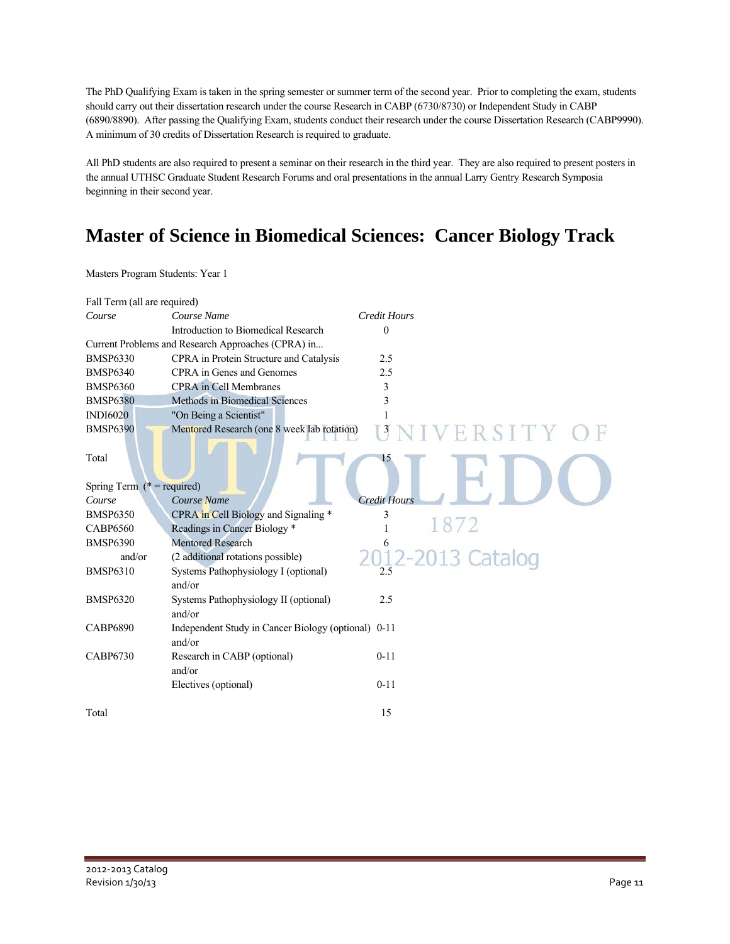The PhD Qualifying Exam is taken in the spring semester or summer term of the second year. Prior to completing the exam, students should carry out their dissertation research under the course Research in CABP (6730/8730) or Independent Study in CABP (6890/8890). After passing the Qualifying Exam, students conduct their research under the course Dissertation Research (CABP9990). A minimum of 30 credits of Dissertation Research is required to graduate.

All PhD students are also required to present a seminar on their research in the third year. They are also required to present posters in the annual UTHSC Graduate Student Research Forums and oral presentations in the annual Larry Gentry Research Symposia beginning in their second year.

## **Master of Science in Biomedical Sciences: Cancer Biology Track**

Masters Program Students: Year 1

| Fall Term (all are required)  |                                                               |                                             |
|-------------------------------|---------------------------------------------------------------|---------------------------------------------|
| Course                        | Course Name                                                   | <b>Credit Hours</b>                         |
|                               | Introduction to Biomedical Research                           | $\theta$                                    |
|                               | Current Problems and Research Approaches (CPRA) in            |                                             |
| <b>BMSP6330</b>               | CPRA in Protein Structure and Catalysis                       | 2.5                                         |
| <b>BMSP6340</b>               | CPRA in Genes and Genomes                                     | 2.5                                         |
| <b>BMSP6360</b>               | <b>CPRA</b> in Cell Membranes                                 | 3                                           |
| <b>BMSP6380</b>               | Methods in Biomedical Sciences                                | 3                                           |
| <b>INDI6020</b>               | "On Being a Scientist"                                        |                                             |
| <b>BMSP6390</b>               | Mentored Research (one 8 week lab rotation)                   | $\begin{bmatrix} 3 \end{bmatrix}$<br>ERSITY |
| Total                         |                                                               | 15                                          |
| Spring Term ( $*$ = required) |                                                               |                                             |
| Course                        | Course Name                                                   | <b>Credit Hours</b>                         |
| <b>BMSP6350</b>               | CPRA in Cell Biology and Signaling *                          | 3                                           |
| <b>CABP6560</b>               | Readings in Cancer Biology *                                  | 1872                                        |
| <b>BMSP6390</b>               | <b>Mentored Research</b>                                      | 6                                           |
| and/or                        | (2 additional rotations possible)                             | 013 Catalog                                 |
| <b>BMSP6310</b>               | Systems Pathophysiology I (optional)<br>and/or                | 2.5                                         |
| <b>BMSP6320</b>               | Systems Pathophysiology II (optional)<br>and/or               | 2.5                                         |
| <b>CABP6890</b>               | Independent Study in Cancer Biology (optional) 0-11<br>and/or |                                             |
| <b>CABP6730</b>               | Research in CABP (optional)<br>and/or                         | $0 - 11$                                    |
|                               | Electives (optional)                                          | $0 - 11$                                    |
| Total                         |                                                               | 15                                          |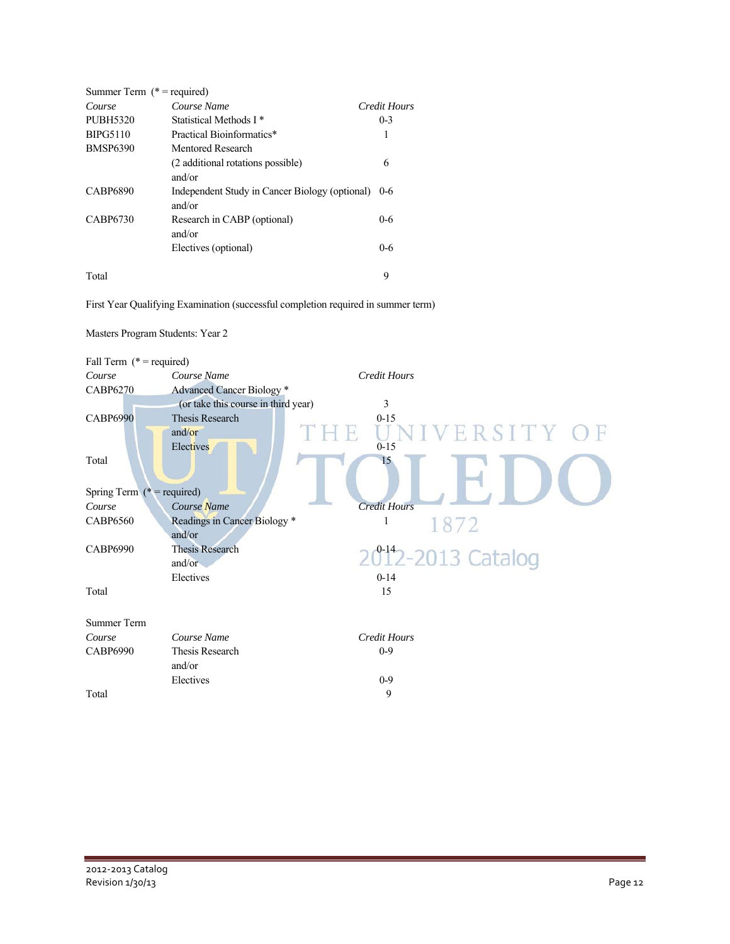| Summer Term $(*)$ = required) |                                                          |              |
|-------------------------------|----------------------------------------------------------|--------------|
| Course                        | Course Name                                              | Credit Hours |
| <b>PUBH5320</b>               | Statistical Methods I *                                  | $0-3$        |
| <b>BIPG5110</b>               | Practical Bioinformatics*                                | 1            |
| <b>BMSP6390</b>               | Mentored Research                                        |              |
|                               | (2 additional rotations possible)                        | 6            |
|                               | and/or                                                   |              |
| <b>CABP6890</b>               | Independent Study in Cancer Biology (optional)<br>and/or | $0 - 6$      |
| CABP6730                      | Research in CABP (optional)                              | $0 - 6$      |
|                               | and/or                                                   |              |
|                               | Electives (optional)                                     | $0 - 6$      |
| Total                         |                                                          | 9            |

First Year Qualifying Examination (successful completion required in summer term)



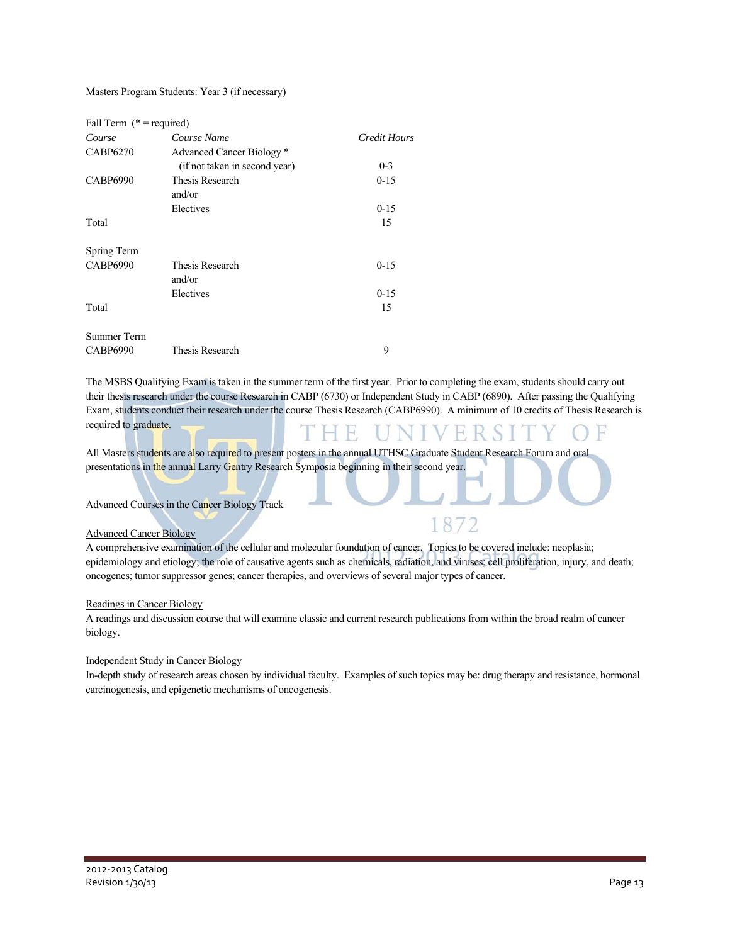#### Masters Program Students: Year 3 (if necessary)

| Fall Term $(* = required)$ |                                                            |              |
|----------------------------|------------------------------------------------------------|--------------|
| Course                     | Course Name                                                | Credit Hours |
| <b>CABP6270</b>            | Advanced Cancer Biology *<br>(if not taken in second year) | $0 - 3$      |
| <b>CABP6990</b>            | Thesis Research<br>and/or                                  | $0-15$       |
|                            | Electives                                                  | $0 - 15$     |
| Total                      |                                                            | 15           |
| Spring Term                |                                                            |              |
| <b>CABP6990</b>            | Thesis Research<br>and/or                                  | $0-15$       |
|                            | Electives                                                  | $0 - 15$     |
| Total                      |                                                            | 15           |
| Summer Term                |                                                            |              |
| CABP6990                   | Thesis Research                                            | 9            |

The MSBS Qualifying Exam is taken in the summer term of the first year. Prior to completing the exam, students should carry out their thesis research under the course Research in CABP (6730) or Independent Study in CABP (6890). After passing the Qualifying Exam, students conduct their research under the course Thesis Research (CABP6990). A minimum of 10 credits of Thesis Research is required to graduate. H ER.

All Masters students are also required to present posters in the annual UTHSC Graduate Student Research Forum and oral presentations in the annual Larry Gentry Research Symposia beginning in their second year.

### Advanced Courses in the Cancer Biology Track

#### Advanced Cancer Biology

A comprehensive examination of the cellular and molecular foundation of cancer. Topics to be covered include: neoplasia; epidemiology and etiology; the role of causative agents such as chemicals, radiation, and viruses; cell proliferation, injury, and death; oncogenes; tumor suppressor genes; cancer therapies, and overviews of several major types of cancer.

8

#### Readings in Cancer Biology

A readings and discussion course that will examine classic and current research publications from within the broad realm of cancer biology.

#### Independent Study in Cancer Biology

In-depth study of research areas chosen by individual faculty. Examples of such topics may be: drug therapy and resistance, hormonal carcinogenesis, and epigenetic mechanisms of oncogenesis.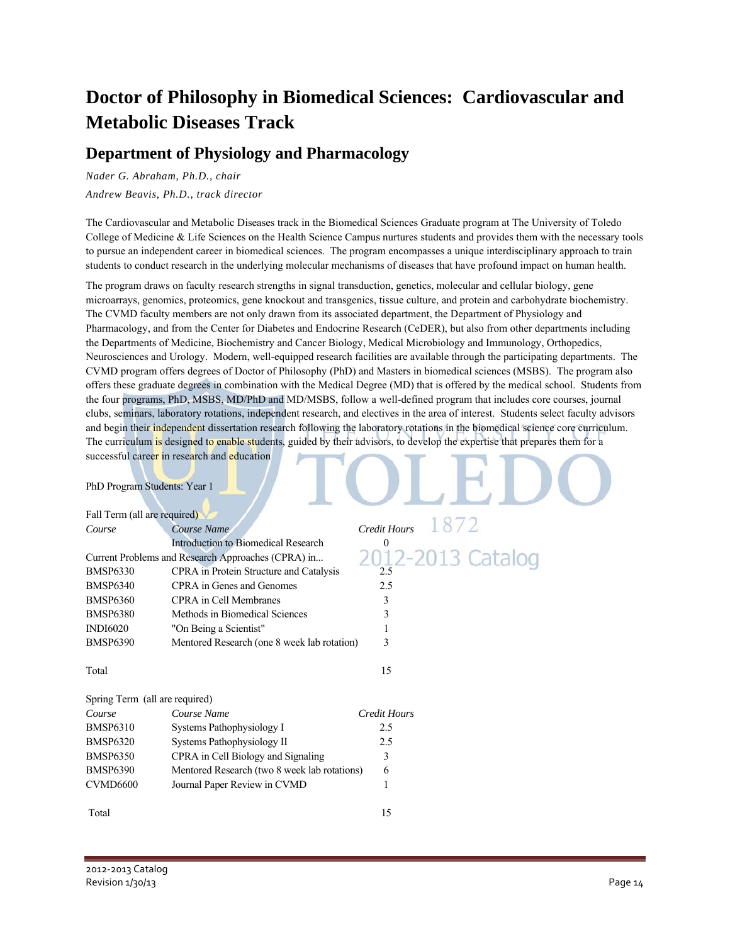## **Doctor of Philosophy in Biomedical Sciences: Cardiovascular and Metabolic Diseases Track**

### **Department of Physiology and Pharmacology**

*Nader G. Abraham, Ph.D., chair Andrew Beavis, Ph.D., track director* 

The Cardiovascular and Metabolic Diseases track in the Biomedical Sciences Graduate program at The University of Toledo College of Medicine & Life Sciences on the Health Science Campus nurtures students and provides them with the necessary tools to pursue an independent career in biomedical sciences. The program encompasses a unique interdisciplinary approach to train students to conduct research in the underlying molecular mechanisms of diseases that have profound impact on human health.

The program draws on faculty research strengths in signal transduction, genetics, molecular and cellular biology, gene microarrays, genomics, proteomics, gene knockout and transgenics, tissue culture, and protein and carbohydrate biochemistry. The CVMD faculty members are not only drawn from its associated department, the Department of Physiology and Pharmacology, and from the Center for Diabetes and Endocrine Research (CeDER), but also from other departments including the Departments of Medicine, Biochemistry and Cancer Biology, Medical Microbiology and Immunology, Orthopedics, Neurosciences and Urology. Modern, well-equipped research facilities are available through the participating departments. The CVMD program offers degrees of Doctor of Philosophy (PhD) and Masters in biomedical sciences (MSBS). The program also offers these graduate degrees in combination with the Medical Degree (MD) that is offered by the medical school. Students from the four programs, PhD, MSBS, MD/PhD and MD/MSBS, follow a well-defined program that includes core courses, journal clubs, seminars, laboratory rotations, independent research, and electives in the area of interest. Students select faculty advisors and begin their independent dissertation research following the laboratory rotations in the biomedical science core curriculum. The curriculum is designed to enable students, guided by their advisors, to develop the expertise that prepares them for a successful career in research and education  $\Omega$ 

PhD Program Students: Year 1

| Fall Term (all are required)   |                                                    |                     |                  |
|--------------------------------|----------------------------------------------------|---------------------|------------------|
| Course                         | Course Name                                        | Credit Hours        | 18/2             |
|                                | Introduction to Biomedical Research                | $\mathbf{0}$        |                  |
|                                | Current Problems and Research Approaches (CPRA) in |                     | 2012-2013 Catalo |
| <b>BMSP6330</b>                | <b>CPRA</b> in Protein Structure and Catalysis     | 2.5                 |                  |
| <b>BMSP6340</b>                | CPRA in Genes and Genomes                          | 2.5                 |                  |
| <b>BMSP6360</b>                | <b>CPRA</b> in Cell Membranes                      | 3                   |                  |
| <b>BMSP6380</b>                | Methods in Biomedical Sciences                     | 3                   |                  |
| <b>INDI6020</b>                | "On Being a Scientist"                             | 1                   |                  |
| <b>BMSP6390</b>                | Mentored Research (one 8 week lab rotation)        | 3                   |                  |
|                                |                                                    |                     |                  |
| Total                          |                                                    | 15                  |                  |
|                                |                                                    |                     |                  |
| Spring Term (all are required) |                                                    |                     |                  |
| Course                         | Course Name                                        | <b>Credit Hours</b> |                  |
| <b>BMSP6310</b>                | Systems Pathophysiology I                          | 2.5                 |                  |
| <b>BMSP6320</b>                | Systems Pathophysiology II                         | 2.5                 |                  |
| <b>BMSP6350</b>                | CPRA in Cell Biology and Signaling                 | 3                   |                  |
| <b>BMSP6390</b>                | Mentored Research (two 8 week lab rotations)       | 6                   |                  |
| CVMD6600                       | Journal Paper Review in CVMD                       | 1                   |                  |
|                                |                                                    |                     |                  |
| Total                          |                                                    | 15                  |                  |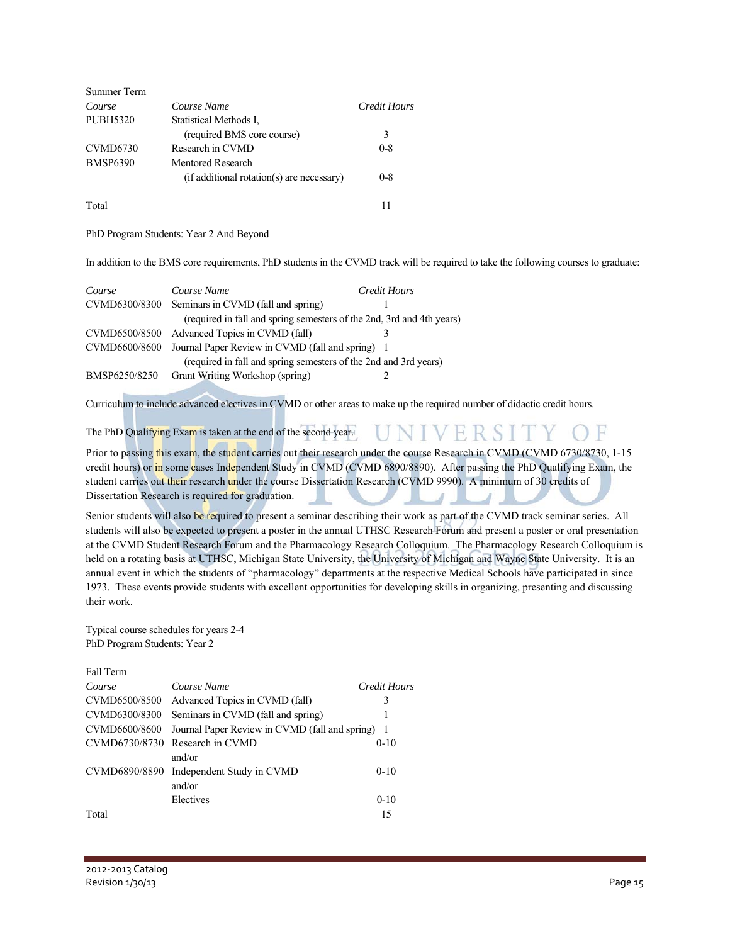| Summer Term     |                                           |              |
|-----------------|-------------------------------------------|--------------|
| Course          | Course Name                               | Credit Hours |
| <b>PUBH5320</b> | Statistical Methods I.                    |              |
|                 | (required BMS core course)                | 3            |
| CVMD6730        | Research in CVMD                          | $0 - 8$      |
| <b>BMSP6390</b> | Mentored Research                         |              |
|                 | (if additional rotation(s) are necessary) | $0 - 8$      |
| Total           |                                           | 11           |

PhD Program Students: Year 2 And Beyond

In addition to the BMS core requirements, PhD students in the CVMD track will be required to take the following courses to graduate:

| Course        | Course Name                                                           | Credit Hours |
|---------------|-----------------------------------------------------------------------|--------------|
|               | CVMD6300/8300 Seminars in CVMD (fall and spring)                      |              |
|               | (required in fall and spring semesters of the 2nd, 3rd and 4th years) |              |
|               | CVMD6500/8500 Advanced Topics in CVMD (fall)                          |              |
| CVMD6600/8600 | Journal Paper Review in CVMD (fall and spring) 1                      |              |
|               | (required in fall and spring semesters of the 2nd and 3rd years)      |              |
| BMSP6250/8250 | Grant Writing Workshop (spring)                                       |              |

Curriculum to include advanced electives in CVMD or other areas to make up the required number of didactic credit hours.

The PhD Qualifying Exam is taken at the end of the second year.

Prior to passing this exam, the student carries out their research under the course Research in CVMD (CVMD 6730/8730, 1-15) credit hours) or in some cases Independent Study in CVMD (CVMD 6890/8890). After passing the PhD Qualifying Exam, the student carries out their research under the course Dissertation Research (CVMD 9990). A minimum of 30 credits of Dissertation Research is required for graduation.

UNIVERSITY.

Senior students will also be required to present a seminar describing their work as part of the CVMD track seminar series. All students will also be expected to present a poster in the annual UTHSC Research Forum and present a poster or oral presentation at the CVMD Student Research Forum and the Pharmacology Research Colloquium. The Pharmacology Research Colloquium is held on a rotating basis at UTHSC, Michigan State University, the University of Michigan and Wayne State University. It is an annual event in which the students of "pharmacology" departments at the respective Medical Schools have participated in since 1973. These events provide students with excellent opportunities for developing skills in organizing, presenting and discussing their work.

Typical course schedules for years 2-4 PhD Program Students: Year 2

| ған тепп      |                                                |                |
|---------------|------------------------------------------------|----------------|
| Course        | Course Name                                    | Credit Hours   |
| CVMD6500/8500 | Advanced Topics in CVMD (fall)                 | 3              |
| CVMD6300/8300 | Seminars in CVMD (fall and spring)             |                |
| CVMD6600/8600 | Journal Paper Review in CVMD (fall and spring) | $\overline{1}$ |
| CVMD6730/8730 | Research in CVMD                               | $0-10$         |
|               | and/or                                         |                |
| CVMD6890/8890 | Independent Study in CVMD                      | $0 - 10$       |
|               | and/or                                         |                |
|               | Electives                                      | $0 - 10$       |
| Total         |                                                | 15             |
|               |                                                |                |

Fall Term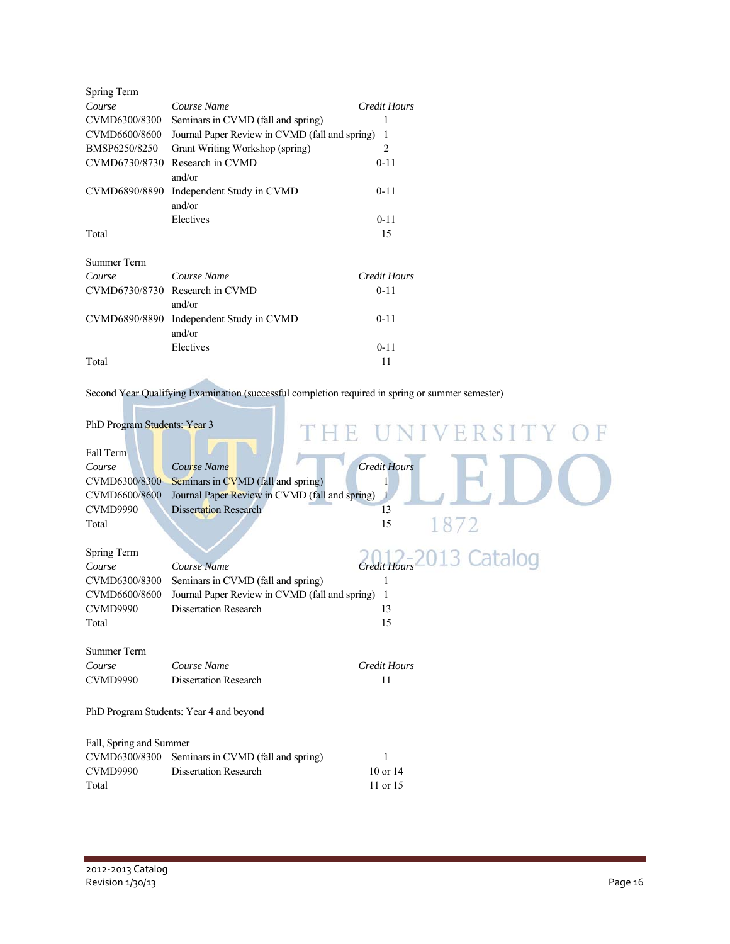| Spring Term   |                                                |                |
|---------------|------------------------------------------------|----------------|
| Course        | Course Name                                    | Credit Hours   |
| CVMD6300/8300 | Seminars in CVMD (fall and spring)             |                |
| CVMD6600/8600 | Journal Paper Review in CVMD (fall and spring) | 1              |
| BMSP6250/8250 | Grant Writing Workshop (spring)                | $\overline{2}$ |
| CVMD6730/8730 | Research in CVMD                               | $0 - 11$       |
|               | and/or                                         |                |
| CVMD6890/8890 | Independent Study in CVMD                      | $0 - 11$       |
|               | and/or                                         |                |
|               | Electives                                      | $0 - 11$       |
| Total         |                                                | 15             |
| Summer Term   |                                                |                |
| Course        | Course Name                                    | Credit Hours   |
| CVMD6730/8730 | Research in CVMD                               | $0 - 11$       |
|               | and/or                                         |                |
| CVMD6890/8890 | Independent Study in CVMD                      | $0 - 11$       |
|               | and/or                                         |                |
|               | Electives                                      | $0 - 11$       |
| Total         |                                                | 11             |

Second Year Qualifying Examination (successful completion required in spring or summer semester)

| PhD Program Students: Year 3 |                                                |                     | THE UNIVERSITY |
|------------------------------|------------------------------------------------|---------------------|----------------|
| Fall Term                    |                                                |                     |                |
| Course                       | Course Name                                    | <b>Credit Hours</b> |                |
| CVMD6300/8300                | Seminars in CVMD (fall and spring)             |                     |                |
| CVMD6600/8600                | Journal Paper Review in CVMD (fall and spring) |                     |                |
| <b>CVMD9990</b>              | <b>Dissertation Research</b>                   | 13                  |                |
| Total                        |                                                | 15                  | 1872           |
|                              |                                                |                     |                |
| Spring Term                  |                                                |                     |                |
| Course                       | Course Name                                    | Credit Hours        | 013 Catalog    |
| CVMD6300/8300                | Seminars in CVMD (fall and spring)             | $\mathbf{1}$        |                |
| CVMD6600/8600                | Journal Paper Review in CVMD (fall and spring) | $\overline{1}$      |                |
| <b>CVMD9990</b>              | <b>Dissertation Research</b>                   | 13                  |                |
| Total                        |                                                | 15                  |                |
|                              |                                                |                     |                |
| <b>Summer Term</b>           |                                                |                     |                |
| Course                       | Course Name                                    | <b>Credit Hours</b> |                |
| <b>CVMD9990</b>              | <b>Dissertation Research</b>                   | 11                  |                |
|                              |                                                |                     |                |
|                              | PhD Program Students: Year 4 and beyond        |                     |                |
|                              |                                                |                     |                |
| Fall, Spring and Summer      |                                                |                     |                |
| CVMD6300/8300                | Seminars in CVMD (fall and spring)             | 1                   |                |
| <b>CVMD9990</b>              | <b>Dissertation Research</b>                   | $10$ or $14$        |                |
| Total                        |                                                | 11 or 15            |                |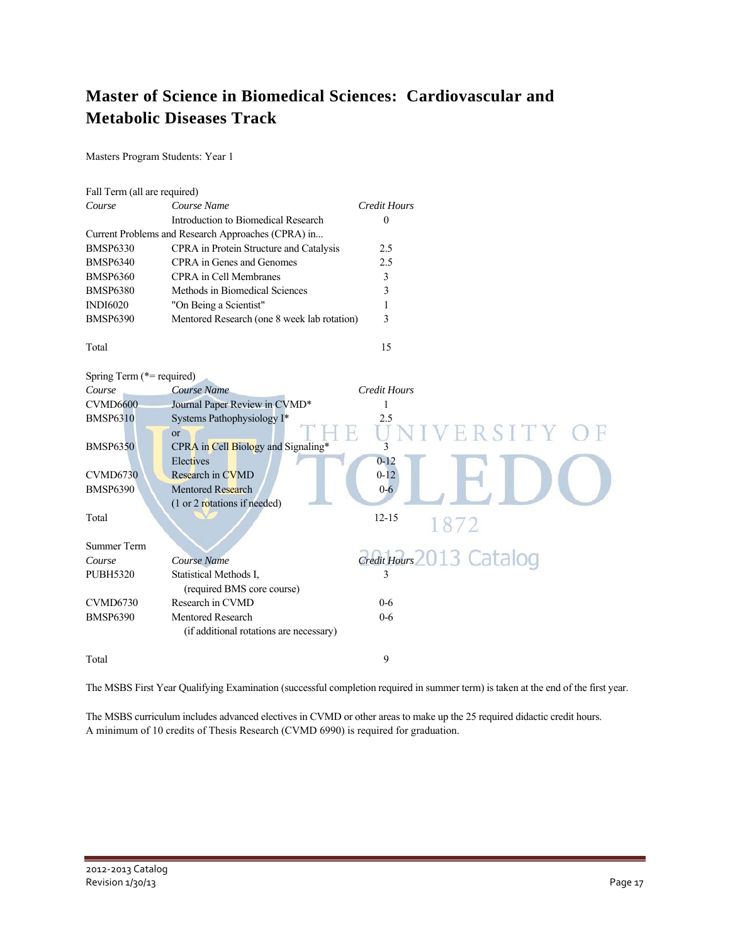### **Master of Science in Biomedical Sciences: Cardiovascular and Metabolic Diseases Track**

Masters Program Students: Year 1

| Fall Term (all are required) |                                                    |                     |                        |
|------------------------------|----------------------------------------------------|---------------------|------------------------|
| Course                       | Course Name                                        | <b>Credit Hours</b> |                        |
|                              | Introduction to Biomedical Research                | $\mathbf{0}$        |                        |
|                              | Current Problems and Research Approaches (CPRA) in |                     |                        |
| <b>BMSP6330</b>              | CPRA in Protein Structure and Catalysis            | 2.5                 |                        |
| <b>BMSP6340</b>              | CPRA in Genes and Genomes                          | 2.5                 |                        |
| <b>BMSP6360</b>              | <b>CPRA</b> in Cell Membranes                      | 3                   |                        |
| <b>BMSP6380</b>              | Methods in Biomedical Sciences                     | 3                   |                        |
| <b>INDI6020</b>              | "On Being a Scientist"                             | 1                   |                        |
| <b>BMSP6390</b>              | Mentored Research (one 8 week lab rotation)        | 3                   |                        |
| Total                        |                                                    | 15                  |                        |
| Spring Term (*= required)    |                                                    |                     |                        |
| Course                       | Course Name                                        | <b>Credit Hours</b> |                        |
| <b>CVMD6600</b>              | Journal Paper Review in CVMD*                      | 1                   |                        |
| <b>BMSP6310</b>              | Systems Pathophysiology I*                         | 2.5                 |                        |
|                              | $\alpha$                                           |                     | RSITY C                |
| <b>BMSP6350</b>              | CPRA in Cell Biology and Signaling*                | 3                   |                        |
|                              | Electives                                          | $0 - 12$            |                        |
| <b>CVMD6730</b>              | Research in CVMD                                   | $0 - 12$            |                        |
| <b>BMSP6390</b>              | <b>Mentored Research</b>                           | $0 - 6$             |                        |
|                              | (1 or 2 rotations if needed)                       |                     |                        |
| Total                        |                                                    | $12 - 15$           | 1872                   |
|                              |                                                    |                     |                        |
| <b>Summer Term</b>           |                                                    |                     |                        |
| Course                       | Course Name                                        |                     | $\frac{13}{2}$ Catalog |
| <b>PUBH5320</b>              | Statistical Methods I,                             | 3                   |                        |
|                              | (required BMS core course)                         |                     |                        |
| <b>CVMD6730</b>              | Research in CVMD                                   | $0 - 6$             |                        |
| <b>BMSP6390</b>              | <b>Mentored Research</b>                           | $0 - 6$             |                        |
|                              | (if additional rotations are necessary)            |                     |                        |
| Total                        |                                                    | 9                   |                        |

The MSBS First Year Qualifying Examination (successful completion required in summer term) is taken at the end of the first year.

The MSBS curriculum includes advanced electives in CVMD or other areas to make up the 25 required didactic credit hours. A minimum of 10 credits of Thesis Research (CVMD 6990) is required for graduation.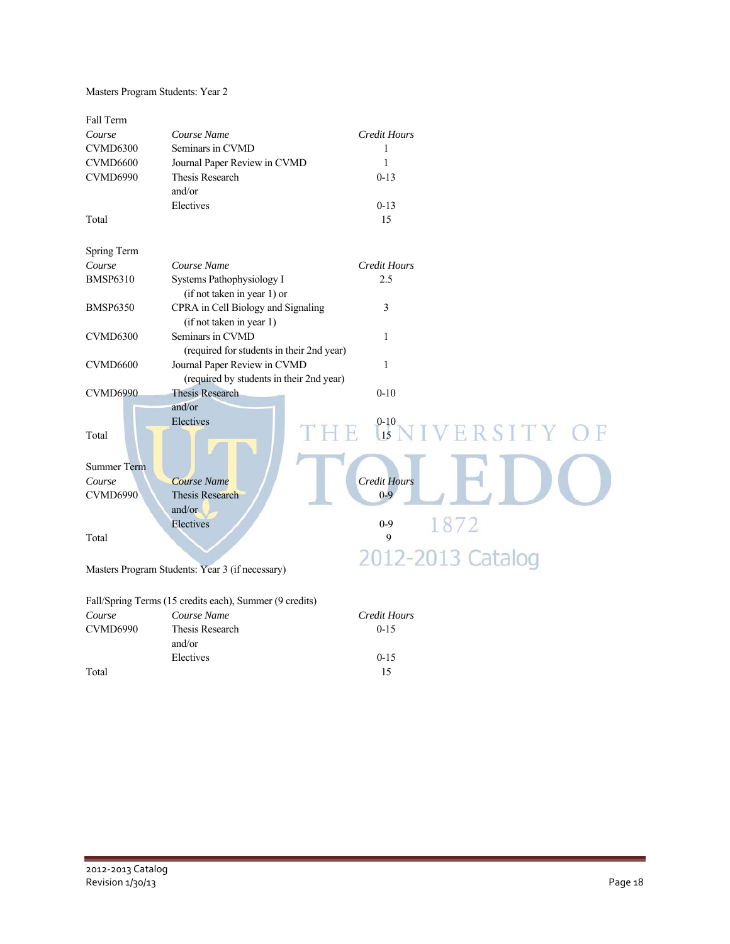Masters Program Students: Year 2

| Fall Term          |                                                         |                                 |
|--------------------|---------------------------------------------------------|---------------------------------|
| Course             | Course Name                                             | <b>Credit Hours</b>             |
| <b>CVMD6300</b>    | Seminars in CVMD                                        | 1                               |
| <b>CVMD6600</b>    | Journal Paper Review in CVMD                            | 1                               |
| CVMD6990           | <b>Thesis Research</b>                                  | $0 - 13$                        |
|                    | and/or                                                  |                                 |
|                    | Electives                                               | $0 - 13$                        |
| Total              |                                                         | 15                              |
|                    |                                                         |                                 |
| Spring Term        |                                                         |                                 |
| Course             | Course Name                                             | <b>Credit Hours</b>             |
| <b>BMSP6310</b>    | Systems Pathophysiology I                               | 2.5                             |
|                    | (if not taken in year 1) or                             |                                 |
| <b>BMSP6350</b>    | CPRA in Cell Biology and Signaling                      | 3                               |
|                    | (if not taken in year 1)                                |                                 |
| <b>CVMD6300</b>    | Seminars in CVMD                                        | $\mathbf{1}$                    |
|                    | (required for students in their 2nd year)               |                                 |
| <b>CVMD6600</b>    | Journal Paper Review in CVMD                            | $\mathbf{1}$                    |
|                    | (required by students in their 2nd year)                |                                 |
| <b>CVMD6990</b>    | <b>Thesis Research</b>                                  | $0 - 10$                        |
|                    | and/or                                                  |                                 |
|                    | Electives                                               |                                 |
| Total              |                                                         | <b>C-10</b><br>Lis NIVERSITY OF |
|                    |                                                         |                                 |
|                    |                                                         |                                 |
| <b>Summer Term</b> |                                                         |                                 |
| Course             | Course Name                                             | <b>Credit Hours</b>             |
| <b>CVMD6990</b>    | <b>Thesis Research</b>                                  | $0 - 9$                         |
|                    | and/or                                                  |                                 |
|                    | Electives                                               | 1872<br>$0 - 9$                 |
| Total              |                                                         | 9                               |
|                    |                                                         | 2012-2013 Catalog               |
|                    | Masters Program Students: Year 3 (if necessary)         |                                 |
|                    |                                                         |                                 |
|                    | Fall/Spring Terms (15 credits each), Summer (9 credits) |                                 |
| Course             | Course Name                                             | <b>Credit Hours</b>             |
| CVMD6990           | Thesis Research                                         | $0 - 15$                        |
|                    | and/or                                                  |                                 |
|                    | Electives                                               | $0 - 15$                        |

Total 15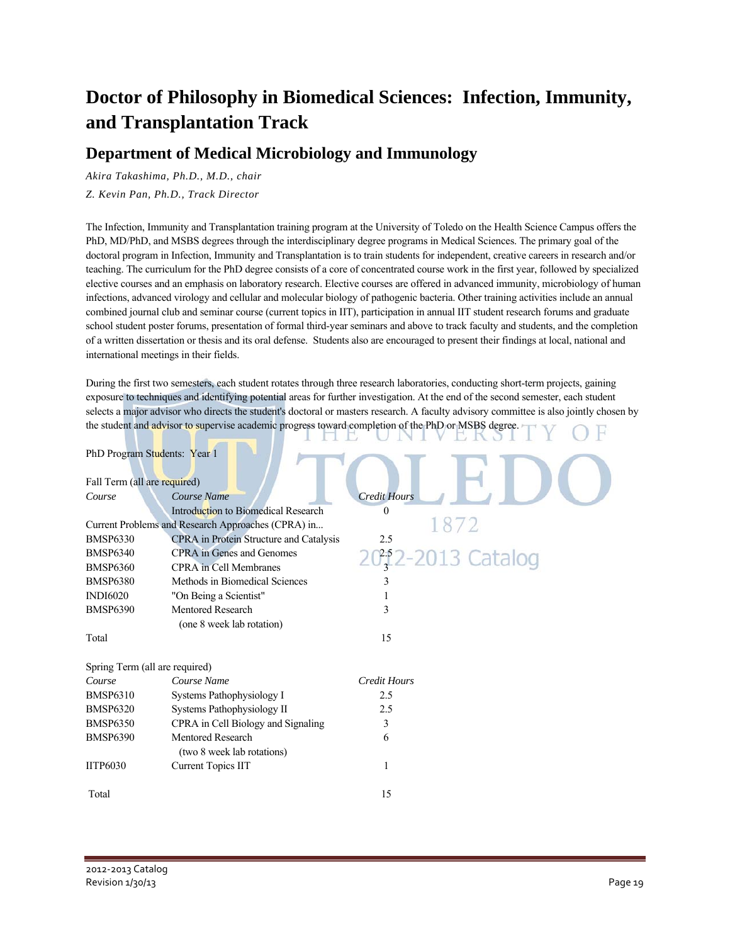## **Doctor of Philosophy in Biomedical Sciences: Infection, Immunity, and Transplantation Track**

### **Department of Medical Microbiology and Immunology**

*Akira Takashima, Ph.D., M.D., chair* 

*Z. Kevin Pan, Ph.D., Track Director* 

The Infection, Immunity and Transplantation training program at the University of Toledo on the Health Science Campus offers the PhD, MD/PhD, and MSBS degrees through the interdisciplinary degree programs in Medical Sciences. The primary goal of the doctoral program in Infection, Immunity and Transplantation is to train students for independent, creative careers in research and/or teaching. The curriculum for the PhD degree consists of a core of concentrated course work in the first year, followed by specialized elective courses and an emphasis on laboratory research. Elective courses are offered in advanced immunity, microbiology of human infections, advanced virology and cellular and molecular biology of pathogenic bacteria. Other training activities include an annual combined journal club and seminar course (current topics in IIT), participation in annual IIT student research forums and graduate school student poster forums, presentation of formal third-year seminars and above to track faculty and students, and the completion of a written dissertation or thesis and its oral defense. Students also are encouraged to present their findings at local, national and international meetings in their fields.

During the first two semesters, each student rotates through three research laboratories, conducting short-term projects, gaining exposure to techniques and identifying potential areas for further investigation. At the end of the second semester, each student selects a major advisor who directs the student's doctoral or masters research. A faculty advisory committee is also jointly chosen by the student and advisor to supervise academic progress toward completion of the PhD or MSBS degree.

| PhD Program Students: Year 1   |                                                    |                     |
|--------------------------------|----------------------------------------------------|---------------------|
| Fall Term (all are required)   |                                                    |                     |
| Course                         | Course Name                                        | <b>Credit Hours</b> |
|                                | Introduction to Biomedical Research                | $\theta$            |
|                                | Current Problems and Research Approaches (CPRA) in |                     |
| <b>BMSP6330</b>                | CPRA in Protein Structure and Catalysis            | 2.5                 |
| <b>BMSP6340</b>                | <b>CPRA</b> in Genes and Genomes                   | 20, 2-2013 Catalog  |
| <b>BMSP6360</b>                | <b>CPRA</b> in Cell Membranes                      |                     |
| <b>BMSP6380</b>                | Methods in Biomedical Sciences                     |                     |
| <b>INDI6020</b>                | "On Being a Scientist"                             |                     |
| <b>BMSP6390</b>                | <b>Mentored Research</b>                           | 3                   |
|                                | (one 8 week lab rotation)                          |                     |
| Total                          |                                                    | 15                  |
| Spring Term (all are required) |                                                    |                     |
| Course                         | Course Name                                        | <b>Credit Hours</b> |
| <b>BMSP6310</b>                | Systems Pathophysiology I                          | 2.5                 |
| <b>BMSP6320</b>                | Systems Pathophysiology II                         | 2.5                 |
| <b>BMSP6350</b>                | CPRA in Cell Biology and Signaling                 | 3                   |
| <b>BMSP6390</b>                | Mentored Research                                  | 6                   |
|                                | (two 8 week lab rotations)                         |                     |
| <b>IITP6030</b>                | <b>Current Topics IIT</b>                          | 1                   |
| Total                          |                                                    | 15                  |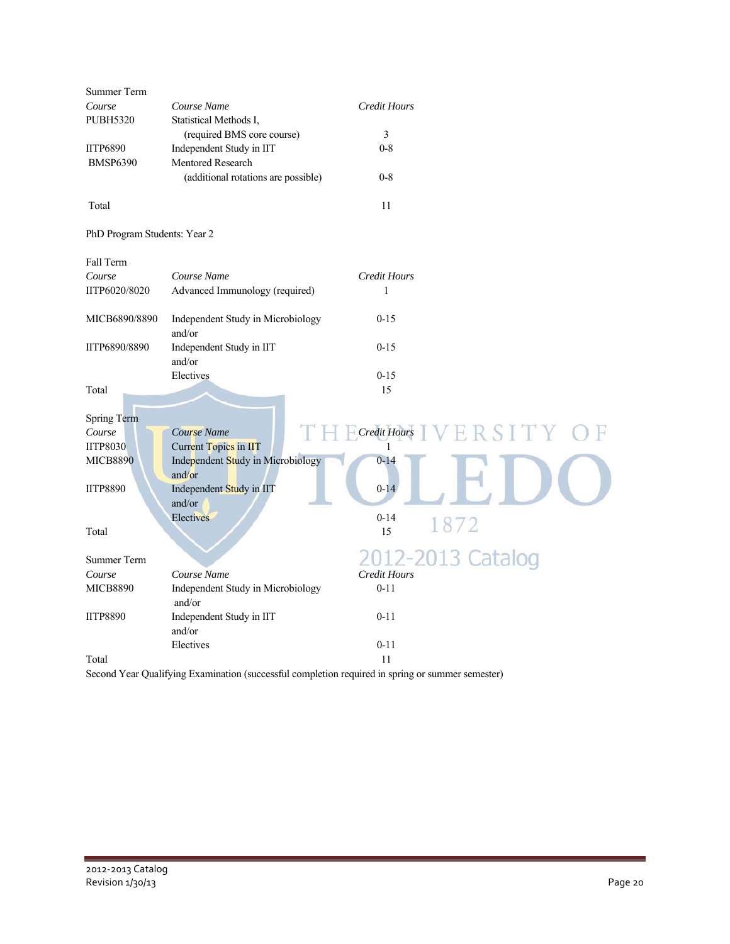| Summer Term                  |                                                                   |                     |      |
|------------------------------|-------------------------------------------------------------------|---------------------|------|
| Course                       | Course Name                                                       | Credit Hours        |      |
| <b>PUBH5320</b>              | Statistical Methods I,                                            |                     |      |
|                              | (required BMS core course)                                        | 3                   |      |
| <b>IITP6890</b>              | Independent Study in IIT                                          | $0 - 8$             |      |
| <b>BMSP6390</b>              | Mentored Research                                                 |                     |      |
|                              | (additional rotations are possible)                               | $0 - 8$             |      |
| Total                        |                                                                   | 11                  |      |
| PhD Program Students: Year 2 |                                                                   |                     |      |
| Fall Term                    |                                                                   |                     |      |
| Course                       | Course Name                                                       | <b>Credit Hours</b> |      |
| IITP6020/8020                | Advanced Immunology (required)                                    | 1                   |      |
| MICB6890/8890                | Independent Study in Microbiology                                 | $0 - 15$            |      |
|                              | and/or                                                            |                     |      |
| IITP6890/8890                | Independent Study in IIT                                          | $0 - 15$            |      |
|                              | and/or                                                            |                     |      |
|                              | Electives                                                         | $0 - 15$            |      |
| Total                        |                                                                   | 15                  |      |
|                              |                                                                   |                     |      |
| <b>Spring Term</b>           |                                                                   |                     |      |
| Course<br><b>IITP8030</b>    | Course Name                                                       | Credit Hours        | SIT. |
| <b>MICB8890</b>              | <b>Current Topics in IIT</b><br>Independent Study in Microbiology | 1<br>$0 - 14$       |      |
|                              | and/or                                                            |                     |      |
| <b>IITP8890</b>              | Independent Study in IIT                                          | $0 - 14$            |      |
|                              | and/or                                                            |                     |      |
|                              | Electives                                                         | $0 - 14$            |      |
| Total                        |                                                                   | 1872<br>15          |      |
|                              |                                                                   |                     |      |
| <b>Summer Term</b>           |                                                                   | 2012-2013 Catalog   |      |
| Course                       | Course Name                                                       | <b>Credit Hours</b> |      |
| <b>MICB8890</b>              | Independent Study in Microbiology<br>and/or                       | $0 - 11$            |      |
| <b>IITP8890</b>              | Independent Study in IIT                                          | $0 - 11$            |      |
|                              | and/or                                                            |                     |      |
|                              | Electives                                                         | $0 - 11$            |      |
| Total                        |                                                                   | 11                  |      |

Second Year Qualifying Examination (successful completion required in spring or summer semester)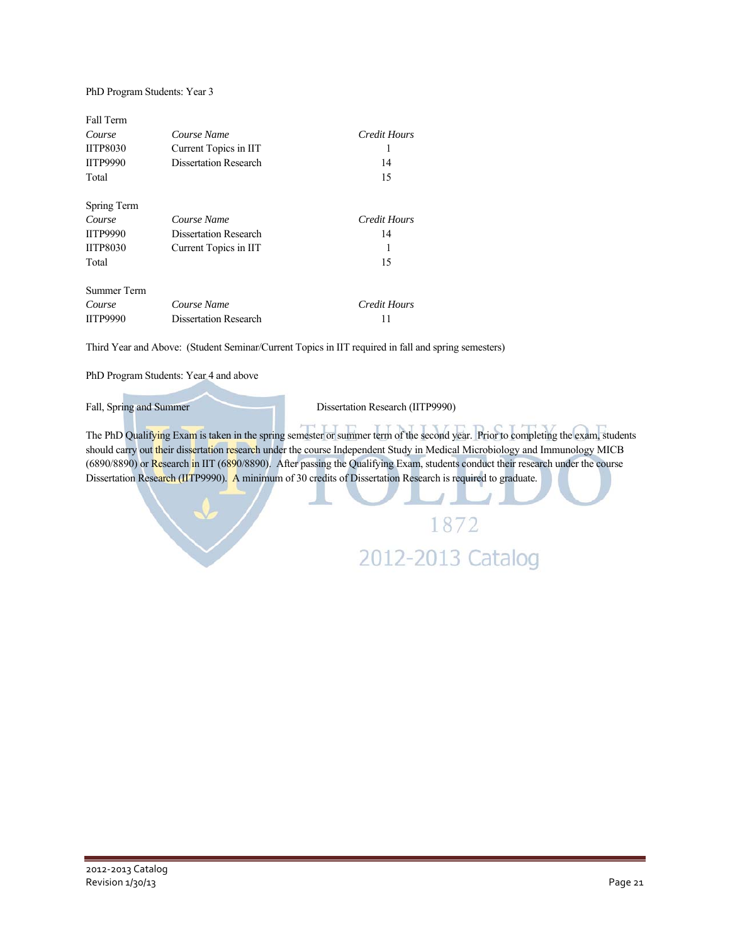### PhD Program Students: Year 3

| Fall Term       |                              |                     |
|-----------------|------------------------------|---------------------|
| Course          | Course Name                  | Credit Hours        |
| <b>IITP8030</b> | Current Topics in IIT        |                     |
| <b>IITP9990</b> | <b>Dissertation Research</b> | 14                  |
| Total           |                              | 15                  |
| Spring Term     |                              |                     |
| Course          | Course Name                  | <b>Credit Hours</b> |
| <b>IITP9990</b> | <b>Dissertation Research</b> | 14                  |
| <b>IITP8030</b> | Current Topics in IIT        | 1                   |
| Total           |                              | 15                  |
| Summer Term     |                              |                     |
| Course          | Course Name                  | Credit Hours        |
| <b>IITP9990</b> | <b>Dissertation Research</b> | 11                  |

Third Year and Above: (Student Seminar/Current Topics in IIT required in fall and spring semesters)

PhD Program Students: Year 4 and above

Fall, Spring and Summer Dissertation Research (IITP9990)

The PhD Qualifying Exam is taken in the spring semester or summer term of the second year. Prior to completing the exam, students should carry out their dissertation research under the course Independent Study in Medical Microbiology and Immunology MICB (6890/8890) or Research in IIT (6890/8890). After passing the Qualifying Exam, students conduct their research under the course Dissertation Research (IITP9990). A minimum of 30 credits of Dissertation Research is required to graduate.

> 1872 2012-2013 Catalog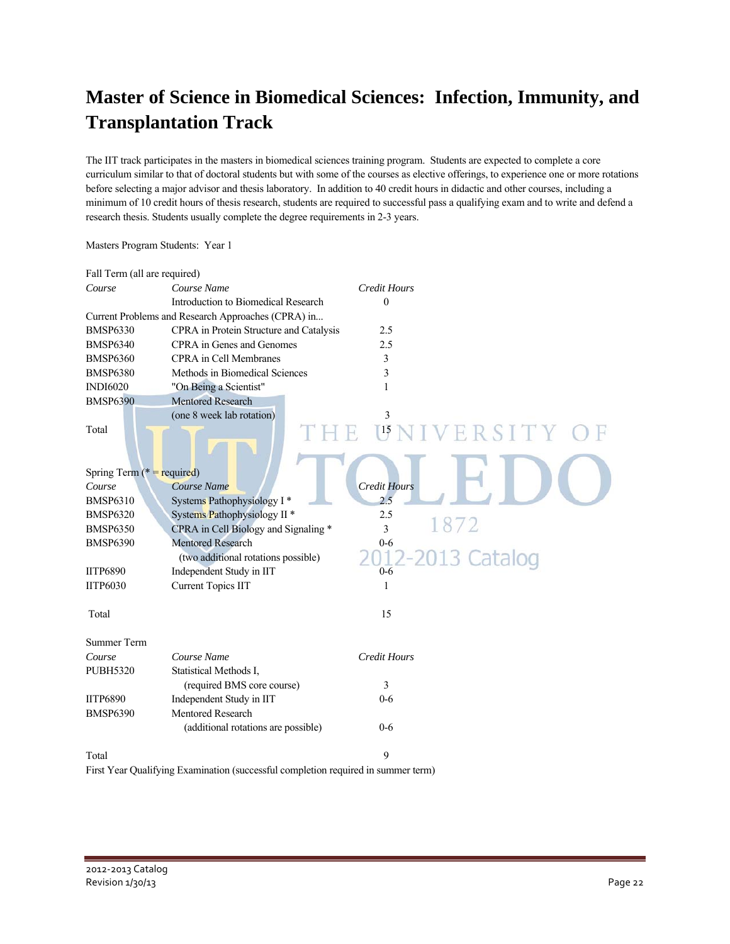## **Master of Science in Biomedical Sciences: Infection, Immunity, and Transplantation Track**

The IIT track participates in the masters in biomedical sciences training program. Students are expected to complete a core curriculum similar to that of doctoral students but with some of the courses as elective offerings, to experience one or more rotations before selecting a major advisor and thesis laboratory. In addition to 40 credit hours in didactic and other courses, including a minimum of 10 credit hours of thesis research, students are required to successful pass a qualifying exam and to write and defend a research thesis. Students usually complete the degree requirements in 2-3 years.

| Fall Term (all are required)  |                                                                                   |                       |
|-------------------------------|-----------------------------------------------------------------------------------|-----------------------|
| Course                        | Course Name                                                                       | <b>Credit Hours</b>   |
|                               | Introduction to Biomedical Research                                               | $\Omega$              |
|                               | Current Problems and Research Approaches (CPRA) in                                |                       |
| <b>BMSP6330</b>               | CPRA in Protein Structure and Catalysis                                           | 2.5                   |
| <b>BMSP6340</b>               | CPRA in Genes and Genomes                                                         | 2.5                   |
| <b>BMSP6360</b>               | <b>CPRA</b> in Cell Membranes                                                     | 3                     |
| <b>BMSP6380</b>               | Methods in Biomedical Sciences                                                    | 3                     |
| <b>INDI6020</b>               | "On Being a Scientist"                                                            | 1                     |
| <b>BMSP6390</b>               | <b>Mentored Research</b>                                                          |                       |
|                               | (one 8 week lab rotation)                                                         | 3                     |
| Total                         |                                                                                   | $\sqrt{15}$<br>ERSITY |
| Spring Term ( $* =$ required) |                                                                                   |                       |
| Course                        | Course Name                                                                       | <b>Credit Hours</b>   |
| <b>BMSP6310</b>               | Systems Pathophysiology I*                                                        | 2.5                   |
| <b>BMSP6320</b>               | Systems Pathophysiology II <sup>*</sup>                                           | 2.5                   |
| <b>BMSP6350</b>               | CPRA in Cell Biology and Signaling *                                              | 1872<br>3             |
| <b>BMSP6390</b>               | <b>Mentored Research</b>                                                          | $0 - 6$               |
|                               | (two additional rotations possible)                                               | 2-2013 Catalog        |
| <b>IITP6890</b>               | Independent Study in IIT                                                          | $0 - 6$               |
| <b>IITP6030</b>               | <b>Current Topics IIT</b>                                                         | 1                     |
|                               |                                                                                   |                       |
| Total                         |                                                                                   | 15                    |
| Summer Term                   |                                                                                   |                       |
| Course                        | Course Name                                                                       | <b>Credit Hours</b>   |
| <b>PUBH5320</b>               | Statistical Methods I,                                                            |                       |
|                               | (required BMS core course)                                                        | 3                     |
| <b>IITP6890</b>               | Independent Study in IIT                                                          | $0 - 6$               |
| <b>BMSP6390</b>               | <b>Mentored Research</b>                                                          |                       |
|                               | (additional rotations are possible)                                               | $0 - 6$               |
| Total                         |                                                                                   | 9                     |
|                               | First Year Qualifying Examination (successful completion required in summer term) |                       |

Masters Program Students: Year 1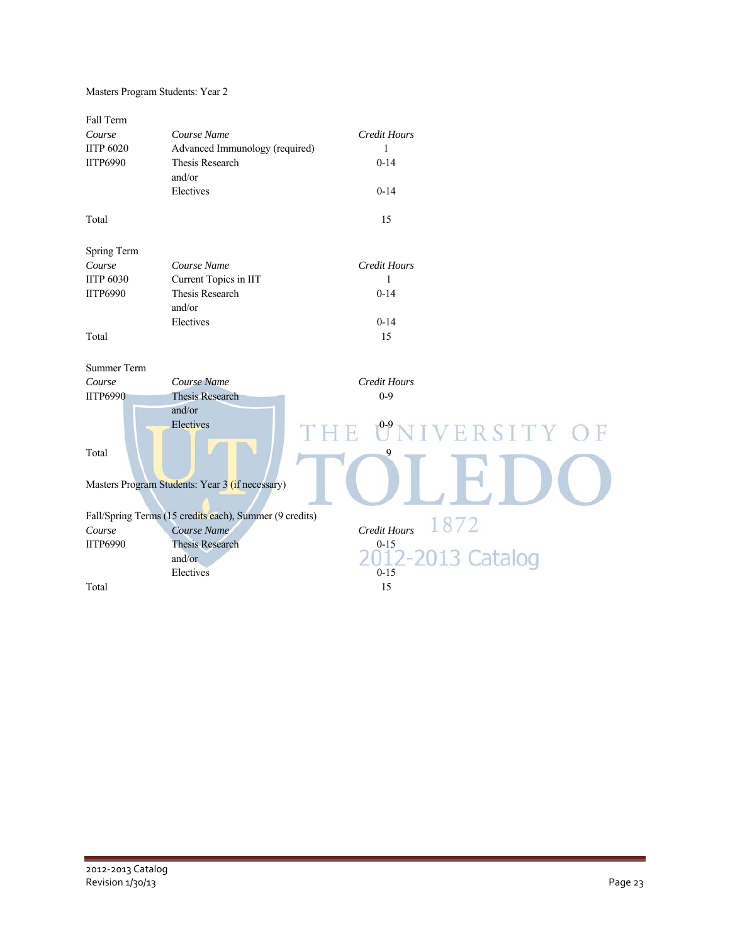| Masters Program Students: Year 2 |  |  |
|----------------------------------|--|--|
|----------------------------------|--|--|

| Fall Term<br>Course<br><b>IITP 6020</b><br><b>IITP6990</b><br>Total | Course Name<br>Advanced Immunology (required)<br>Thesis Research<br>and/or<br>Electives | <b>Credit Hours</b><br>$\mathbf{1}$<br>$0 - 14$<br>$0 - 14$<br>15 |
|---------------------------------------------------------------------|-----------------------------------------------------------------------------------------|-------------------------------------------------------------------|
|                                                                     |                                                                                         |                                                                   |
| Spring Term                                                         |                                                                                         |                                                                   |
| Course                                                              | Course Name                                                                             | <b>Credit Hours</b>                                               |
| <b>IITP 6030</b>                                                    | Current Topics in IIT                                                                   | $\mathbf{1}$                                                      |
| <b>IITP6990</b>                                                     | <b>Thesis Research</b>                                                                  | $0 - 14$                                                          |
|                                                                     | and/or                                                                                  |                                                                   |
|                                                                     | Electives                                                                               | $0 - 14$                                                          |
| Total                                                               |                                                                                         | 15                                                                |
| <b>Summer Term</b>                                                  |                                                                                         |                                                                   |
| Course                                                              | Course Name                                                                             | <b>Credit Hours</b>                                               |
| <b>IITP6990</b>                                                     | <b>Thesis Research</b>                                                                  | $0 - 9$                                                           |
| Total                                                               | and/or<br>Electives                                                                     | NIVERSITY OF<br>9                                                 |
|                                                                     | Masters Program Students: Year 3 (if necessary)                                         |                                                                   |
|                                                                     | Fall/Spring Terms (15 credits each), Summer (9 credits)                                 |                                                                   |
| Course                                                              | Course Name                                                                             | 1872<br>Credit Hours                                              |
| <b>IITP6990</b>                                                     | <b>Thesis Research</b>                                                                  | $0 - 15$                                                          |
|                                                                     | and/or                                                                                  | 013 Catalog<br>$) - )$                                            |
|                                                                     | Electives                                                                               | $0 - 15$                                                          |
| Total                                                               |                                                                                         | 15                                                                |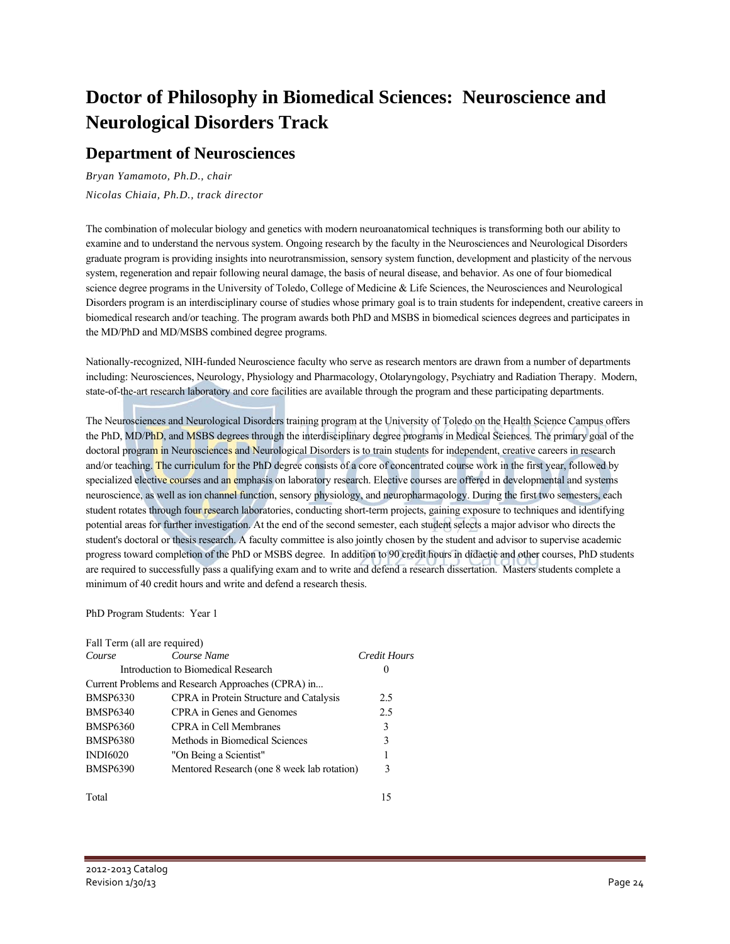## **Doctor of Philosophy in Biomedical Sciences: Neuroscience and Neurological Disorders Track**

### **Department of Neurosciences**

*Bryan Yamamoto, Ph.D., chair Nicolas Chiaia, Ph.D., track director* 

The combination of molecular biology and genetics with modern neuroanatomical techniques is transforming both our ability to examine and to understand the nervous system. Ongoing research by the faculty in the Neurosciences and Neurological Disorders graduate program is providing insights into neurotransmission, sensory system function, development and plasticity of the nervous system, regeneration and repair following neural damage, the basis of neural disease, and behavior. As one of four biomedical science degree programs in the University of Toledo, College of Medicine & Life Sciences, the Neurosciences and Neurological Disorders program is an interdisciplinary course of studies whose primary goal is to train students for independent, creative careers in biomedical research and/or teaching. The program awards both PhD and MSBS in biomedical sciences degrees and participates in the MD/PhD and MD/MSBS combined degree programs.

Nationally-recognized, NIH-funded Neuroscience faculty who serve as research mentors are drawn from a number of departments including: Neurosciences, Neurology, Physiology and Pharmacology, Otolaryngology, Psychiatry and Radiation Therapy. Modern, state-of-the-art research laboratory and core facilities are available through the program and these participating departments.

The Neurosciences and Neurological Disorders training program at the University of Toledo on the Health Science Campus offers the PhD, MD/PhD, and MSBS degrees through the interdisciplinary degree programs in Medical Sciences. The primary goal of the doctoral program in Neurosciences and Neurological Disorders is to train students for independent, creative careers in research and/or teaching. The curriculum for the PhD degree consists of a core of concentrated course work in the first year, followed by specialized elective courses and an emphasis on laboratory research. Elective courses are offered in developmental and systems neuroscience, as well as ion channel function, sensory physiology, and neuropharmacology. During the first two semesters, each student rotates through four research laboratories, conducting short-term projects, gaining exposure to techniques and identifying potential areas for further investigation. At the end of the second semester, each student selects a major advisor who directs the student's doctoral or thesis research. A faculty committee is also jointly chosen by the student and advisor to supervise academic progress toward completion of the PhD or MSBS degree. In addition to 90 credit hours in didactic and other courses, PhD students are required to successfully pass a qualifying exam and to write and defend a research dissertation. Masters students complete a minimum of 40 credit hours and write and defend a research thesis.

### PhD Program Students: Year 1

| Fall Term (all are required) |                                                    |              |
|------------------------------|----------------------------------------------------|--------------|
| Course                       | Course Name                                        | Credit Hours |
|                              | Introduction to Biomedical Research                | $\theta$     |
|                              | Current Problems and Research Approaches (CPRA) in |              |
| <b>BMSP6330</b>              | CPRA in Protein Structure and Catalysis            | 2.5          |
| <b>BMSP6340</b>              | CPRA in Genes and Genomes                          | 2.5          |
| <b>BMSP6360</b>              | CPRA in Cell Membranes                             | 3            |
| <b>BMSP6380</b>              | Methods in Biomedical Sciences                     | 3            |
| <b>INDI6020</b>              | "On Being a Scientist"                             | 1            |
| <b>BMSP6390</b>              | Mentored Research (one 8 week lab rotation)        | 3            |
|                              |                                                    |              |

Total 15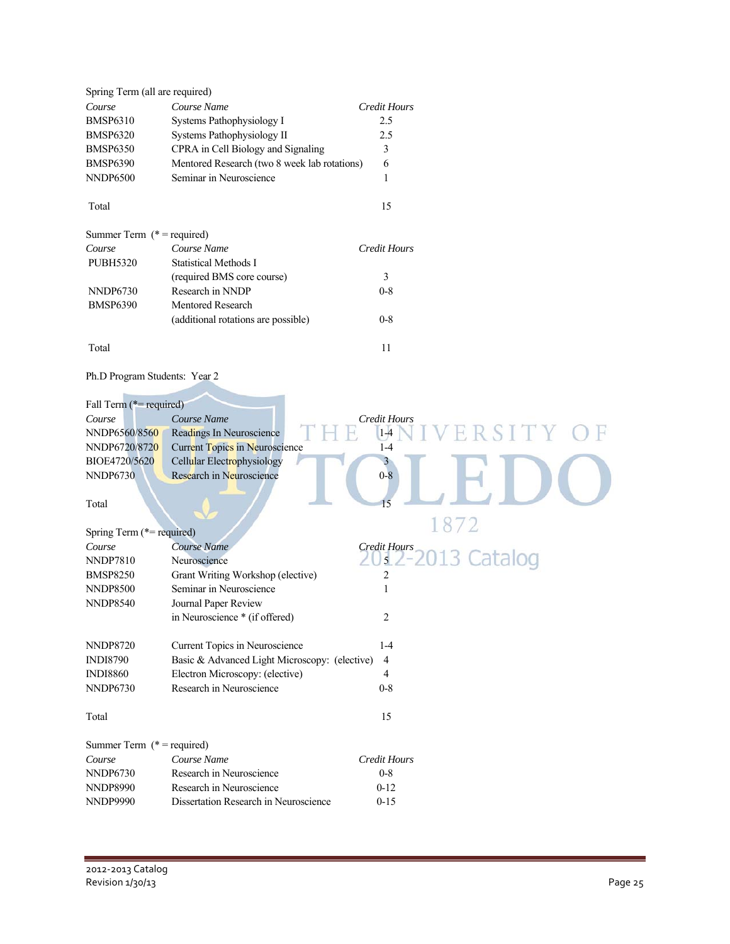| Spring Term (all are required)   |                                                        |                                     |
|----------------------------------|--------------------------------------------------------|-------------------------------------|
| Course                           | Course Name                                            | <b>Credit Hours</b>                 |
| <b>BMSP6310</b>                  | Systems Pathophysiology I                              | 2.5                                 |
| BMSP6320                         | Systems Pathophysiology II                             | 2.5                                 |
| BMSP6350                         | CPRA in Cell Biology and Signaling                     | 3                                   |
| BMSP6390                         | Mentored Research (two 8 week lab rotations)           | 6                                   |
| NNDP6500                         | Seminar in Neuroscience                                | 1                                   |
| Total                            |                                                        | 15                                  |
| Summer Term $(* = required)$     |                                                        |                                     |
| Course                           | Course Name                                            | <b>Credit Hours</b>                 |
| <b>PUBH5320</b>                  | <b>Statistical Methods I</b>                           |                                     |
|                                  | (required BMS core course)                             | 3                                   |
| <b>NNDP6730</b>                  | Research in NNDP                                       | $0 - 8$                             |
| <b>BMSP6390</b>                  | Mentored Research                                      |                                     |
|                                  | (additional rotations are possible)                    | $0 - 8$                             |
| Total                            |                                                        | 11                                  |
| Ph.D Program Students: Year 2    |                                                        |                                     |
|                                  |                                                        |                                     |
| Fall Term (*= required)          |                                                        |                                     |
| Course                           | Course Name                                            | Credit Hours                        |
| NNDP6560/8560                    | Readings In Neuroscience                               | $1-4$                               |
| NNDP6720/8720                    | <b>Current Topics in Neuroscience</b>                  | $1-4$                               |
| BIOE4720/5620<br><b>NNDP6730</b> | Cellular Electrophysiology<br>Research in Neuroscience | $0 - 8$                             |
| Total                            |                                                        | 15                                  |
|                                  |                                                        | 1872                                |
| Spring Term (*= required)        |                                                        |                                     |
| Course                           | Course Name                                            | <b>Credit Hours</b><br>2013 Catalog |
| NNDP7810                         | Neuroscience                                           | $\overline{5}$                      |
| <b>BMSP8250</b>                  | Grant Writing Workshop (elective)                      | 2                                   |
| <b>NNDP8500</b>                  | Seminar in Neuroscience                                | 1                                   |
| <b>NNDP8540</b>                  | Journal Paper Review                                   |                                     |
|                                  | in Neuroscience * (if offered)                         | 2                                   |
| NNDP8720                         | Current Topics in Neuroscience                         | $1 - 4$                             |
| <b>INDI8790</b>                  | Basic & Advanced Light Microscopy: (elective)          | 4                                   |
| <b>INDI8860</b>                  | Electron Microscopy: (elective)                        | $\overline{4}$                      |
| <b>NNDP6730</b>                  | Research in Neuroscience                               | $0 - 8$                             |
| Total                            |                                                        | 15                                  |
| Summer Term $(* = required)$     |                                                        |                                     |
| Course                           | Course Name                                            | Credit Hours                        |
| <b>NNDP6730</b>                  | Research in Neuroscience                               | $0-8$                               |
| NNDP8990                         | Research in Neuroscience                               | $0 - 12$                            |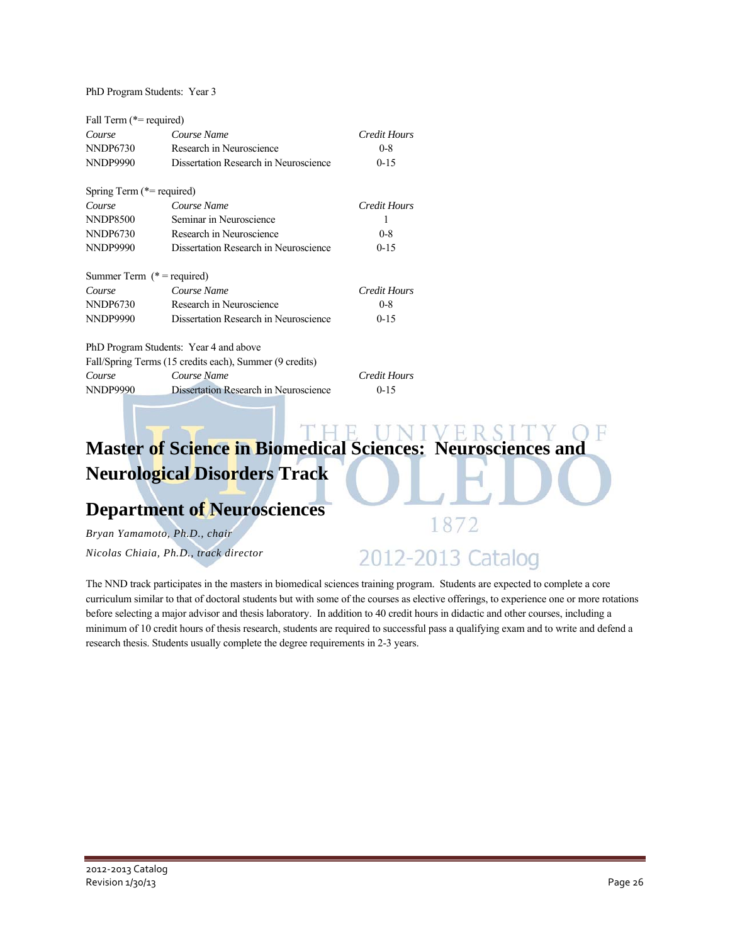PhD Program Students: Year 3

| Fall Term (*= required)       |                                                         |              |
|-------------------------------|---------------------------------------------------------|--------------|
| Course                        | Course Name                                             | Credit Hours |
| NNDP6730                      | Research in Neuroscience                                | $0 - 8$      |
| <b>NNDP9990</b>               | Dissertation Research in Neuroscience                   | $0 - 15$     |
| Spring Term (*= required)     |                                                         |              |
| Course                        | Course Name                                             | Credit Hours |
| <b>NNDP8500</b>               | Seminar in Neuroscience                                 | 1            |
| NNDP6730                      | Research in Neuroscience                                | $0 - 8$      |
| <b>NNDP9990</b>               | Dissertation Research in Neuroscience                   |              |
| Summer Term $(*)$ = required) |                                                         |              |
| Course                        | Course Name                                             | Credit Hours |
| <b>NNDP6730</b>               | Research in Neuroscience                                | $0 - 8$      |
| <b>NNDP9990</b>               | Dissertation Research in Neuroscience                   | $0 - 1.5$    |
|                               | PhD Program Students: Year 4 and above                  |              |
|                               | Fall/Spring Terms (15 credits each), Summer (9 credits) |              |
| Course                        | Course Name                                             | Credit Hours |
| <b>NNDP9990</b>               | Dissertation Research in Neuroscience<br>$0 - 15$       |              |

## **Master of Science in Biomedical Sciences: Neurosciences and Neurological Disorders Track**

### **Department of Neurosciences**

*Bryan Yamamoto, Ph.D., chair Nicolas Chiaia, Ph.D., track director* 

## 2012-2013 Catalog

1872

The NND track participates in the masters in biomedical sciences training program. Students are expected to complete a core curriculum similar to that of doctoral students but with some of the courses as elective offerings, to experience one or more rotations before selecting a major advisor and thesis laboratory. In addition to 40 credit hours in didactic and other courses, including a minimum of 10 credit hours of thesis research, students are required to successful pass a qualifying exam and to write and defend a research thesis. Students usually complete the degree requirements in 2-3 years.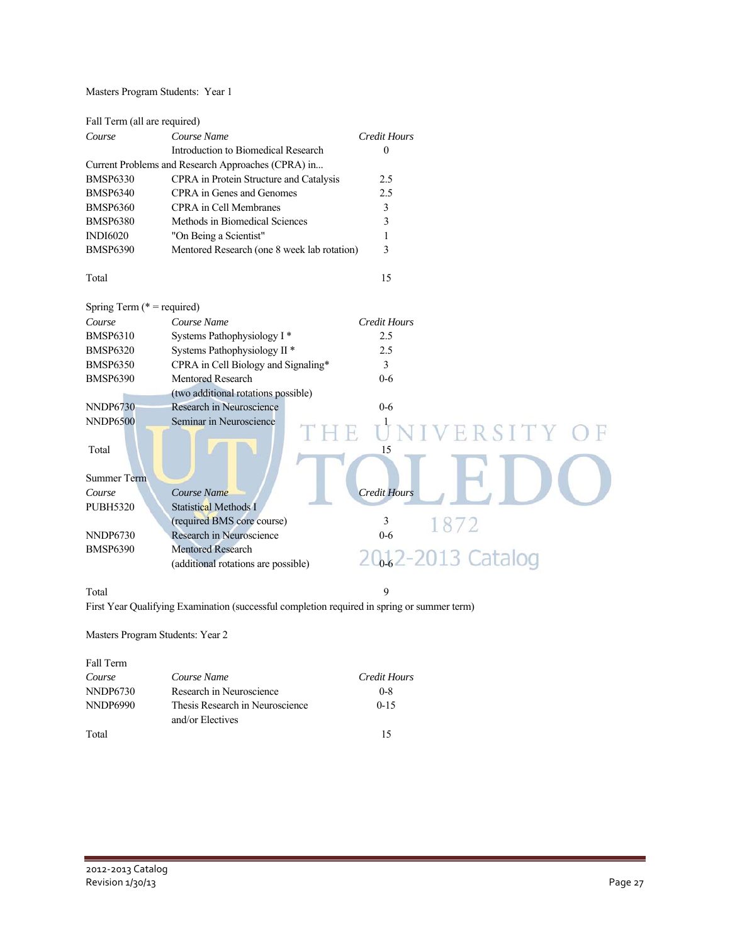Masters Program Students: Year 1

| Fall Term (all are required)  |                                                    |                     |
|-------------------------------|----------------------------------------------------|---------------------|
| Course                        | Course Name                                        | <b>Credit Hours</b> |
|                               | Introduction to Biomedical Research                | $\mathbf{0}$        |
|                               | Current Problems and Research Approaches (CPRA) in |                     |
| <b>BMSP6330</b>               | CPRA in Protein Structure and Catalysis            | 2.5                 |
| <b>BMSP6340</b>               | CPRA in Genes and Genomes                          | 2.5                 |
| <b>BMSP6360</b>               | <b>CPRA</b> in Cell Membranes                      | 3                   |
| <b>BMSP6380</b>               | Methods in Biomedical Sciences                     | 3                   |
| <b>INDI6020</b>               | "On Being a Scientist"                             | 1                   |
| <b>BMSP6390</b>               | Mentored Research (one 8 week lab rotation)        | 3                   |
| Total                         |                                                    | 15                  |
| Spring Term ( $*$ = required) |                                                    |                     |
| Course                        | Course Name                                        | <b>Credit Hours</b> |
| <b>BMSP6310</b>               | Systems Pathophysiology I*                         | 2.5                 |
| <b>BMSP6320</b>               | Systems Pathophysiology II <sup>*</sup>            | 2.5                 |
| <b>BMSP6350</b>               | CPRA in Cell Biology and Signaling*                | 3                   |
| <b>BMSP6390</b>               | Mentored Research                                  | $0 - 6$             |
|                               | (two additional rotations possible)                |                     |
| <b>NNDP6730</b>               | Research in Neuroscience                           | $0-6$               |
| <b>NNDP6500</b>               | Seminar in Neuroscience                            | VERSITY O           |
| Total                         |                                                    | 15                  |
|                               |                                                    |                     |
| <b>Summer Term</b>            |                                                    |                     |
| Course                        | Course Name                                        | <b>Credit Hours</b> |
| <b>PUBH5320</b>               | <b>Statistical Methods I</b>                       |                     |
|                               | (required BMS core course)                         | 3<br>1872           |
| <b>NNDP6730</b>               | Research in Neuroscience                           | $0-6$               |
| <b>BMSP6390</b>               | <b>Mentored Research</b>                           |                     |
|                               | (additional rotations are possible)                | 20. 2-2013 Catal    |
|                               |                                                    |                     |

Total 9

First Year Qualifying Examination (successful completion required in spring or summer term)

Masters Program Students: Year 2

| Fall Term       |                                                     |              |
|-----------------|-----------------------------------------------------|--------------|
| Course          | Course Name                                         | Credit Hours |
| NNDP6730        | Research in Neuroscience                            | $0 - 8$      |
| <b>NNDP6990</b> | Thesis Research in Neuroscience<br>and/or Electives | $0 - 15$     |
| Total           |                                                     | 15           |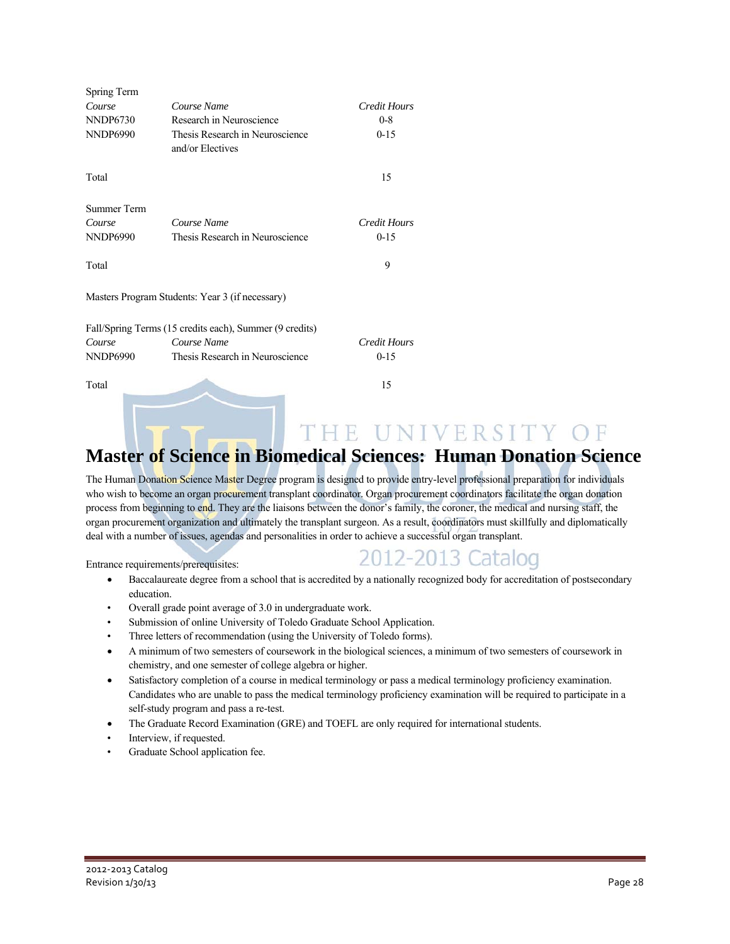| Spring Term     |                                                         |                     |
|-----------------|---------------------------------------------------------|---------------------|
| Course          | Course Name                                             | Credit Hours        |
| <b>NNDP6730</b> | Research in Neuroscience                                | $0 - 8$             |
| <b>NNDP6990</b> | Thesis Research in Neuroscience<br>and/or Electives     | $0 - 15$            |
| Total           |                                                         | 15                  |
| Summer Term     |                                                         |                     |
| Course          | Course Name                                             | <b>Credit Hours</b> |
| <b>NNDP6990</b> | Thesis Research in Neuroscience                         | $0 - 1.5$           |
| Total           |                                                         | 9                   |
|                 | Masters Program Students: Year 3 (if necessary)         |                     |
|                 | Fall/Spring Terms (15 credits each), Summer (9 credits) |                     |
| Course          | Course Name                                             | <b>Credit Hours</b> |
| <b>NNDP6990</b> | Thesis Research in Neuroscience                         | $0-15$              |
| Total           |                                                         | 15                  |

## THE UNIVERSITY OF **Master of Science in Biomedical Sciences: Human Donation Science**

The Human Donation Science Master Degree program is designed to provide entry-level professional preparation for individuals who wish to become an organ procurement transplant coordinator. Organ procurement coordinators facilitate the organ donation process from beginning to end. They are the liaisons between the donor's family, the coroner, the medical and nursing staff, the organ procurement organization and ultimately the transplant surgeon. As a result, coordinators must skillfully and diplomatically deal with a number of issues, agendas and personalities in order to achieve a successful organ transplant.

Entrance requirements/prerequisites:

### 2012-2013 Catalog

- Baccalaureate degree from a school that is accredited by a nationally recognized body for accreditation of postsecondary education.
- Overall grade point average of 3.0 in undergraduate work.
- Submission of online University of Toledo Graduate School Application.
- Three letters of recommendation (using the University of Toledo forms).
- A minimum of two semesters of coursework in the biological sciences, a minimum of two semesters of coursework in chemistry, and one semester of college algebra or higher.
- Satisfactory completion of a course in medical terminology or pass a medical terminology proficiency examination. Candidates who are unable to pass the medical terminology proficiency examination will be required to participate in a self-study program and pass a re-test.
- The Graduate Record Examination (GRE) and TOEFL are only required for international students.
- Interview, if requested.
- Graduate School application fee.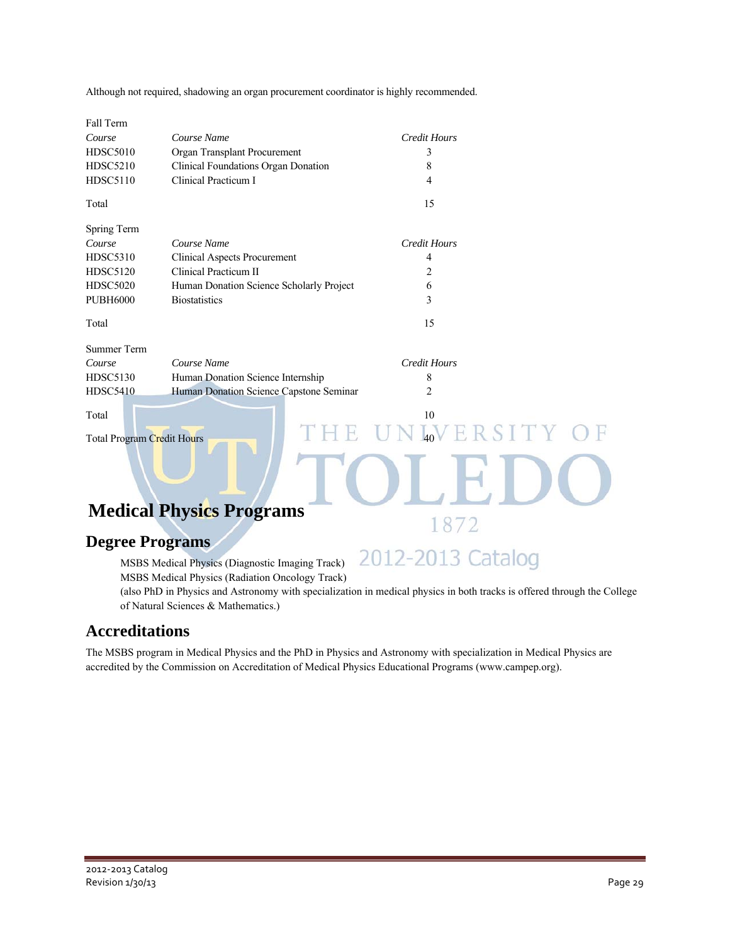| Although not required, shadowing an organ procurement coordinator is highly recommended. |  |  |  |
|------------------------------------------------------------------------------------------|--|--|--|
|                                                                                          |  |  |  |
|                                                                                          |  |  |  |

| Fall Term                  |                                          |                           |
|----------------------------|------------------------------------------|---------------------------|
| Course                     | Course Name                              | <b>Credit Hours</b>       |
| <b>HDSC5010</b>            | Organ Transplant Procurement             | 3                         |
| <b>HDSC5210</b>            | Clinical Foundations Organ Donation      | 8                         |
| <b>HDSC5110</b>            | Clinical Practicum I                     | 4                         |
| Total                      |                                          | 15                        |
| Spring Term                |                                          |                           |
| Course                     | Course Name                              | <b>Credit Hours</b>       |
| <b>HDSC5310</b>            | <b>Clinical Aspects Procurement</b>      | 4                         |
| <b>HDSC5120</b>            | Clinical Practicum II                    | $\overline{c}$            |
| <b>HDSC5020</b>            | Human Donation Science Scholarly Project | 6                         |
| <b>PUBH6000</b>            | <b>Biostatistics</b>                     | 3                         |
| Total                      |                                          | 15                        |
| <b>Summer Term</b>         |                                          |                           |
| Course                     | Course Name                              | <b>Credit Hours</b>       |
| <b>HDSC5130</b>            | Human Donation Science Internship        | 8                         |
| <b>HDSC5410</b>            | Human Donation Science Capstone Seminar  | 2                         |
| Total                      |                                          | 10                        |
| Total Program Credit Hours | THE                                      | L <sub>40</sub> VERSITY O |
|                            |                                          |                           |
|                            | <b>Medical Physics Programs</b>          |                           |
|                            |                                          |                           |

### **Degree Programs**

 MSBS Medical Physics (Diagnostic Imaging Track) MSBS Medical Physics (Radiation Oncology Track)

 (also PhD in Physics and Astronomy with specialization in medical physics in both tracks is offered through the College of Natural Sciences & Mathematics.)

2012-2013 Catalog

### **Accreditations**

 The MSBS program in Medical Physics and the PhD in Physics and Astronomy with specialization in Medical Physics are accredited by the Commission on Accreditation of Medical Physics Educational Programs (www.campep.org).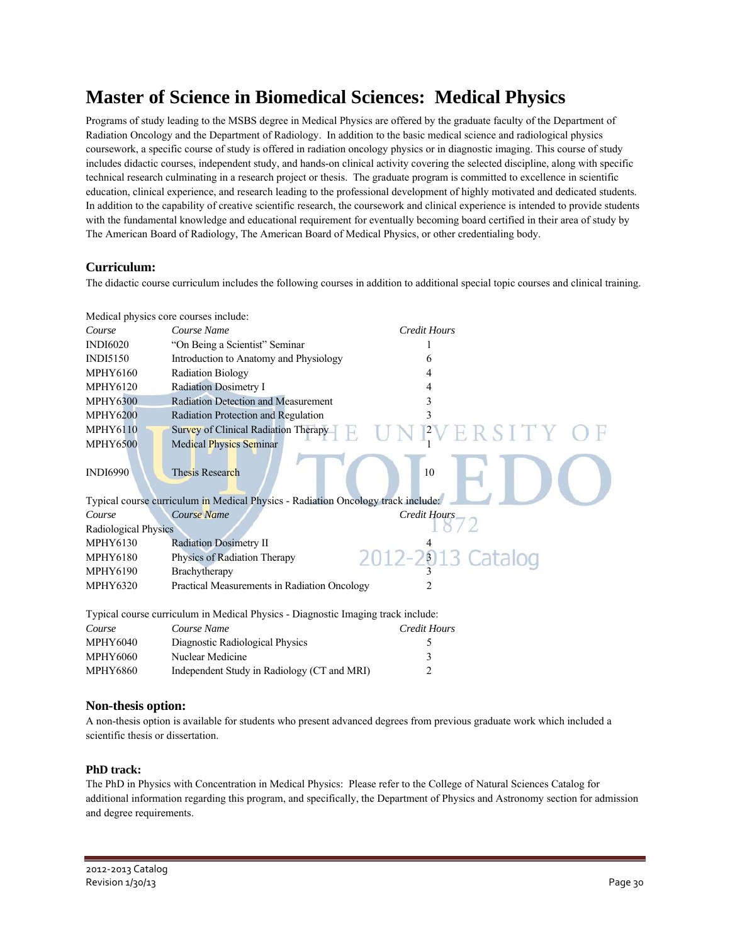## **Master of Science in Biomedical Sciences: Medical Physics**

Programs of study leading to the MSBS degree in Medical Physics are offered by the graduate faculty of the Department of Radiation Oncology and the Department of Radiology. In addition to the basic medical science and radiological physics coursework, a specific course of study is offered in radiation oncology physics or in diagnostic imaging. This course of study includes didactic courses, independent study, and hands-on clinical activity covering the selected discipline, along with specific technical research culminating in a research project or thesis. The graduate program is committed to excellence in scientific education, clinical experience, and research leading to the professional development of highly motivated and dedicated students. In addition to the capability of creative scientific research, the coursework and clinical experience is intended to provide students with the fundamental knowledge and educational requirement for eventually becoming board certified in their area of study by The American Board of Radiology, The American Board of Medical Physics, or other credentialing body.

### **Curriculum:**

The didactic course curriculum includes the following courses in addition to additional special topic courses and clinical training.

|                                                                                  | Medical physics core courses include:                                            |                     |  |
|----------------------------------------------------------------------------------|----------------------------------------------------------------------------------|---------------------|--|
| Course                                                                           | Course Name                                                                      | <b>Credit Hours</b> |  |
| <b>INDI6020</b>                                                                  | "On Being a Scientist" Seminar                                                   |                     |  |
| <b>INDI5150</b>                                                                  | Introduction to Anatomy and Physiology                                           | 6                   |  |
| <b>MPHY6160</b>                                                                  | <b>Radiation Biology</b>                                                         | 4                   |  |
| <b>MPHY6120</b>                                                                  | Radiation Dosimetry I                                                            | 4                   |  |
| <b>MPHY6300</b>                                                                  | <b>Radiation Detection and Measurement</b>                                       | 3                   |  |
| <b>MPHY6200</b>                                                                  | Radiation Protection and Regulation                                              |                     |  |
| <b>MPHY6110</b>                                                                  | Survey of Clinical Radiation Therapy                                             |                     |  |
| <b>MPHY6500</b>                                                                  | Medical Physics Seminar                                                          |                     |  |
| <b>INDI6990</b>                                                                  | <b>Thesis Research</b>                                                           | 10                  |  |
|                                                                                  | Typical course curriculum in Medical Physics - Radiation Oncology track include: |                     |  |
| Course                                                                           | Course Name                                                                      | Credit Hours        |  |
| Radiological Physics                                                             |                                                                                  |                     |  |
| <b>MPHY6130</b>                                                                  | <b>Radiation Dosimetry II</b>                                                    |                     |  |
| <b>MPHY6180</b>                                                                  | Physics of Radiation Therapy                                                     | 2012-2013 Catalog   |  |
| <b>MPHY6190</b>                                                                  | Brachytherapy                                                                    |                     |  |
| <b>MPHY6320</b>                                                                  | Practical Measurements in Radiation Oncology                                     |                     |  |
| Typical course curriculum in Medical Physics - Diagnostic Imaging track include: |                                                                                  |                     |  |
| Course                                                                           | Course Name                                                                      | <b>Credit Hours</b> |  |
| <b>MPHY6040</b>                                                                  | Diagnostic Radiological Physics                                                  | 5                   |  |
| <b>MPHY6060</b>                                                                  | Nuclear Medicine                                                                 | 3                   |  |
| <b>MPHY6860</b>                                                                  | Independent Study in Radiology (CT and MRI)                                      | 2                   |  |
|                                                                                  |                                                                                  |                     |  |

### **Non-thesis option:**

A non-thesis option is available for students who present advanced degrees from previous graduate work which included a scientific thesis or dissertation.

### **PhD track:**

The PhD in Physics with Concentration in Medical Physics: Please refer to the College of Natural Sciences Catalog for additional information regarding this program, and specifically, the Department of Physics and Astronomy section for admission and degree requirements.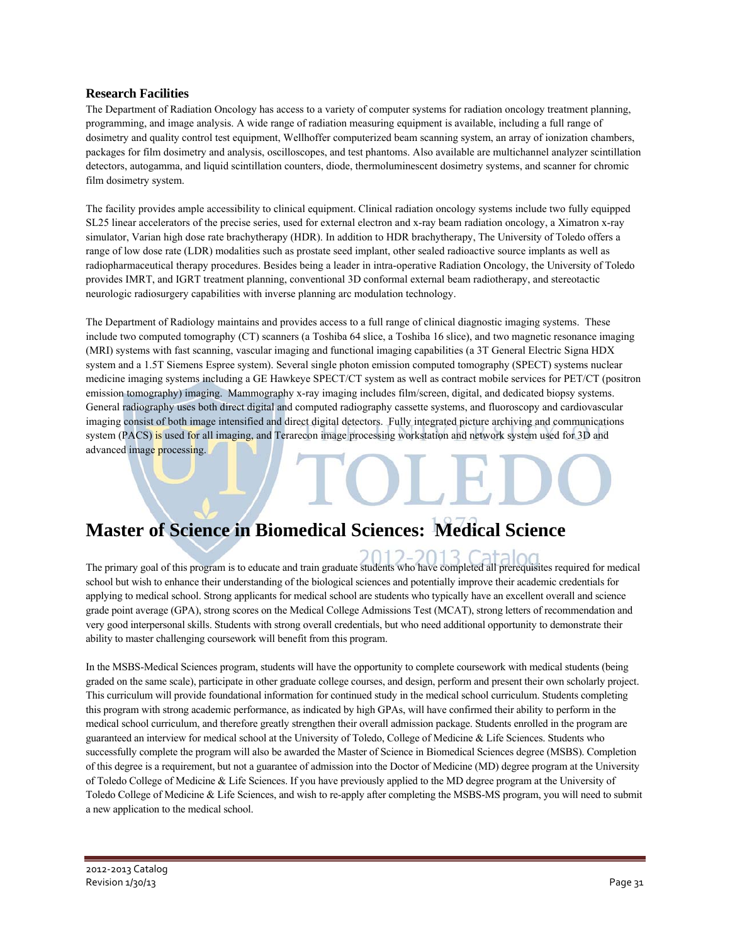### **Research Facilities**

The Department of Radiation Oncology has access to a variety of computer systems for radiation oncology treatment planning, programming, and image analysis. A wide range of radiation measuring equipment is available, including a full range of dosimetry and quality control test equipment, Wellhoffer computerized beam scanning system, an array of ionization chambers, packages for film dosimetry and analysis, oscilloscopes, and test phantoms. Also available are multichannel analyzer scintillation detectors, autogamma, and liquid scintillation counters, diode, thermoluminescent dosimetry systems, and scanner for chromic film dosimetry system.

The facility provides ample accessibility to clinical equipment. Clinical radiation oncology systems include two fully equipped SL25 linear accelerators of the precise series, used for external electron and x-ray beam radiation oncology, a Ximatron x-ray simulator, Varian high dose rate brachytherapy (HDR). In addition to HDR brachytherapy, The University of Toledo offers a range of low dose rate (LDR) modalities such as prostate seed implant, other sealed radioactive source implants as well as radiopharmaceutical therapy procedures. Besides being a leader in intra-operative Radiation Oncology, the University of Toledo provides IMRT, and IGRT treatment planning, conventional 3D conformal external beam radiotherapy, and stereotactic neurologic radiosurgery capabilities with inverse planning arc modulation technology.

The Department of Radiology maintains and provides access to a full range of clinical diagnostic imaging systems. These include two computed tomography (CT) scanners (a Toshiba 64 slice, a Toshiba 16 slice), and two magnetic resonance imaging (MRI) systems with fast scanning, vascular imaging and functional imaging capabilities (a 3T General Electric Signa HDX system and a 1.5T Siemens Espree system). Several single photon emission computed tomography (SPECT) systems nuclear medicine imaging systems including a GE Hawkeye SPECT/CT system as well as contract mobile services for PET/CT (positron emission tomography) imaging. Mammography x-ray imaging includes film/screen, digital, and dedicated biopsy systems. General radiography uses both direct digital and computed radiography cassette systems, and fluoroscopy and cardiovascular imaging consist of both image intensified and direct digital detectors. Fully integrated picture archiving and communications system (PACS) is used for all imaging, and Terarecon image processing workstation and network system used for 3D and advanced image processing.

## **Master of Science in Biomedical Sciences: Medical Science**

The primary goal of this program is to educate and train graduate students who have completed all prerequisites required for medical school but wish to enhance their understanding of the biological sciences and potentially improve their academic credentials for applying to medical school. Strong applicants for medical school are students who typically have an excellent overall and science grade point average (GPA), strong scores on the Medical College Admissions Test (MCAT), strong letters of recommendation and very good interpersonal skills. Students with strong overall credentials, but who need additional opportunity to demonstrate their ability to master challenging coursework will benefit from this program.

In the MSBS-Medical Sciences program, students will have the opportunity to complete coursework with medical students (being graded on the same scale), participate in other graduate college courses, and design, perform and present their own scholarly project. This curriculum will provide foundational information for continued study in the medical school curriculum. Students completing this program with strong academic performance, as indicated by high GPAs, will have confirmed their ability to perform in the medical school curriculum, and therefore greatly strengthen their overall admission package. Students enrolled in the program are guaranteed an interview for medical school at the University of Toledo, College of Medicine & Life Sciences. Students who successfully complete the program will also be awarded the Master of Science in Biomedical Sciences degree (MSBS). Completion of this degree is a requirement, but not a guarantee of admission into the Doctor of Medicine (MD) degree program at the University of Toledo College of Medicine & Life Sciences. If you have previously applied to the MD degree program at the University of Toledo College of Medicine & Life Sciences, and wish to re-apply after completing the MSBS-MS program, you will need to submit a new application to the medical school.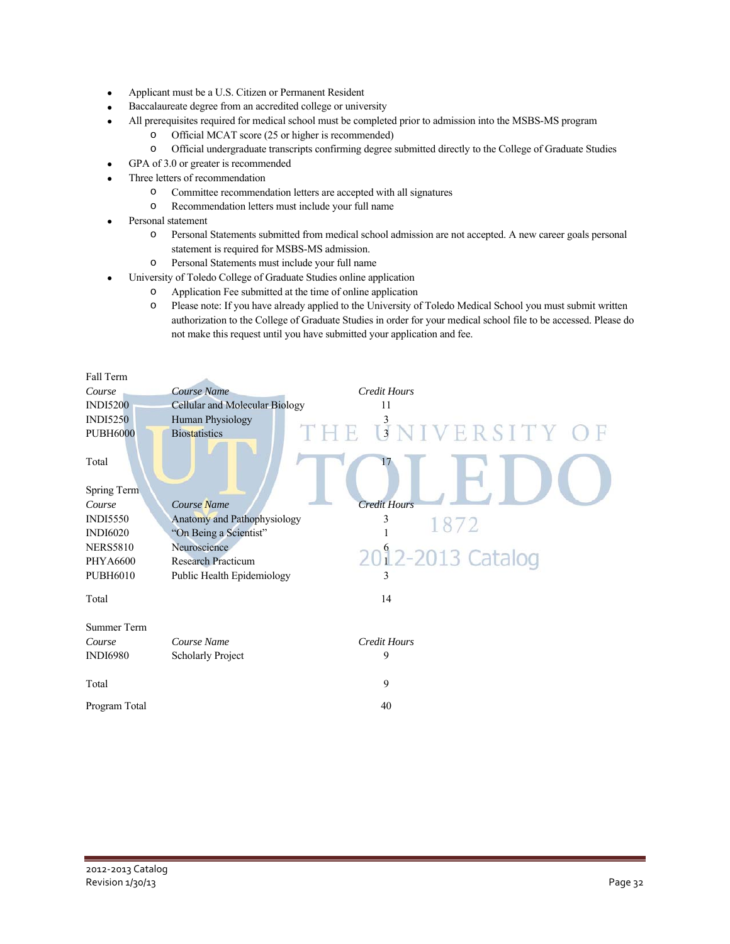- Applicant must be a U.S. Citizen or Permanent Resident
- Baccalaureate degree from an accredited college or university
- All prerequisites required for medical school must be completed prior to admission into the MSBS-MS program
	- o Official MCAT score (25 or higher is recommended)
	- o Official undergraduate transcripts confirming degree submitted directly to the College of Graduate Studies
- GPA of 3.0 or greater is recommended
- Three letters of recommendation
	- o Committee recommendation letters are accepted with all signatures
	- o Recommendation letters must include your full name
- Personal statement
	- o Personal Statements submitted from medical school admission are not accepted. A new career goals personal statement is required for MSBS-MS admission.
	- o Personal Statements must include your full name
- University of Toledo College of Graduate Studies online application
	- o Application Fee submitted at the time of online application
	- o Please note: If you have already applied to the University of Toledo Medical School you must submit written authorization to the College of Graduate Studies in order for your medical school file to be accessed. Please do not make this request until you have submitted your application and fee.

| Fall Term          |                                                |
|--------------------|------------------------------------------------|
| Course             | Course Name<br><b>Credit Hours</b>             |
| <b>INDI5200</b>    | <b>Cellular and Molecular Biology</b><br>11    |
| <b>INDI5250</b>    | Human Physiology                               |
| <b>PUBH6000</b>    | UNIVERSITY OF<br>E.<br><b>Biostatistics</b>    |
| Total              | 17                                             |
| Spring Term        |                                                |
| Course             | <b>Credit Hours</b><br>Course Name             |
| <b>INDI5550</b>    | Anatomy and Pathophysiology<br>3<br>1872       |
| <b>INDI6020</b>    | "On Being a Scientist"                         |
| <b>NERS5810</b>    | Neuroscience                                   |
| PHYA6600           | 2012-2013 Catalog<br><b>Research Practicum</b> |
| <b>PUBH6010</b>    | Public Health Epidemiology<br>3                |
| Total              | 14                                             |
| <b>Summer Term</b> |                                                |
| Course             | Course Name<br><b>Credit Hours</b>             |
| <b>INDI6980</b>    | 9<br><b>Scholarly Project</b>                  |
|                    |                                                |
| Total              | 9                                              |
| Program Total      | 40                                             |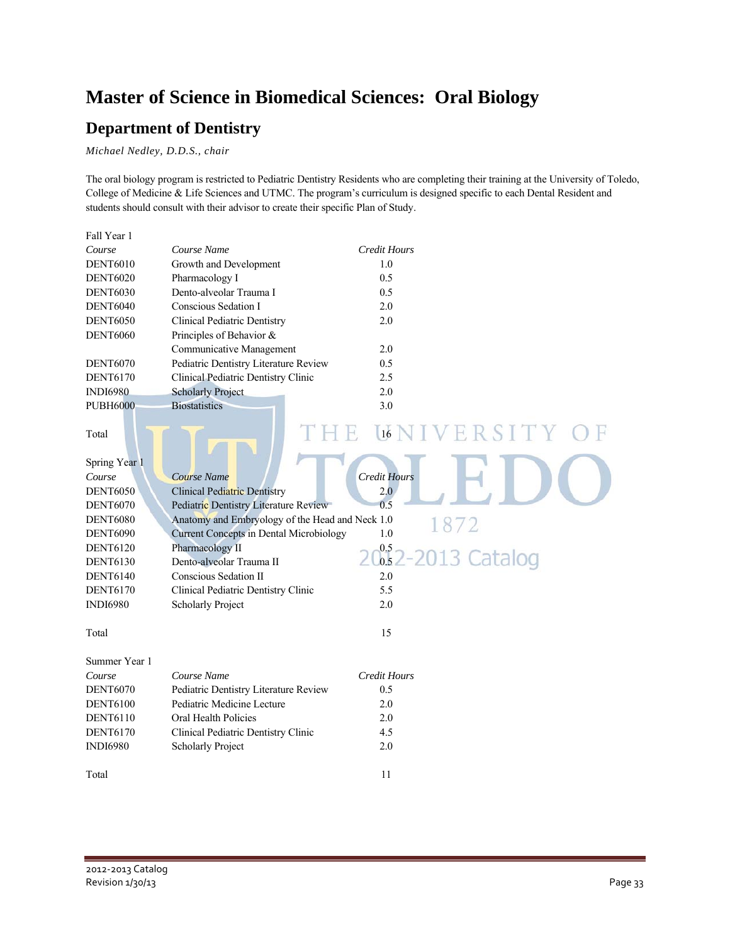## **Master of Science in Biomedical Sciences: Oral Biology**

### **Department of Dentistry**

*Michael Nedley, D.D.S., chair* 

The oral biology program is restricted to Pediatric Dentistry Residents who are completing their training at the University of Toledo, College of Medicine & Life Sciences and UTMC. The program's curriculum is designed specific to each Dental Resident and students should consult with their advisor to create their specific Plan of Study.

| Fall Year 1     |                                                 |                       |
|-----------------|-------------------------------------------------|-----------------------|
| Course          | Course Name                                     | <b>Credit Hours</b>   |
| <b>DENT6010</b> | Growth and Development                          | 1.0                   |
| <b>DENT6020</b> | Pharmacology I                                  | 0.5                   |
| <b>DENT6030</b> | Dento-alveolar Trauma I                         | 0.5                   |
| <b>DENT6040</b> | Conscious Sedation I                            | 2.0                   |
| <b>DENT6050</b> | <b>Clinical Pediatric Dentistry</b>             | 2.0                   |
| <b>DENT6060</b> | Principles of Behavior &                        |                       |
|                 | Communicative Management                        | 2.0                   |
| <b>DENT6070</b> | Pediatric Dentistry Literature Review           | 0.5                   |
| <b>DENT6170</b> | Clinical Pediatric Dentistry Clinic             | 2.5                   |
| <b>INDI6980</b> | <b>Scholarly Project</b>                        | 2.0                   |
| <b>PUBH6000</b> | <b>Biostatistics</b>                            | 3.0                   |
|                 |                                                 |                       |
| Total           | H,                                              | IVERSITY<br>16        |
|                 |                                                 |                       |
| Spring Year 1   |                                                 |                       |
| Course          | Course Name                                     | <b>Credit Hours</b>   |
| <b>DENT6050</b> | <b>Clinical Pediatric Dentistry</b>             | 2.0                   |
| <b>DENT6070</b> | Pediatric Dentistry Literature Review           | 0.5                   |
| <b>DENT6080</b> | Anatomy and Embryology of the Head and Neck 1.0 |                       |
| <b>DENT6090</b> | <b>Current Concepts in Dental Microbiology</b>  | 1872<br>1.0           |
| <b>DENT6120</b> | Pharmacology II                                 |                       |
| <b>DENT6130</b> | Dento-alveolar Trauma II                        | $0.52 - 2013$ Catalog |
| <b>DENT6140</b> | Conscious Sedation II                           | 2.0                   |
| <b>DENT6170</b> | Clinical Pediatric Dentistry Clinic             | 5.5                   |
| <b>INDI6980</b> | <b>Scholarly Project</b>                        | 2.0                   |
|                 |                                                 |                       |
| Total           |                                                 | 15                    |
|                 |                                                 |                       |
| Summer Year 1   |                                                 |                       |
| Course          | Course Name                                     | <b>Credit Hours</b>   |
| <b>DENT6070</b> | Pediatric Dentistry Literature Review           | 0.5                   |
| <b>DENT6100</b> | Pediatric Medicine Lecture                      | 2.0                   |
| <b>DENT6110</b> | Oral Health Policies                            | 2.0                   |
| <b>DENT6170</b> | Clinical Pediatric Dentistry Clinic             | 4.5                   |
| <b>INDI6980</b> | <b>Scholarly Project</b>                        | 2.0                   |
|                 |                                                 |                       |
| Total           |                                                 | 11                    |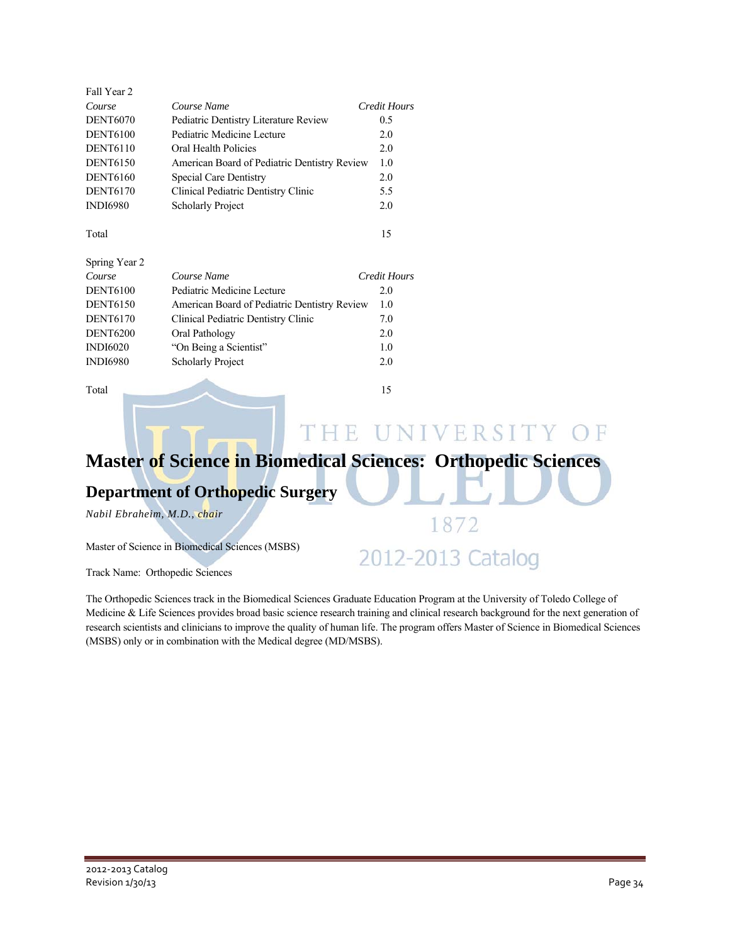| Fall Year 2     |                                              |              |
|-----------------|----------------------------------------------|--------------|
| Course          | Course Name                                  | Credit Hours |
| <b>DENT6070</b> | Pediatric Dentistry Literature Review        | 0.5          |
| <b>DENT6100</b> | Pediatric Medicine Lecture                   | 2.0          |
| <b>DENT6110</b> | Oral Health Policies                         | 2.0          |
| <b>DENT6150</b> | American Board of Pediatric Dentistry Review | 1.0          |
| <b>DENT6160</b> | <b>Special Care Dentistry</b>                | 2.0          |
| <b>DENT6170</b> | Clinical Pediatric Dentistry Clinic          | 5.5          |
| <b>INDI6980</b> | <b>Scholarly Project</b>                     | 2.0          |
| Total           |                                              | 15           |
| Spring Year 2   |                                              |              |
| Course          | Course Name                                  | Credit Hours |
| <b>DENT6100</b> | Pediatric Medicine Lecture                   | 2.0          |
| <b>DENT6150</b> | American Board of Pediatric Dentistry Review | 1.0          |
| <b>DENT6170</b> | Clinical Pediatric Dentistry Clinic          | 7.0          |
| <b>DENT6200</b> | Oral Pathology                               | 2.0          |
| <b>INDI6020</b> | "On Being a Scientist"                       | 1.0          |
| <b>INDI6980</b> | <b>Scholarly Project</b>                     | 2.0          |
|                 |                                              |              |

Total 15

THE UNIVERSITY OF

1872

2012-2013 Catalog

## **Master of Science in Biomedical Sciences: Orthopedic Sciences**

### **Department of Orthopedic Surgery**

*Nabil Ebraheim, M.D., chair* 

Master of Science in Biomedical Sciences (MSBS)

Track Name: Orthopedic Sciences

The Orthopedic Sciences track in the Biomedical Sciences Graduate Education Program at the University of Toledo College of Medicine & Life Sciences provides broad basic science research training and clinical research background for the next generation of research scientists and clinicians to improve the quality of human life. The program offers Master of Science in Biomedical Sciences (MSBS) only or in combination with the Medical degree (MD/MSBS).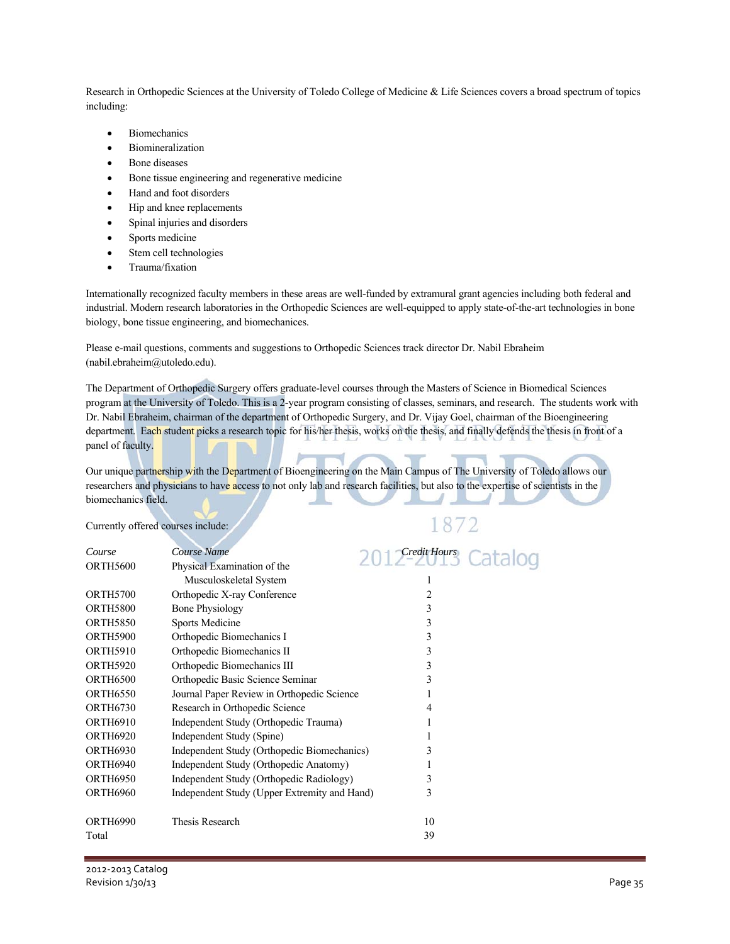Research in Orthopedic Sciences at the University of Toledo College of Medicine & Life Sciences covers a broad spectrum of topics including:

- Biomechanics
- Biomineralization
- Bone diseases
- Bone tissue engineering and regenerative medicine
- Hand and foot disorders
- Hip and knee replacements
- Spinal injuries and disorders
- Sports medicine
- Stem cell technologies
- Trauma/fixation

Internationally recognized faculty members in these areas are well-funded by extramural grant agencies including both federal and industrial. Modern research laboratories in the Orthopedic Sciences are well-equipped to apply state-of-the-art technologies in bone biology, bone tissue engineering, and biomechanices.

Please e-mail questions, comments and suggestions to Orthopedic Sciences track director Dr. Nabil Ebraheim (nabil.ebraheim@utoledo.edu).

The Department of Orthopedic Surgery offers graduate-level courses through the Masters of Science in Biomedical Sciences program at the University of Toledo. This is a 2-year program consisting of classes, seminars, and research. The students work with Dr. Nabil Ebraheim, chairman of the department of Orthopedic Surgery, and Dr. Vijay Goel, chairman of the Bioengineering department. Each student picks a research topic for his/her thesis, works on the thesis, and finally defends the thesis in front of a panel of faculty.

1872

Our unique partnership with the Department of Bioengineering on the Main Campus of The University of Toledo allows our researchers and physicians to have access to not only lab and research facilities, but also to the expertise of scientists in the biomechanics field.

Currently offered courses include:

| Course          | Course Name                                  | Credit Hours   |
|-----------------|----------------------------------------------|----------------|
| <b>ORTH5600</b> | Physical Examination of the                  |                |
|                 | Musculoskeletal System                       | 1              |
| <b>ORTH5700</b> | Orthopedic X-ray Conference                  | $\mathfrak{D}$ |
| <b>ORTH5800</b> | <b>Bone Physiology</b>                       | 3              |
| <b>ORTH5850</b> | <b>Sports Medicine</b>                       | 3              |
| <b>ORTH5900</b> | Orthopedic Biomechanics I                    | 3              |
| <b>ORTH5910</b> | Orthopedic Biomechanics II                   | 3              |
| <b>ORTH5920</b> | Orthopedic Biomechanics III                  | 3              |
| <b>ORTH6500</b> | Orthopedic Basic Science Seminar             | 3              |
| <b>ORTH6550</b> | Journal Paper Review in Orthopedic Science   |                |
| <b>ORTH6730</b> | Research in Orthopedic Science               | 4              |
| <b>ORTH6910</b> | Independent Study (Orthopedic Trauma)        |                |
| <b>ORTH6920</b> | Independent Study (Spine)                    |                |
| <b>ORTH6930</b> | Independent Study (Orthopedic Biomechanics)  | 3              |
| <b>ORTH6940</b> | Independent Study (Orthopedic Anatomy)       |                |
| <b>ORTH6950</b> | Independent Study (Orthopedic Radiology)     | 3              |
| ORTH6960        | Independent Study (Upper Extremity and Hand) | 3              |
| <b>ORTH6990</b> | <b>Thesis Research</b>                       | 10             |
| Total           |                                              | 39             |
|                 |                                              |                |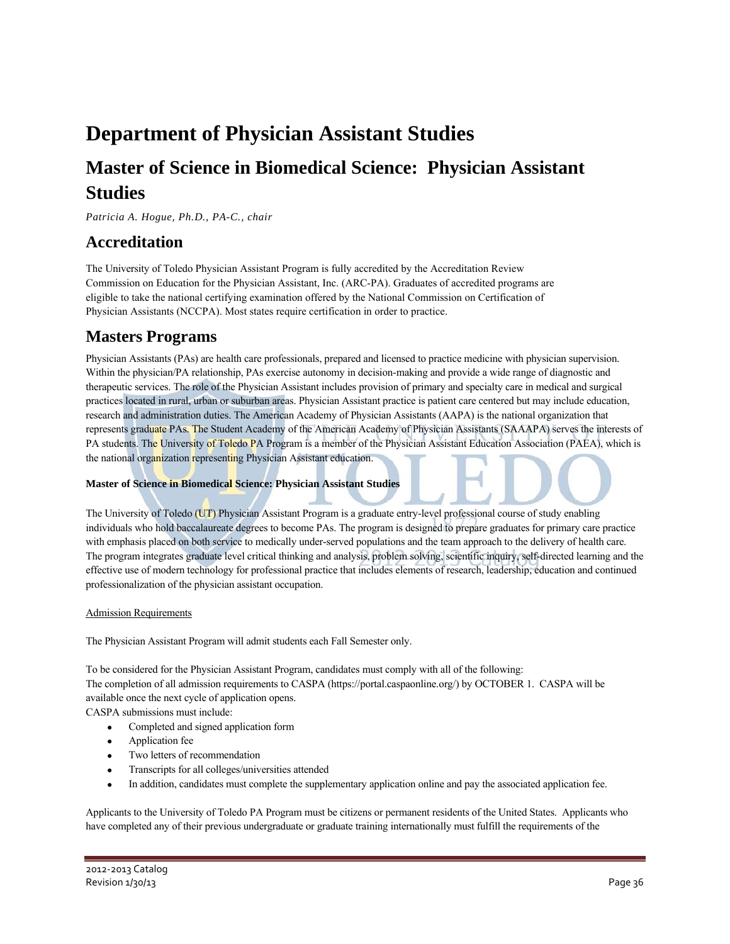## **Department of Physician Assistant Studies**

## **Master of Science in Biomedical Science: Physician Assistant Studies**

*Patricia A. Hogue, Ph.D., PA-C., chair* 

### **Accreditation**

The University of Toledo Physician Assistant Program is fully accredited by the Accreditation Review Commission on Education for the Physician Assistant, Inc. (ARC-PA). Graduates of accredited programs are eligible to take the national certifying examination offered by the National Commission on Certification of Physician Assistants (NCCPA). Most states require certification in order to practice.

### **Masters Programs**

Physician Assistants (PAs) are health care professionals, prepared and licensed to practice medicine with physician supervision. Within the physician/PA relationship, PAs exercise autonomy in decision-making and provide a wide range of diagnostic and therapeutic services. The role of the Physician Assistant includes provision of primary and specialty care in medical and surgical practices located in rural, urban or suburban areas. Physician Assistant practice is patient care centered but may include education, research and administration duties. The American Academy of Physician Assistants (AAPA) is the national organization that represents graduate PAs. The Student Academy of the American Academy of Physician Assistants (SAAAPA) serves the interests of PA students. The University of Toledo PA Program is a member of the Physician Assistant Education Association (PAEA), which is the national organization representing Physician Assistant education.

### **Master of Science in Biomedical Science: Physician Assistant Studies**

The University of Toledo (UT) Physician Assistant Program is a graduate entry-level professional course of study enabling individuals who hold baccalaureate degrees to become PAs. The program is designed to prepare graduates for primary care practice with emphasis placed on both service to medically under-served populations and the team approach to the delivery of health care. The program integrates graduate level critical thinking and analysis, problem solving, scientific inquiry, self-directed learning and the effective use of modern technology for professional practice that includes elements of research, leadership, education and continued professionalization of the physician assistant occupation.

### Admission Requirements

The Physician Assistant Program will admit students each Fall Semester only.

To be considered for the Physician Assistant Program, candidates must comply with all of the following: The completion of all admission requirements to CASPA (https://portal.caspaonline.org/) by OCTOBER 1. CASPA will be available once the next cycle of application opens.

- CASPA submissions must include: • Completed and signed application form
	-
	- Application fee
	- Two letters of recommendation
	- Transcripts for all colleges/universities attended
	- In addition, candidates must complete the supplementary application online and pay the associated application fee.

Applicants to the University of Toledo PA Program must be citizens or permanent residents of the United States. Applicants who have completed any of their previous undergraduate or graduate training internationally must fulfill the requirements of the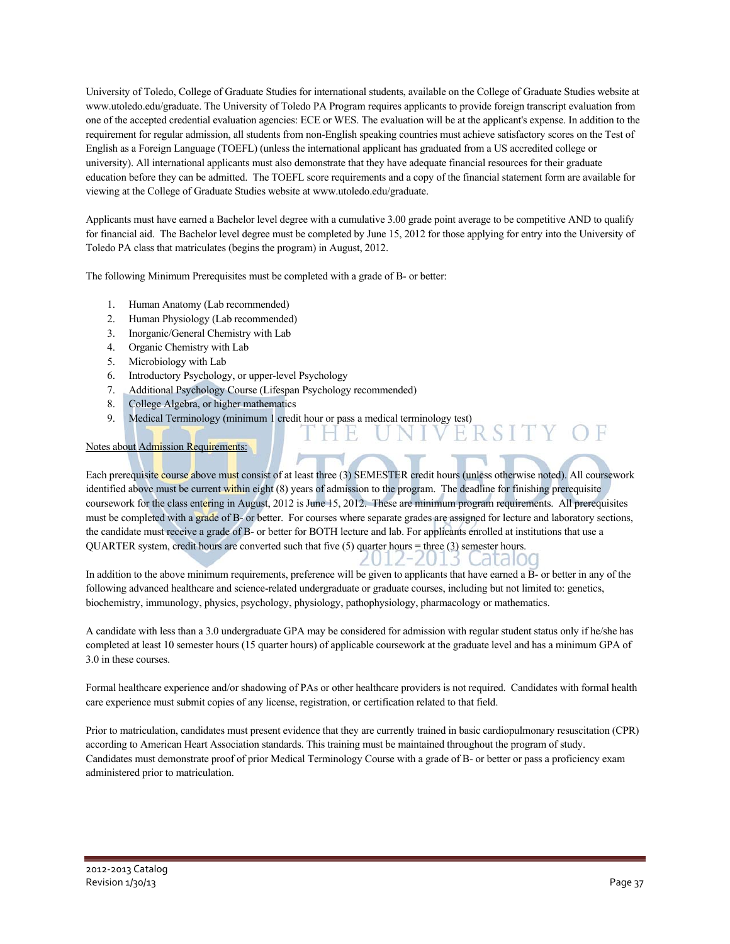University of Toledo, College of Graduate Studies for international students, available on the College of Graduate Studies website at www.utoledo.edu/graduate. The University of Toledo PA Program requires applicants to provide foreign transcript evaluation from one of the accepted credential evaluation agencies: ECE or WES. The evaluation will be at the applicant's expense. In addition to the requirement for regular admission, all students from non-English speaking countries must achieve satisfactory scores on the Test of English as a Foreign Language (TOEFL) (unless the international applicant has graduated from a US accredited college or university). All international applicants must also demonstrate that they have adequate financial resources for their graduate education before they can be admitted. The TOEFL score requirements and a copy of the financial statement form are available for viewing at the College of Graduate Studies website at www.utoledo.edu/graduate.

Applicants must have earned a Bachelor level degree with a cumulative 3.00 grade point average to be competitive AND to qualify for financial aid. The Bachelor level degree must be completed by June 15, 2012 for those applying for entry into the University of Toledo PA class that matriculates (begins the program) in August, 2012.

The following Minimum Prerequisites must be completed with a grade of B- or better:

- 1. Human Anatomy (Lab recommended)
- 2. Human Physiology (Lab recommended)
- 3. Inorganic/General Chemistry with Lab
- 4. Organic Chemistry with Lab
- 5. Microbiology with Lab
- 6. Introductory Psychology, or upper-level Psychology
- 7. Additional Psychology Course (Lifespan Psychology recommended)
- 8. College Algebra, or higher mathematics
- 9. Medical Terminology (minimum 1 credit hour or pass a medical terminology test)

#### Notes about Admission Requirements:

Each prerequisite course above must consist of at least three (3) SEMESTER credit hours (unless otherwise noted). All coursework identified above must be current within eight (8) years of admission to the program. The deadline for finishing prerequisite coursework for the class entering in August, 2012 is June 15, 2012. These are minimum program requirements. All prerequisites must be completed with a grade of B- or better. For courses where separate grades are assigned for lecture and laboratory sections, the candidate must receive a grade of B- or better for BOTH lecture and lab. For applicants enrolled at institutions that use a QUARTER system, credit hours are converted such that five  $(5)$  quarter hours  $\equiv$  three  $(3)$  semester hours.

In addition to the above minimum requirements, preference will be given to applicants that have earned a B- or better in any of the following advanced healthcare and science-related undergraduate or graduate courses, including but not limited to: genetics, biochemistry, immunology, physics, psychology, physiology, pathophysiology, pharmacology or mathematics.

2012-2013 Cataloo

A candidate with less than a 3.0 undergraduate GPA may be considered for admission with regular student status only if he/she has completed at least 10 semester hours (15 quarter hours) of applicable coursework at the graduate level and has a minimum GPA of 3.0 in these courses.

Formal healthcare experience and/or shadowing of PAs or other healthcare providers is not required. Candidates with formal health care experience must submit copies of any license, registration, or certification related to that field.

Prior to matriculation, candidates must present evidence that they are currently trained in basic cardiopulmonary resuscitation (CPR) according to American Heart Association standards. This training must be maintained throughout the program of study. Candidates must demonstrate proof of prior Medical Terminology Course with a grade of B- or better or pass a proficiency exam administered prior to matriculation.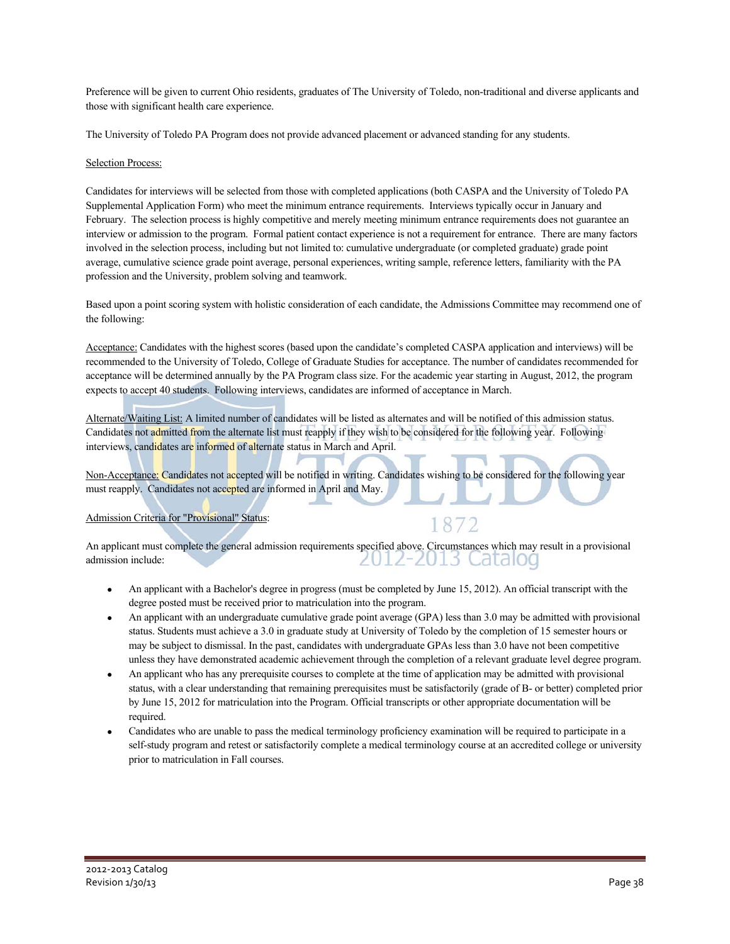Preference will be given to current Ohio residents, graduates of The University of Toledo, non-traditional and diverse applicants and those with significant health care experience.

The University of Toledo PA Program does not provide advanced placement or advanced standing for any students.

#### Selection Process:

Candidates for interviews will be selected from those with completed applications (both CASPA and the University of Toledo PA Supplemental Application Form) who meet the minimum entrance requirements. Interviews typically occur in January and February. The selection process is highly competitive and merely meeting minimum entrance requirements does not guarantee an interview or admission to the program. Formal patient contact experience is not a requirement for entrance. There are many factors involved in the selection process, including but not limited to: cumulative undergraduate (or completed graduate) grade point average, cumulative science grade point average, personal experiences, writing sample, reference letters, familiarity with the PA profession and the University, problem solving and teamwork.

Based upon a point scoring system with holistic consideration of each candidate, the Admissions Committee may recommend one of the following:

Acceptance: Candidates with the highest scores (based upon the candidate's completed CASPA application and interviews) will be recommended to the University of Toledo, College of Graduate Studies for acceptance. The number of candidates recommended for acceptance will be determined annually by the PA Program class size. For the academic year starting in August, 2012, the program expects to accept 40 students. Following interviews, candidates are informed of acceptance in March.

Alternate/Waiting List: A limited number of candidates will be listed as alternates and will be notified of this admission status. Candidates not admitted from the alternate list must reapply if they wish to be considered for the following year. Following interviews, candidates are informed of alternate status in March and April.

Non-Acceptance: Candidates not accepted will be notified in writing. Candidates wishing to be considered for the following year must reapply. Candidates not accepted are informed in April and May.

### Admission Criteria for "Provisional" Status:

An applicant must complete the general admission requirements specified above. Circumstances which may result in a provisional admission include: <u> 2012-2013 Catalog</u>

- An applicant with a Bachelor's degree in progress (must be completed by June 15, 2012). An official transcript with the degree posted must be received prior to matriculation into the program.
- An applicant with an undergraduate cumulative grade point average (GPA) less than 3.0 may be admitted with provisional status. Students must achieve a 3.0 in graduate study at University of Toledo by the completion of 15 semester hours or may be subject to dismissal. In the past, candidates with undergraduate GPAs less than 3.0 have not been competitive unless they have demonstrated academic achievement through the completion of a relevant graduate level degree program.
- An applicant who has any prerequisite courses to complete at the time of application may be admitted with provisional status, with a clear understanding that remaining prerequisites must be satisfactorily (grade of B- or better) completed prior by June 15, 2012 for matriculation into the Program. Official transcripts or other appropriate documentation will be required.
- Candidates who are unable to pass the medical terminology proficiency examination will be required to participate in a self-study program and retest or satisfactorily complete a medical terminology course at an accredited college or university prior to matriculation in Fall courses.

### 1872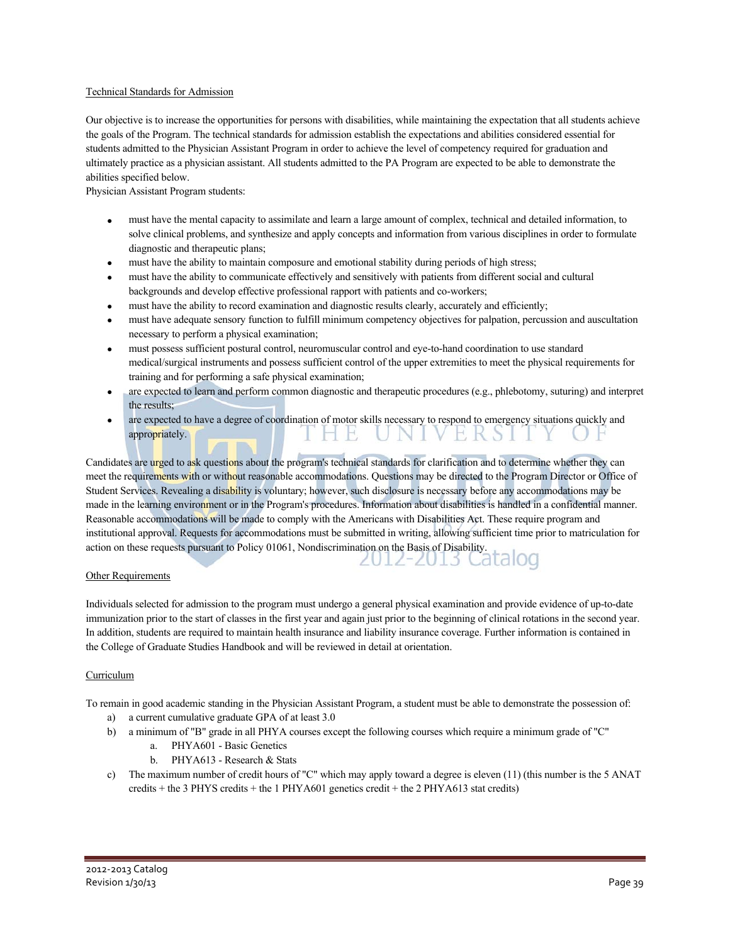#### Technical Standards for Admission

Our objective is to increase the opportunities for persons with disabilities, while maintaining the expectation that all students achieve the goals of the Program. The technical standards for admission establish the expectations and abilities considered essential for students admitted to the Physician Assistant Program in order to achieve the level of competency required for graduation and ultimately practice as a physician assistant. All students admitted to the PA Program are expected to be able to demonstrate the abilities specified below.

Physician Assistant Program students:

- must have the mental capacity to assimilate and learn a large amount of complex, technical and detailed information, to solve clinical problems, and synthesize and apply concepts and information from various disciplines in order to formulate diagnostic and therapeutic plans;
- must have the ability to maintain composure and emotional stability during periods of high stress;
- must have the ability to communicate effectively and sensitively with patients from different social and cultural backgrounds and develop effective professional rapport with patients and co-workers;
- must have the ability to record examination and diagnostic results clearly, accurately and efficiently;
- must have adequate sensory function to fulfill minimum competency objectives for palpation, percussion and auscultation necessary to perform a physical examination;
- must possess sufficient postural control, neuromuscular control and eye-to-hand coordination to use standard medical/surgical instruments and possess sufficient control of the upper extremities to meet the physical requirements for training and for performing a safe physical examination;
- are expected to learn and perform common diagnostic and therapeutic procedures (e.g., phlebotomy, suturing) and interpret the results;
- are expected to have a degree of coordination of motor skills necessary to respond to emergency situations quickly and appropriately. VIVERSI

Candidates are urged to ask questions about the program's technical standards for clarification and to determine whether they can meet the requirements with or without reasonable accommodations. Questions may be directed to the Program Director or Office of Student Services. Revealing a disability is voluntary; however, such disclosure is necessary before any accommodations may be made in the learning environment or in the Program's procedures. Information about disabilities is handled in a confidential manner. Reasonable accommodations will be made to comply with the Americans with Disabilities Act. These require program and institutional approval. Requests for accommodations must be submitted in writing, allowing sufficient time prior to matriculation for action on these requests pursuant to Policy 01061, Nondiscrimination on the Basis of Disability.

#### Other Requirements

Individuals selected for admission to the program must undergo a general physical examination and provide evidence of up-to-date immunization prior to the start of classes in the first year and again just prior to the beginning of clinical rotations in the second year. In addition, students are required to maintain health insurance and liability insurance coverage. Further information is contained in the College of Graduate Studies Handbook and will be reviewed in detail at orientation.

#### Curriculum

To remain in good academic standing in the Physician Assistant Program, a student must be able to demonstrate the possession of:

- a) a current cumulative graduate GPA of at least 3.0
- b) a minimum of "B" grade in all PHYA courses except the following courses which require a minimum grade of "C"
	- a. PHYA601 Basic Genetics
	- b. PHYA613 Research & Stats
- c) The maximum number of credit hours of "C" which may apply toward a degree is eleven (11) (this number is the 5 ANAT credits + the 3 PHYS credits + the 1 PHYA601 genetics credit + the 2 PHYA613 stat credits)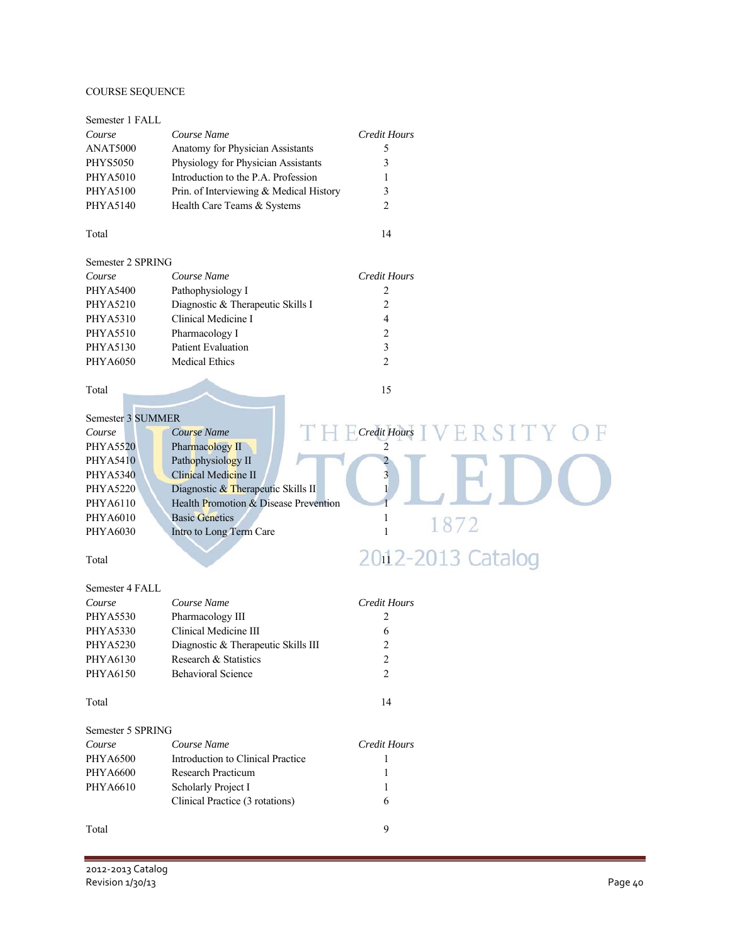### COURSE SEQUENCE

| Course Name<br><b>Credit Hours</b><br>Course<br>ANAT5000<br>Anatomy for Physician Assistants<br>5 |  |
|---------------------------------------------------------------------------------------------------|--|
|                                                                                                   |  |
|                                                                                                   |  |
| Physiology for Physician Assistants<br>3<br><b>PHYS5050</b>                                       |  |
| Introduction to the P.A. Profession<br><b>PHYA5010</b><br>1                                       |  |
| Prin. of Interviewing & Medical History<br>3<br><b>PHYA5100</b>                                   |  |
| PHYA5140<br>Health Care Teams & Systems<br>2                                                      |  |
| 14<br>Total                                                                                       |  |
| Semester 2 SPRING                                                                                 |  |
| Course Name<br><b>Credit Hours</b><br>Course                                                      |  |
| <b>PHYA5400</b><br>Pathophysiology I<br>2                                                         |  |
| Diagnostic & Therapeutic Skills I<br>$\overline{c}$<br><b>PHYA5210</b>                            |  |
| PHYA5310<br>Clinical Medicine I<br>4                                                              |  |
| $\overline{c}$<br><b>PHYA5510</b><br>Pharmacology I                                               |  |
| 3<br><b>Patient Evaluation</b><br><b>PHYA5130</b>                                                 |  |
| <b>Medical Ethics</b><br>2<br><b>PHYA6050</b>                                                     |  |
|                                                                                                   |  |
| 15<br>Total                                                                                       |  |
|                                                                                                   |  |
| Semester 3 SUMMER                                                                                 |  |
| $\overline{C}$ Credit Hours<br>RSITY<br><b>Course Name</b><br>Course                              |  |
| Pharmacology II<br><b>PHYA5520</b>                                                                |  |
| Pathophysiology II<br><b>PHYA5410</b>                                                             |  |
| Clinical Medicine II<br><b>PHYA5340</b><br>3                                                      |  |
| Diagnostic & Therapeutic Skills II<br><b>PHYA5220</b>                                             |  |
| PHYA6110<br>Health Promotion & Disease Prevention                                                 |  |
| PHYA6010<br><b>Basic Genetics</b><br>1<br>1872                                                    |  |
|                                                                                                   |  |
| $\mathbf{1}$<br>PHYA6030<br>Intro to Long Term Care                                               |  |
|                                                                                                   |  |
| 2012-2013 Catalog<br>Total                                                                        |  |
| Semester 4 FALL                                                                                   |  |
| <b>Credit Hours</b><br>Course Name<br>Course                                                      |  |
| <b>PHYA5530</b><br>Pharmacology III<br>2                                                          |  |
| Clinical Medicine III<br><b>PHYA5330</b><br>6                                                     |  |
| 2<br><b>PHYA5230</b><br>Diagnostic & Therapeutic Skills III                                       |  |
| PHYA6130<br>Research & Statistics                                                                 |  |
| $\overline{\mathbf{c}}$<br>PHYA6150<br>2<br><b>Behavioral Science</b>                             |  |
| 14<br>Total                                                                                       |  |
| Semester 5 SPRING                                                                                 |  |
| Course Name<br><b>Credit Hours</b><br>Course                                                      |  |
| <b>PHYA6500</b><br>Introduction to Clinical Practice<br>1                                         |  |
| <b>PHYA6600</b><br>Research Practicum<br>1                                                        |  |
| PHYA6610                                                                                          |  |
| Scholarly Project I<br>Clinical Practice (3 rotations)<br>6                                       |  |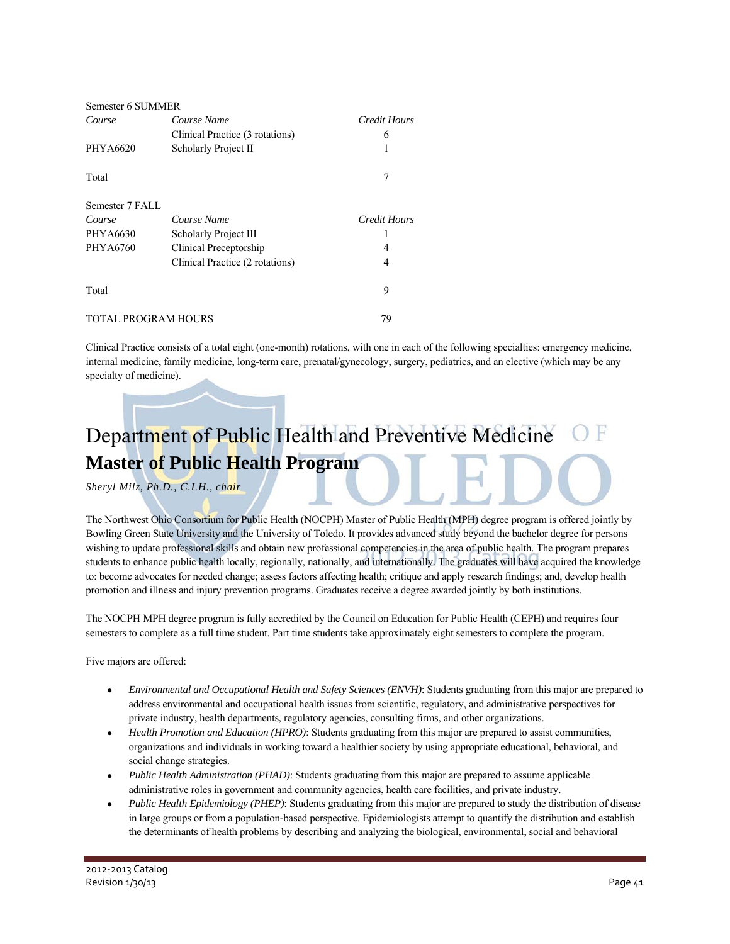| Semester 6 SUMMER |                                 |              |
|-------------------|---------------------------------|--------------|
| Course            | Course Name                     | Credit Hours |
|                   | Clinical Practice (3 rotations) | 6            |
| PHYA6620          | Scholarly Project II            | 1            |
| Total             |                                 | 7            |
| Semester 7 FALL   |                                 |              |
|                   | Course Name                     |              |
| Course            |                                 | Credit Hours |
| PHYA6630          | Scholarly Project III           |              |
| <b>PHYA6760</b>   | Clinical Preceptorship          | 4            |
|                   | Clinical Practice (2 rotations) | 4            |
| Total             |                                 | 9            |

Clinical Practice consists of a total eight (one-month) rotations, with one in each of the following specialties: emergency medicine, internal medicine, family medicine, long-term care, prenatal/gynecology, surgery, pediatrics, and an elective (which may be any specialty of medicine).

## Department of Public Health and Preventive Medicine **Master of Public Health Program**

### *Sheryl Milz, Ph.D., C.I.H., chair*

The Northwest Ohio Consortium for Public Health (NOCPH) Master of Public Health (MPH) degree program is offered jointly by Bowling Green State University and the University of Toledo. It provides advanced study beyond the bachelor degree for persons wishing to update professional skills and obtain new professional competencies in the area of public health. The program prepares students to enhance public health locally, regionally, nationally, and internationally. The graduates will have acquired the knowledge to: become advocates for needed change; assess factors affecting health; critique and apply research findings; and, develop health promotion and illness and injury prevention programs. Graduates receive a degree awarded jointly by both institutions.

The NOCPH MPH degree program is fully accredited by the Council on Education for Public Health (CEPH) and requires four semesters to complete as a full time student. Part time students take approximately eight semesters to complete the program.

Five majors are offered:

- *Environmental and Occupational Health and Safety Sciences (ENVH)*: Students graduating from this major are prepared to address environmental and occupational health issues from scientific, regulatory, and administrative perspectives for private industry, health departments, regulatory agencies, consulting firms, and other organizations.
- *Health Promotion and Education (HPRO)*: Students graduating from this major are prepared to assist communities, organizations and individuals in working toward a healthier society by using appropriate educational, behavioral, and social change strategies.
- *Public Health Administration (PHAD)*: Students graduating from this major are prepared to assume applicable administrative roles in government and community agencies, health care facilities, and private industry.
- *Public Health Epidemiology (PHEP)*: Students graduating from this major are prepared to study the distribution of disease in large groups or from a population-based perspective. Epidemiologists attempt to quantify the distribution and establish the determinants of health problems by describing and analyzing the biological, environmental, social and behavioral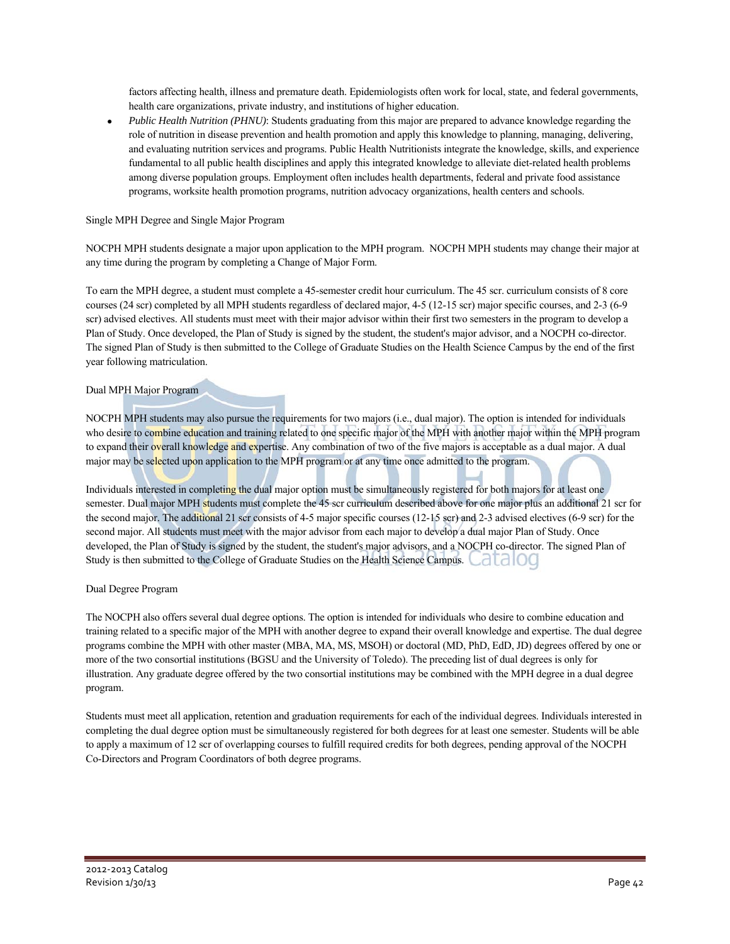factors affecting health, illness and premature death. Epidemiologists often work for local, state, and federal governments, health care organizations, private industry, and institutions of higher education.

 *Public Health Nutrition (PHNU)*: Students graduating from this major are prepared to advance knowledge regarding the role of nutrition in disease prevention and health promotion and apply this knowledge to planning, managing, delivering, and evaluating nutrition services and programs. Public Health Nutritionists integrate the knowledge, skills, and experience fundamental to all public health disciplines and apply this integrated knowledge to alleviate diet-related health problems among diverse population groups. Employment often includes health departments, federal and private food assistance programs, worksite health promotion programs, nutrition advocacy organizations, health centers and schools.

### Single MPH Degree and Single Major Program

NOCPH MPH students designate a major upon application to the MPH program. NOCPH MPH students may change their major at any time during the program by completing a Change of Major Form.

To earn the MPH degree, a student must complete a 45-semester credit hour curriculum. The 45 scr. curriculum consists of 8 core courses (24 scr) completed by all MPH students regardless of declared major, 4-5 (12-15 scr) major specific courses, and 2-3 (6-9 scr) advised electives. All students must meet with their major advisor within their first two semesters in the program to develop a Plan of Study. Once developed, the Plan of Study is signed by the student, the student's major advisor, and a NOCPH co-director. The signed Plan of Study is then submitted to the College of Graduate Studies on the Health Science Campus by the end of the first year following matriculation.

### Dual MPH Major Program

NOCPH MPH students may also pursue the requirements for two majors (i.e., dual major). The option is intended for individuals who desire to combine education and training related to one specific major of the MPH with another major within the MPH program to expand their overall knowledge and expertise. Any combination of two of the five majors is acceptable as a dual major. A dual major may be selected upon application to the MPH program or at any time once admitted to the program.

Individuals interested in completing the dual major option must be simultaneously registered for both majors for at least one semester. Dual major MPH students must complete the 45 scr curriculum described above for one major plus an additional 21 scr for the second major. The additional 21 scr consists of 4-5 major specific courses (12-15 scr) and 2-3 advised electives (6-9 scr) for the second major. All students must meet with the major advisor from each major to develop a dual major Plan of Study. Once developed, the Plan of Study is signed by the student, the student's major advisors, and a NOCPH co-director. The signed Plan of Study is then submitted to the College of Graduate Studies on the Health Science Campus. Lated IOC

#### Dual Degree Program

The NOCPH also offers several dual degree options. The option is intended for individuals who desire to combine education and training related to a specific major of the MPH with another degree to expand their overall knowledge and expertise. The dual degree programs combine the MPH with other master (MBA, MA, MS, MSOH) or doctoral (MD, PhD, EdD, JD) degrees offered by one or more of the two consortial institutions (BGSU and the University of Toledo). The preceding list of dual degrees is only for illustration. Any graduate degree offered by the two consortial institutions may be combined with the MPH degree in a dual degree program.

Students must meet all application, retention and graduation requirements for each of the individual degrees. Individuals interested in completing the dual degree option must be simultaneously registered for both degrees for at least one semester. Students will be able to apply a maximum of 12 scr of overlapping courses to fulfill required credits for both degrees, pending approval of the NOCPH Co-Directors and Program Coordinators of both degree programs.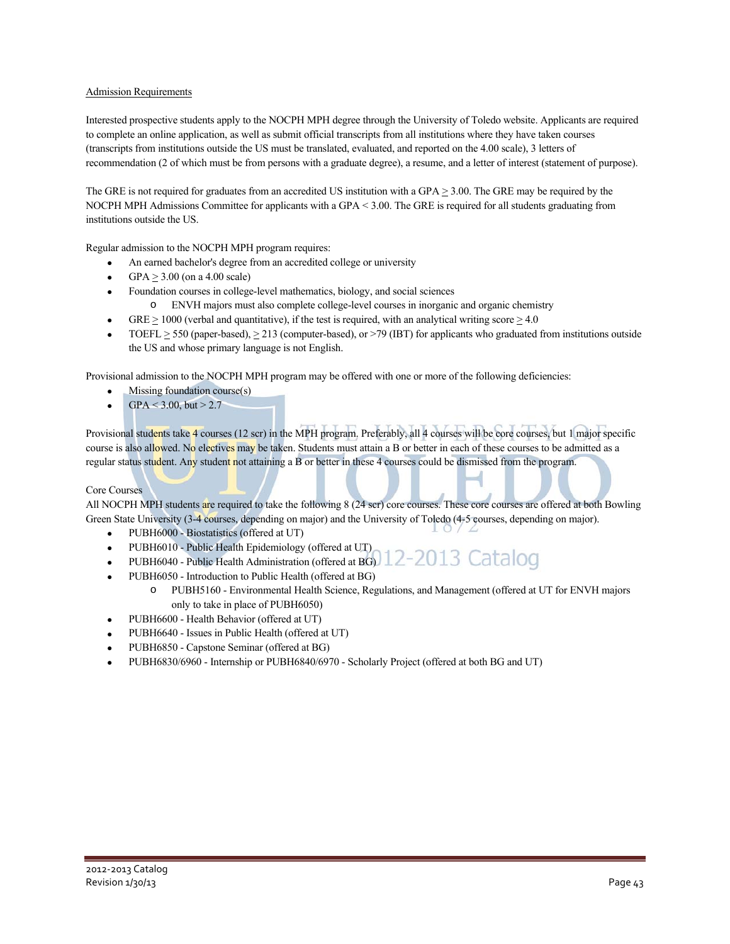### Admission Requirements

Interested prospective students apply to the NOCPH MPH degree through the University of Toledo website. Applicants are required to complete an online application, as well as submit official transcripts from all institutions where they have taken courses (transcripts from institutions outside the US must be translated, evaluated, and reported on the 4.00 scale), 3 letters of recommendation (2 of which must be from persons with a graduate degree), a resume, and a letter of interest (statement of purpose).

The GRE is not required for graduates from an accredited US institution with a GPA  $\geq$  3.00. The GRE may be required by the NOCPH MPH Admissions Committee for applicants with a GPA < 3.00. The GRE is required for all students graduating from institutions outside the US.

Regular admission to the NOCPH MPH program requires:

- An earned bachelor's degree from an accredited college or university
- GPA  $\geq$  3.00 (on a 4.00 scale)
- Foundation courses in college-level mathematics, biology, and social sciences
	- o ENVH majors must also complete college-level courses in inorganic and organic chemistry
- GRE  $\geq$  1000 (verbal and quantitative), if the test is required, with an analytical writing score  $\geq$  4.0
- TOEFL  $\geq$  550 (paper-based),  $\geq$  213 (computer-based), or >79 (IBT) for applicants who graduated from institutions outside the US and whose primary language is not English.

Provisional admission to the NOCPH MPH program may be offered with one or more of the following deficiencies:

- Missing foundation course(s)
- $GPA < 3.00$ , but  $> 2.7$

Provisional students take 4 courses (12 scr) in the MPH program. Preferably, all 4 courses will be core courses, but 1 major specific course is also allowed. No electives may be taken. Students must attain a B or better in each of these courses to be admitted as a regular status student. Any student not attaining a B or better in these 4 courses could be dismissed from the program.

#### Core Courses

All NOCPH MPH students are required to take the following 8 (24 scr) core courses. These core courses are offered at both Bowling Green State University (3-4 courses, depending on major) and the University of Toledo (4-5 courses, depending on major).

- PUBH6000 Biostatistics (offered at UT)
- PUBH6010 Public Health Epidemiology (offered at UT)
- 13 Catalog PUBH6040 - Public Health Administration (offered at BG)
- PUBH6050 Introduction to Public Health (offered at BG)
	- o PUBH5160 Environmental Health Science, Regulations, and Management (offered at UT for ENVH majors only to take in place of PUBH6050)
- PUBH6600 Health Behavior (offered at UT)
- PUBH6640 Issues in Public Health (offered at UT)
- PUBH6850 Capstone Seminar (offered at BG)
- PUBH6830/6960 Internship or PUBH6840/6970 Scholarly Project (offered at both BG and UT)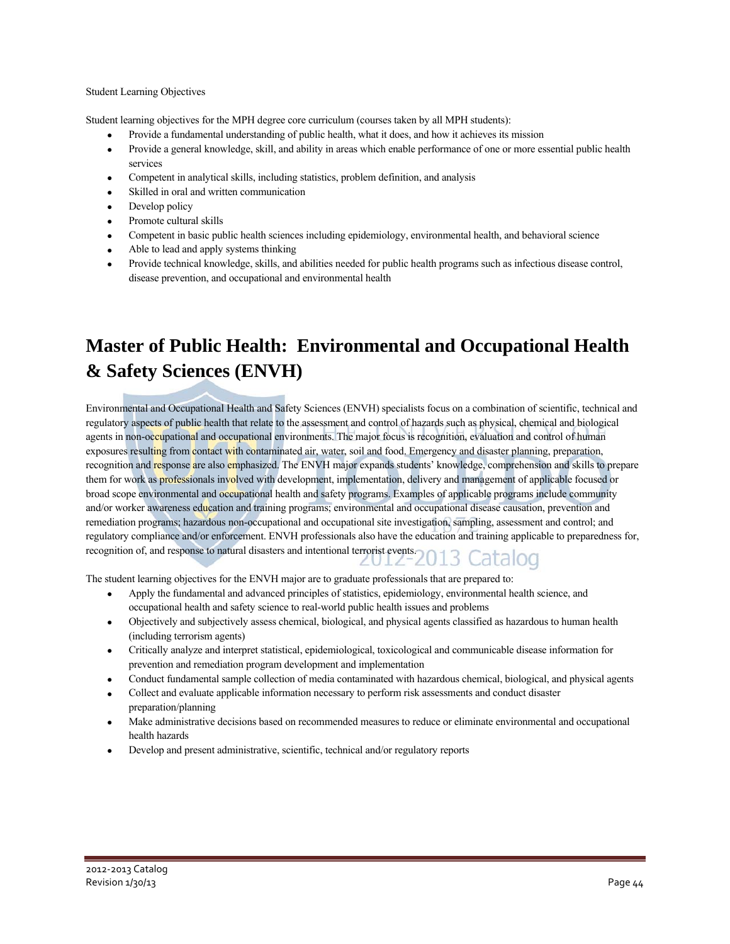#### Student Learning Objectives

Student learning objectives for the MPH degree core curriculum (courses taken by all MPH students):

- Provide a fundamental understanding of public health, what it does, and how it achieves its mission
- Provide a general knowledge, skill, and ability in areas which enable performance of one or more essential public health services
- Competent in analytical skills, including statistics, problem definition, and analysis
- Skilled in oral and written communication
- Develop policy
- Promote cultural skills
- Competent in basic public health sciences including epidemiology, environmental health, and behavioral science
- Able to lead and apply systems thinking
- Provide technical knowledge, skills, and abilities needed for public health programs such as infectious disease control, disease prevention, and occupational and environmental health

## **Master of Public Health: Environmental and Occupational Health & Safety Sciences (ENVH)**

Environmental and Occupational Health and Safety Sciences (ENVH) specialists focus on a combination of scientific, technical and regulatory aspects of public health that relate to the assessment and control of hazards such as physical, chemical and biological agents in non-occupational and occupational environments. The major focus is recognition, evaluation and control of human exposures resulting from contact with contaminated air, water, soil and food. Emergency and disaster planning, preparation, recognition and response are also emphasized. The ENVH major expands students' knowledge, comprehension and skills to prepare them for work as professionals involved with development, implementation, delivery and management of applicable focused or broad scope environmental and occupational health and safety programs. Examples of applicable programs include community and/or worker awareness education and training programs; environmental and occupational disease causation, prevention and remediation programs; hazardous non-occupational and occupational site investigation, sampling, assessment and control; and regulatory compliance and/or enforcement. ENVH professionals also have the education and training applicable to preparedness for, recognition of, and response to natural disasters and intentional terrorist events. OO

The student learning objectives for the ENVH major are to graduate professionals that are prepared to:

- Apply the fundamental and advanced principles of statistics, epidemiology, environmental health science, and occupational health and safety science to real-world public health issues and problems
- Objectively and subjectively assess chemical, biological, and physical agents classified as hazardous to human health (including terrorism agents)
- Critically analyze and interpret statistical, epidemiological, toxicological and communicable disease information for prevention and remediation program development and implementation
- Conduct fundamental sample collection of media contaminated with hazardous chemical, biological, and physical agents
- Collect and evaluate applicable information necessary to perform risk assessments and conduct disaster preparation/planning
- Make administrative decisions based on recommended measures to reduce or eliminate environmental and occupational health hazards
- Develop and present administrative, scientific, technical and/or regulatory reports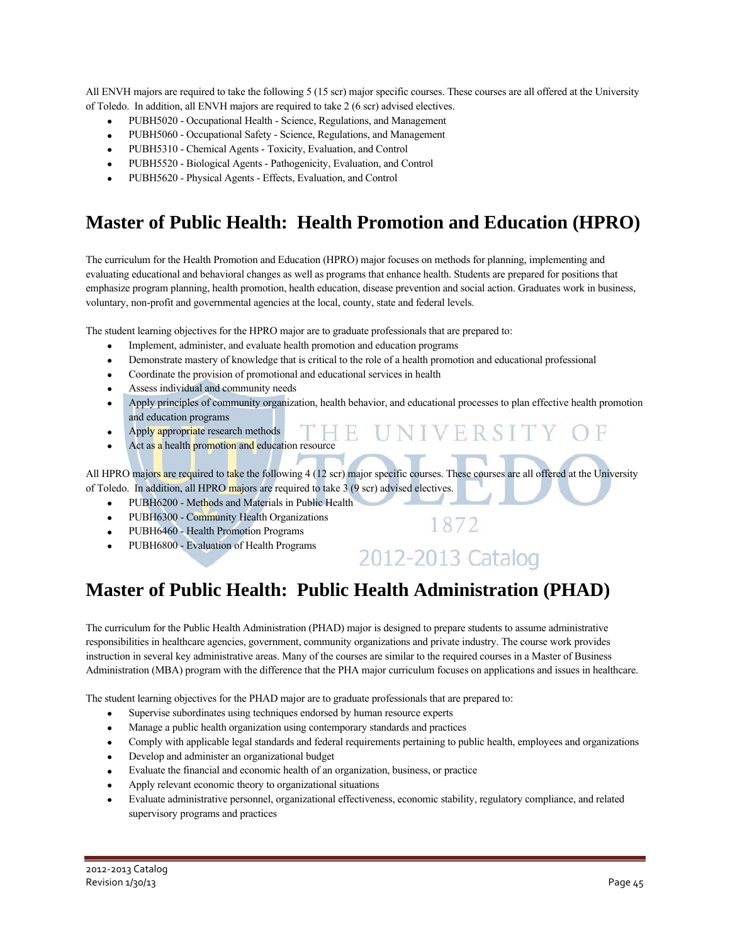All ENVH majors are required to take the following 5 (15 scr) major specific courses. These courses are all offered at the University of Toledo. In addition, all ENVH majors are required to take 2 (6 scr) advised electives.

- PUBH5020 Occupational Health Science, Regulations, and Management
- PUBH5060 Occupational Safety Science, Regulations, and Management
- PUBH5310 Chemical Agents Toxicity, Evaluation, and Control
- PUBH5520 Biological Agents Pathogenicity, Evaluation, and Control
- PUBH5620 Physical Agents Effects, Evaluation, and Control

## **Master of Public Health: Health Promotion and Education (HPRO)**

The curriculum for the Health Promotion and Education (HPRO) major focuses on methods for planning, implementing and evaluating educational and behavioral changes as well as programs that enhance health. Students are prepared for positions that emphasize program planning, health promotion, health education, disease prevention and social action. Graduates work in business, voluntary, non-profit and governmental agencies at the local, county, state and federal levels.

The student learning objectives for the HPRO major are to graduate professionals that are prepared to:

- Implement, administer, and evaluate health promotion and education programs
- Demonstrate mastery of knowledge that is critical to the role of a health promotion and educational professional
- Coordinate the provision of promotional and educational services in health
- Assess individual and community needs
- Apply principles of community organization, health behavior, and educational processes to plan effective health promotion and education programs
- Apply appropriate research methods
- Act as a health promotion and education resource

All HPRO majors are required to take the following 4 (12 scr) major specific courses. These courses are all offered at the University of Toledo. In addition, all HPRO majors are required to take 3 (9 scr) advised electives.

- PUBH6200 Methods and Materials in Public Health
- PUBH6300 Community Health Organizations
- PUBH6460 Health Promotion Programs
- PUBH6800 Evaluation of Health Programs

## 2012-2013 Catalog

1872

UNIVERSITY

### **Master of Public Health: Public Health Administration (PHAD)**

The curriculum for the Public Health Administration (PHAD) major is designed to prepare students to assume administrative responsibilities in healthcare agencies, government, community organizations and private industry. The course work provides instruction in several key administrative areas. Many of the courses are similar to the required courses in a Master of Business Administration (MBA) program with the difference that the PHA major curriculum focuses on applications and issues in healthcare.

The student learning objectives for the PHAD major are to graduate professionals that are prepared to:

- Supervise subordinates using techniques endorsed by human resource experts
- Manage a public health organization using contemporary standards and practices
- Comply with applicable legal standards and federal requirements pertaining to public health, employees and organizations
- Develop and administer an organizational budget
- Evaluate the financial and economic health of an organization, business, or practice
- Apply relevant economic theory to organizational situations
- Evaluate administrative personnel, organizational effectiveness, economic stability, regulatory compliance, and related supervisory programs and practices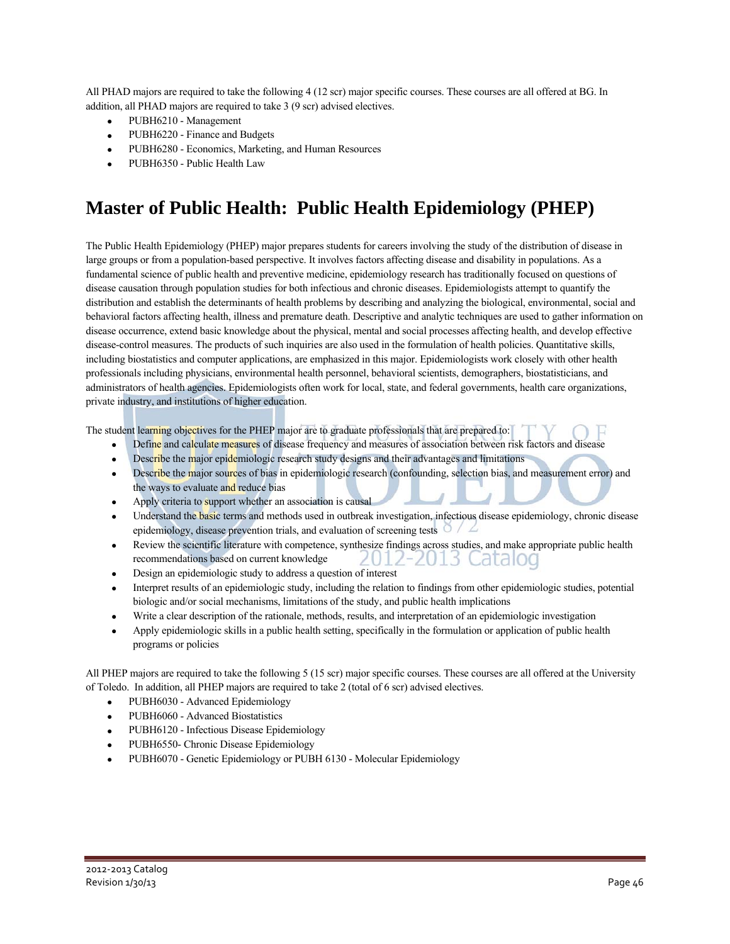All PHAD majors are required to take the following 4 (12 scr) major specific courses. These courses are all offered at BG. In addition, all PHAD majors are required to take 3 (9 scr) advised electives.

- PUBH6210 Management
- PUBH6220 Finance and Budgets
- PUBH6280 Economics, Marketing, and Human Resources
- PUBH6350 Public Health Law

## **Master of Public Health: Public Health Epidemiology (PHEP)**

The Public Health Epidemiology (PHEP) major prepares students for careers involving the study of the distribution of disease in large groups or from a population-based perspective. It involves factors affecting disease and disability in populations. As a fundamental science of public health and preventive medicine, epidemiology research has traditionally focused on questions of disease causation through population studies for both infectious and chronic diseases. Epidemiologists attempt to quantify the distribution and establish the determinants of health problems by describing and analyzing the biological, environmental, social and behavioral factors affecting health, illness and premature death. Descriptive and analytic techniques are used to gather information on disease occurrence, extend basic knowledge about the physical, mental and social processes affecting health, and develop effective disease-control measures. The products of such inquiries are also used in the formulation of health policies. Quantitative skills, including biostatistics and computer applications, are emphasized in this major. Epidemiologists work closely with other health professionals including physicians, environmental health personnel, behavioral scientists, demographers, biostatisticians, and administrators of health agencies. Epidemiologists often work for local, state, and federal governments, health care organizations, private industry, and institutions of higher education.

The student learning objectives for the PHEP major are to graduate professionals that are prepared to:

- Define and calculate measures of disease frequency and measures of association between risk factors and disease
- Describe the major epidemiologic research study designs and their advantages and limitations
- Describe the major sources of bias in epidemiologic research (confounding, selection bias, and measurement error) and the ways to evaluate and reduce bias
- Apply criteria to support whether an association is causal
- Understand the basic terms and methods used in outbreak investigation, infectious disease epidemiology, chronic disease epidemiology, disease prevention trials, and evaluation of screening tests  $\circ$
- Review the scientific literature with competence, synthesize findings across studies, and make appropriate public health recommendations based on current knowledge  $1 - 1$ 13 Catalog
- Design an epidemiologic study to address a question of interest
- Interpret results of an epidemiologic study, including the relation to findings from other epidemiologic studies, potential biologic and/or social mechanisms, limitations of the study, and public health implications
- Write a clear description of the rationale, methods, results, and interpretation of an epidemiologic investigation
- Apply epidemiologic skills in a public health setting, specifically in the formulation or application of public health programs or policies

All PHEP majors are required to take the following 5 (15 scr) major specific courses. These courses are all offered at the University of Toledo. In addition, all PHEP majors are required to take 2 (total of 6 scr) advised electives.

- PUBH6030 Advanced Epidemiology
- PUBH6060 Advanced Biostatistics
- PUBH6120 Infectious Disease Epidemiology
- PUBH6550- Chronic Disease Epidemiology
- PUBH6070 Genetic Epidemiology or PUBH 6130 Molecular Epidemiology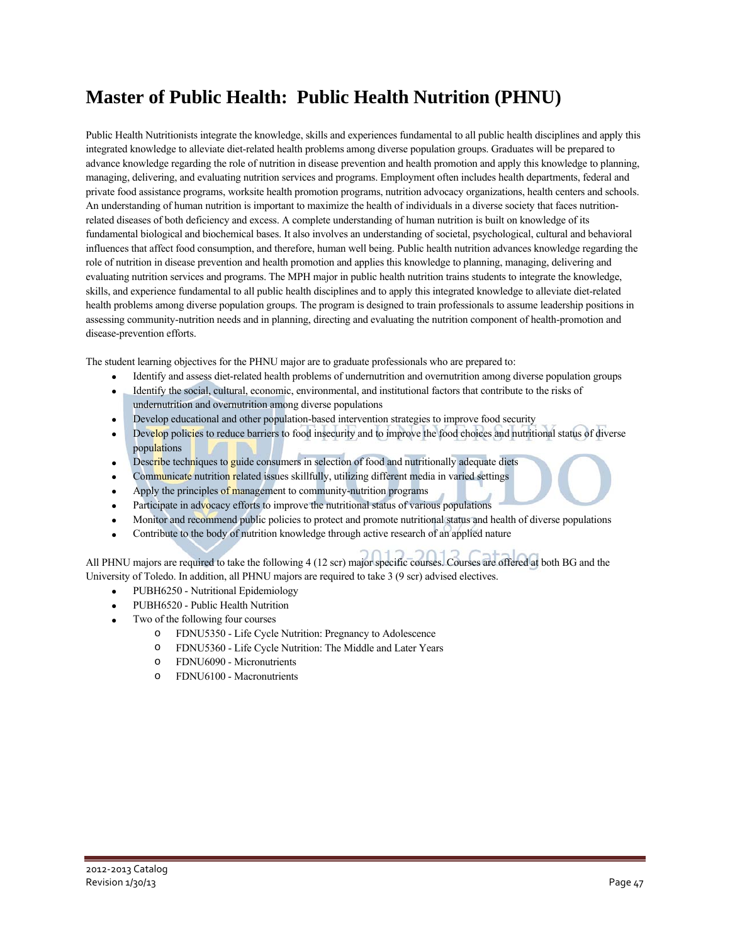## **Master of Public Health: Public Health Nutrition (PHNU)**

Public Health Nutritionists integrate the knowledge, skills and experiences fundamental to all public health disciplines and apply this integrated knowledge to alleviate diet-related health problems among diverse population groups. Graduates will be prepared to advance knowledge regarding the role of nutrition in disease prevention and health promotion and apply this knowledge to planning, managing, delivering, and evaluating nutrition services and programs. Employment often includes health departments, federal and private food assistance programs, worksite health promotion programs, nutrition advocacy organizations, health centers and schools. An understanding of human nutrition is important to maximize the health of individuals in a diverse society that faces nutritionrelated diseases of both deficiency and excess. A complete understanding of human nutrition is built on knowledge of its fundamental biological and biochemical bases. It also involves an understanding of societal, psychological, cultural and behavioral influences that affect food consumption, and therefore, human well being. Public health nutrition advances knowledge regarding the role of nutrition in disease prevention and health promotion and applies this knowledge to planning, managing, delivering and evaluating nutrition services and programs. The MPH major in public health nutrition trains students to integrate the knowledge, skills, and experience fundamental to all public health disciplines and to apply this integrated knowledge to alleviate diet-related health problems among diverse population groups. The program is designed to train professionals to assume leadership positions in assessing community-nutrition needs and in planning, directing and evaluating the nutrition component of health-promotion and disease-prevention efforts.

The student learning objectives for the PHNU major are to graduate professionals who are prepared to:

- Identify and assess diet-related health problems of undernutrition and overnutrition among diverse population groups
- Identify the social, cultural, economic, environmental, and institutional factors that contribute to the risks of undernutrition and overnutrition among diverse populations
- Develop educational and other population-based intervention strategies to improve food security
- Develop policies to reduce barriers to food insecurity and to improve the food choices and nutritional status of diverse populations
- Describe techniques to guide consumers in selection of food and nutritionally adequate diets
- Communicate nutrition related issues skillfully, utilizing different media in varied settings
- $\bullet$  Apply the principles of management to community-nutrition programs
- Participate in advocacy efforts to improve the nutritional status of various populations
- Monitor and recommend public policies to protect and promote nutritional status and health of diverse populations
- Contribute to the body of nutrition knowledge through active research of an applied nature

All PHNU majors are required to take the following 4 (12 scr) major specific courses. Courses are offered at both BG and the University of Toledo. In addition, all PHNU majors are required to take 3 (9 scr) advised electives.

- PUBH6250 Nutritional Epidemiology
- PUBH6520 Public Health Nutrition
- Two of the following four courses
	- o FDNU5350 Life Cycle Nutrition: Pregnancy to Adolescence
	- o FDNU5360 Life Cycle Nutrition: The Middle and Later Years
	- o FDNU6090 Micronutrients
	- o FDNU6100 Macronutrients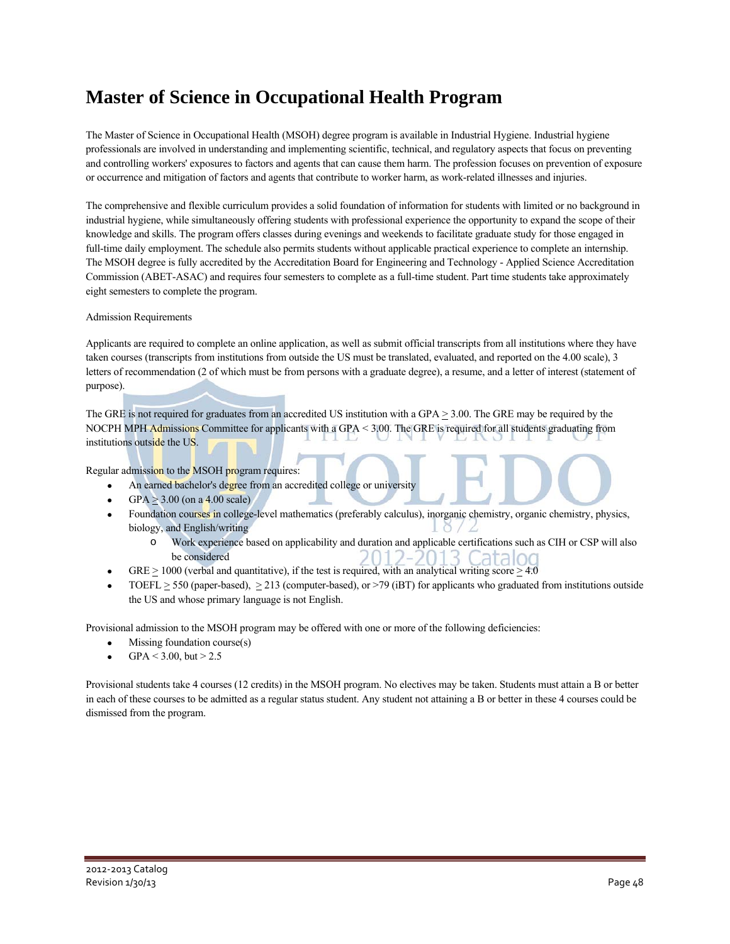## **Master of Science in Occupational Health Program**

The Master of Science in Occupational Health (MSOH) degree program is available in Industrial Hygiene. Industrial hygiene professionals are involved in understanding and implementing scientific, technical, and regulatory aspects that focus on preventing and controlling workers' exposures to factors and agents that can cause them harm. The profession focuses on prevention of exposure or occurrence and mitigation of factors and agents that contribute to worker harm, as work-related illnesses and injuries.

The comprehensive and flexible curriculum provides a solid foundation of information for students with limited or no background in industrial hygiene, while simultaneously offering students with professional experience the opportunity to expand the scope of their knowledge and skills. The program offers classes during evenings and weekends to facilitate graduate study for those engaged in full-time daily employment. The schedule also permits students without applicable practical experience to complete an internship. The MSOH degree is fully accredited by the Accreditation Board for Engineering and Technology - Applied Science Accreditation Commission (ABET-ASAC) and requires four semesters to complete as a full-time student. Part time students take approximately eight semesters to complete the program.

### Admission Requirements

Applicants are required to complete an online application, as well as submit official transcripts from all institutions where they have taken courses (transcripts from institutions from outside the US must be translated, evaluated, and reported on the 4.00 scale), 3 letters of recommendation (2 of which must be from persons with a graduate degree), a resume, and a letter of interest (statement of purpose).

The GRE is not required for graduates from an accredited US institution with a GPA  $\geq$  3.00. The GRE may be required by the NOCPH MPH Admissions Committee for applicants with a GPA < 3.00. The GRE is required for all students graduating from institutions outside the US.

Regular admission to the MSOH program requires:

- An earned bachelor's degree from an accredited college or university
- $GPA > 3.00$  (on a 4.00 scale)
- Foundation courses in college-level mathematics (preferably calculus), inorganic chemistry, organic chemistry, physics, biology, and English/writing
	- o Work experience based on applicability and duration and applicable certifications such as CIH or CSP will also be considered
- GRE  $\geq$  1000 (verbal and quantitative), if the test is required, with an analytical writing score  $\geq$  4.0
- TOEFL  $\geq$  550 (paper-based),  $\geq$  213 (computer-based), or >79 (iBT) for applicants who graduated from institutions outside the US and whose primary language is not English.

Provisional admission to the MSOH program may be offered with one or more of the following deficiencies:

- Missing foundation course(s)
- $GPA < 3.00$ , but  $> 2.5$

Provisional students take 4 courses (12 credits) in the MSOH program. No electives may be taken. Students must attain a B or better in each of these courses to be admitted as a regular status student. Any student not attaining a B or better in these 4 courses could be dismissed from the program.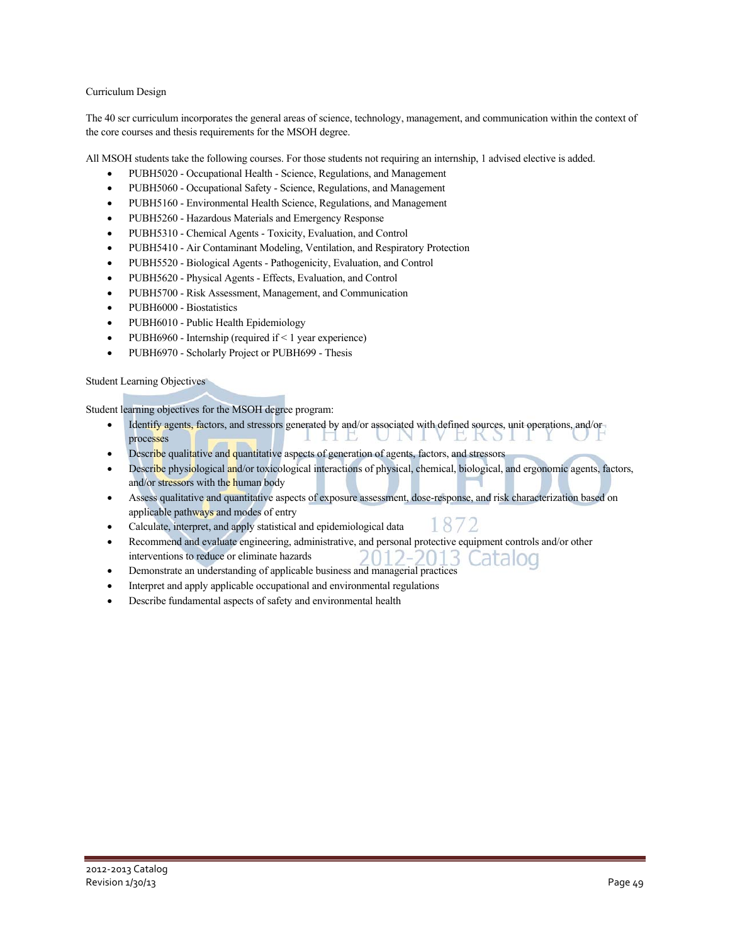### Curriculum Design

The 40 scr curriculum incorporates the general areas of science, technology, management, and communication within the context of the core courses and thesis requirements for the MSOH degree.

All MSOH students take the following courses. For those students not requiring an internship, 1 advised elective is added.

- PUBH5020 Occupational Health Science, Regulations, and Management
- PUBH5060 Occupational Safety Science, Regulations, and Management
- PUBH5160 Environmental Health Science, Regulations, and Management
- PUBH5260 Hazardous Materials and Emergency Response
- PUBH5310 Chemical Agents Toxicity, Evaluation, and Control
- PUBH5410 Air Contaminant Modeling, Ventilation, and Respiratory Protection
- PUBH5520 Biological Agents Pathogenicity, Evaluation, and Control
- PUBH5620 Physical Agents Effects, Evaluation, and Control
- PUBH5700 Risk Assessment, Management, and Communication
- PUBH6000 Biostatistics
- PUBH6010 Public Health Epidemiology
- PUBH6960 Internship (required if  $\leq 1$  year experience)
- PUBH6970 Scholarly Project or PUBH699 Thesis

Student Learning Objectives

Student learning objectives for the MSOH degree program:

- Identify agents, factors, and stressors generated by and/or associated with defined sources, unit operations, and/or processes m B **ERSI**
- Describe qualitative and quantitative aspects of generation of agents, factors, and stressors
- Describe physiological and/or toxicological interactions of physical, chemical, biological, and ergonomic agents, factors, and/or stressors with the human body
- Assess qualitative and quantitative aspects of exposure assessment, dose-response, and risk characterization based on applicable pathways and modes of entry 872
- Calculate, interpret, and apply statistical and epidemiological data
- Recommend and evaluate engineering, administrative, and personal protective equipment controls and/or other interventions to reduce or eliminate hazards latalog
- Demonstrate an understanding of applicable business and managerial practices
- Interpret and apply applicable occupational and environmental regulations
- Describe fundamental aspects of safety and environmental health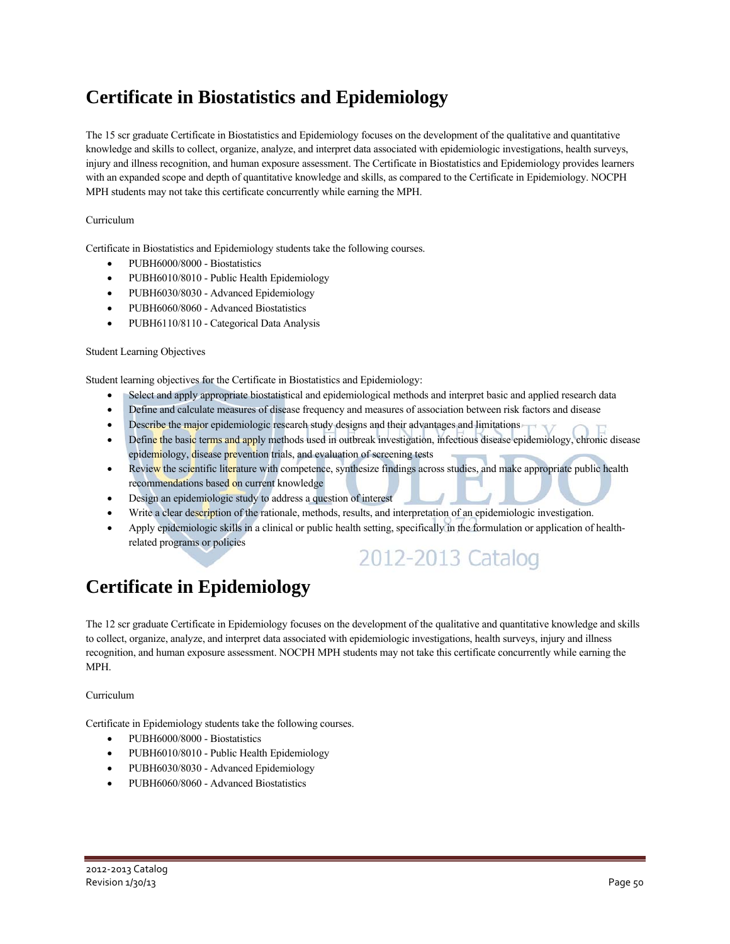## **Certificate in Biostatistics and Epidemiology**

The 15 scr graduate Certificate in Biostatistics and Epidemiology focuses on the development of the qualitative and quantitative knowledge and skills to collect, organize, analyze, and interpret data associated with epidemiologic investigations, health surveys, injury and illness recognition, and human exposure assessment. The Certificate in Biostatistics and Epidemiology provides learners with an expanded scope and depth of quantitative knowledge and skills, as compared to the Certificate in Epidemiology. NOCPH MPH students may not take this certificate concurrently while earning the MPH.

### Curriculum

Certificate in Biostatistics and Epidemiology students take the following courses.

- PUBH6000/8000 Biostatistics
- PUBH6010/8010 Public Health Epidemiology
- PUBH6030/8030 Advanced Epidemiology
- PUBH6060/8060 Advanced Biostatistics
- PUBH6110/8110 Categorical Data Analysis

#### Student Learning Objectives

Student learning objectives for the Certificate in Biostatistics and Epidemiology:

- Select and apply appropriate biostatistical and epidemiological methods and interpret basic and applied research data
- Define and calculate measures of disease frequency and measures of association between risk factors and disease
- Describe the major epidemiologic research study designs and their advantages and limitations
- Define the basic terms and apply methods used in outbreak investigation, infectious disease epidemiology, chronic disease epidemiology, disease prevention trials, and evaluation of screening tests
- Review the scientific literature with competence, synthesize findings across studies, and make appropriate public health recommendations based on current knowledge
- Design an epidemiologic study to address a question of interest
- Write a clear description of the rationale, methods, results, and interpretation of an epidemiologic investigation.
- Apply epidemiologic skills in a clinical or public health setting, specifically in the formulation or application of healthrelated programs or policies

## 2012-2013 Catalog

## **Certificate in Epidemiology**

The 12 scr graduate Certificate in Epidemiology focuses on the development of the qualitative and quantitative knowledge and skills to collect, organize, analyze, and interpret data associated with epidemiologic investigations, health surveys, injury and illness recognition, and human exposure assessment. NOCPH MPH students may not take this certificate concurrently while earning the MPH.

#### Curriculum

Certificate in Epidemiology students take the following courses.

- PUBH6000/8000 Biostatistics
- PUBH6010/8010 Public Health Epidemiology
- PUBH6030/8030 Advanced Epidemiology
- PUBH6060/8060 Advanced Biostatistics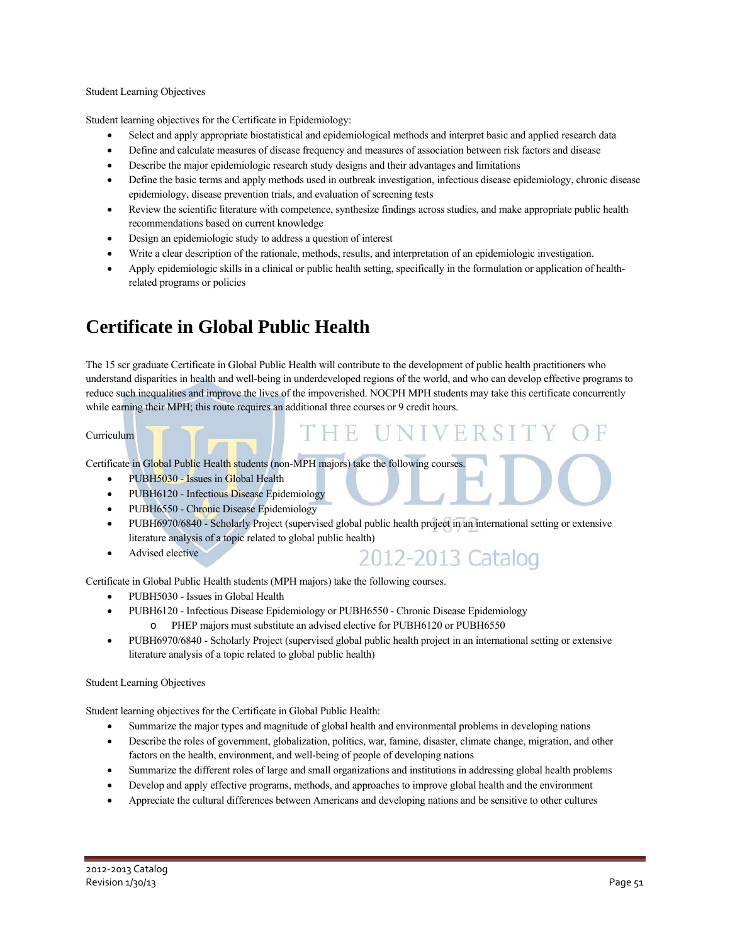#### Student Learning Objectives

Student learning objectives for the Certificate in Epidemiology:

- Select and apply appropriate biostatistical and epidemiological methods and interpret basic and applied research data
- Define and calculate measures of disease frequency and measures of association between risk factors and disease
- Describe the major epidemiologic research study designs and their advantages and limitations
- Define the basic terms and apply methods used in outbreak investigation, infectious disease epidemiology, chronic disease epidemiology, disease prevention trials, and evaluation of screening tests
- Review the scientific literature with competence, synthesize findings across studies, and make appropriate public health recommendations based on current knowledge
- Design an epidemiologic study to address a question of interest
- Write a clear description of the rationale, methods, results, and interpretation of an epidemiologic investigation.
- Apply epidemiologic skills in a clinical or public health setting, specifically in the formulation or application of healthrelated programs or policies

### **Certificate in Global Public Health**

The 15 scr graduate Certificate in Global Public Health will contribute to the development of public health practitioners who understand disparities in health and well-being in underdeveloped regions of the world, and who can develop effective programs to reduce such inequalities and improve the lives of the impoverished. NOCPH MPH students may take this certificate concurrently while earning their MPH; this route requires an additional three courses or 9 credit hours.

#### Curriculum

Certificate in Global Public Health students (non-MPH majors) take the following courses.

- PUBH5030 Issues in Global Health
- PUBH6120 Infectious Disease Epidemiology
- PUBH6550 Chronic Disease Epidemiology
- PUBH6970/6840 Scholarly Project (supervised global public health project in an international setting or extensive literature analysis of a topic related to global public health)
- Advised elective

2012-2013 Catalog

THE UNIVERSIT

Certificate in Global Public Health students (MPH majors) take the following courses.

- PUBH5030 Issues in Global Health
- PUBH6120 Infectious Disease Epidemiology or PUBH6550 Chronic Disease Epidemiology o PHEP majors must substitute an advised elective for PUBH6120 or PUBH6550
- PUBH6970/6840 Scholarly Project (supervised global public health project in an international setting or extensive literature analysis of a topic related to global public health)

#### Student Learning Objectives

Student learning objectives for the Certificate in Global Public Health:

- Summarize the major types and magnitude of global health and environmental problems in developing nations
- Describe the roles of government, globalization, politics, war, famine, disaster, climate change, migration, and other factors on the health, environment, and well-being of people of developing nations
- Summarize the different roles of large and small organizations and institutions in addressing global health problems
- Develop and apply effective programs, methods, and approaches to improve global health and the environment
- Appreciate the cultural differences between Americans and developing nations and be sensitive to other cultures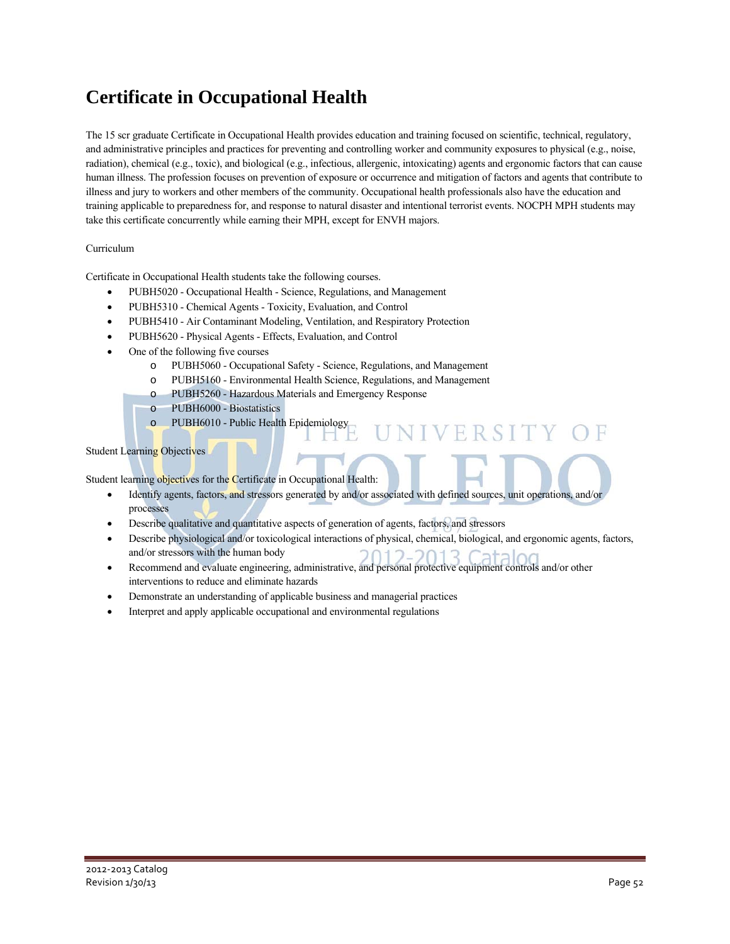## **Certificate in Occupational Health**

The 15 scr graduate Certificate in Occupational Health provides education and training focused on scientific, technical, regulatory, and administrative principles and practices for preventing and controlling worker and community exposures to physical (e.g., noise, radiation), chemical (e.g., toxic), and biological (e.g., infectious, allergenic, intoxicating) agents and ergonomic factors that can cause human illness. The profession focuses on prevention of exposure or occurrence and mitigation of factors and agents that contribute to illness and jury to workers and other members of the community. Occupational health professionals also have the education and training applicable to preparedness for, and response to natural disaster and intentional terrorist events. NOCPH MPH students may take this certificate concurrently while earning their MPH, except for ENVH majors.

### Curriculum

Certificate in Occupational Health students take the following courses.

- PUBH5020 Occupational Health Science, Regulations, and Management
- PUBH5310 Chemical Agents Toxicity, Evaluation, and Control
- PUBH5410 Air Contaminant Modeling, Ventilation, and Respiratory Protection
- PUBH5620 Physical Agents Effects, Evaluation, and Control
- One of the following five courses
	- o PUBH5060 Occupational Safety Science, Regulations, and Management
	- o PUBH5160 Environmental Health Science, Regulations, and Management
	- o PUBH5260 Hazardous Materials and Emergency Response
	- o PUBH6000 Biostatistics
	- o PUBH6010 Public Health Epidemiology

### Student Learning Objectives

Student learning objectives for the Certificate in Occupational Health:

- Identify agents, factors, and stressors generated by and/or associated with defined sources, unit operations, and/or processes
- Describe qualitative and quantitative aspects of generation of agents, factors, and stressors
- Describe physiological and/or toxicological interactions of physical, chemical, biological, and ergonomic agents, factors, and/or stressors with the human body

VIVERSITY

- Recommend and evaluate engineering, administrative, and personal protective equipment controls and/or other interventions to reduce and eliminate hazards
- Demonstrate an understanding of applicable business and managerial practices
- Interpret and apply applicable occupational and environmental regulations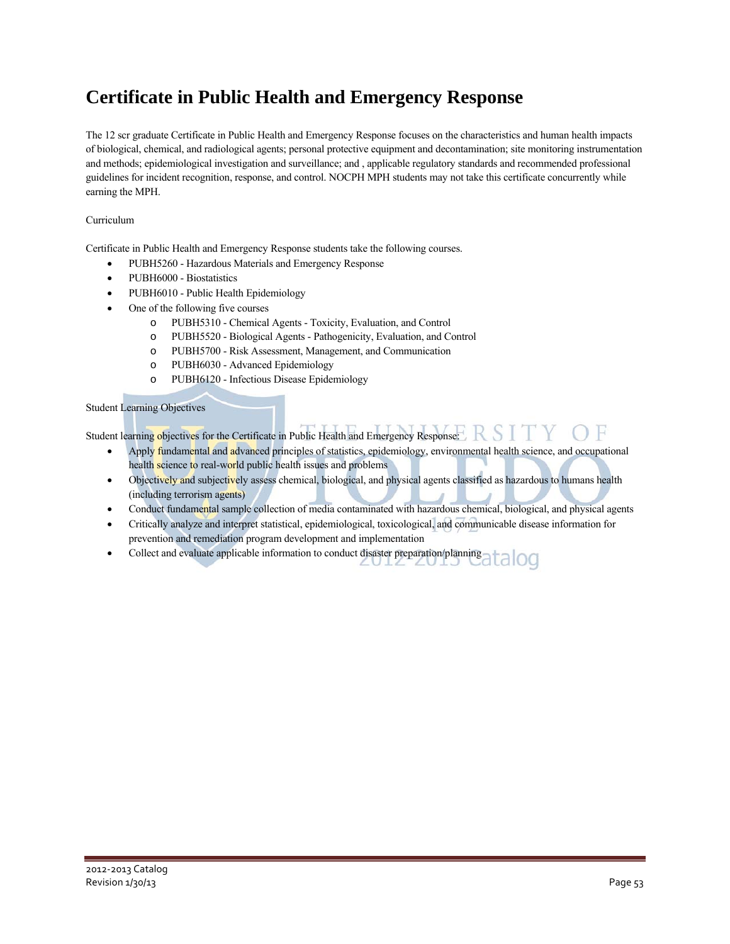## **Certificate in Public Health and Emergency Response**

The 12 scr graduate Certificate in Public Health and Emergency Response focuses on the characteristics and human health impacts of biological, chemical, and radiological agents; personal protective equipment and decontamination; site monitoring instrumentation and methods; epidemiological investigation and surveillance; and , applicable regulatory standards and recommended professional guidelines for incident recognition, response, and control. NOCPH MPH students may not take this certificate concurrently while earning the MPH.

### Curriculum

Certificate in Public Health and Emergency Response students take the following courses.

- PUBH5260 Hazardous Materials and Emergency Response
- PUBH6000 Biostatistics
- PUBH6010 Public Health Epidemiology
- One of the following five courses
	- o PUBH5310 Chemical Agents Toxicity, Evaluation, and Control
	- o PUBH5520 Biological Agents Pathogenicity, Evaluation, and Control
	- o PUBH5700 Risk Assessment, Management, and Communication
	- o PUBH6030 Advanced Epidemiology
	- o PUBH6120 Infectious Disease Epidemiology

#### Student Learning Objectives

Student learning objectives for the Certificate in Public Health and Emergency Response:

- Apply fundamental and advanced principles of statistics, epidemiology, environmental health science, and occupational health science to real-world public health issues and problems
- Objectively and subjectively assess chemical, biological, and physical agents classified as hazardous to humans health (including terrorism agents)
- Conduct fundamental sample collection of media contaminated with hazardous chemical, biological, and physical agents
- Critically analyze and interpret statistical, epidemiological, toxicological, and communicable disease information for prevention and remediation program development and implementation
- Collect and evaluate applicable information to conduct disaster preparation/planning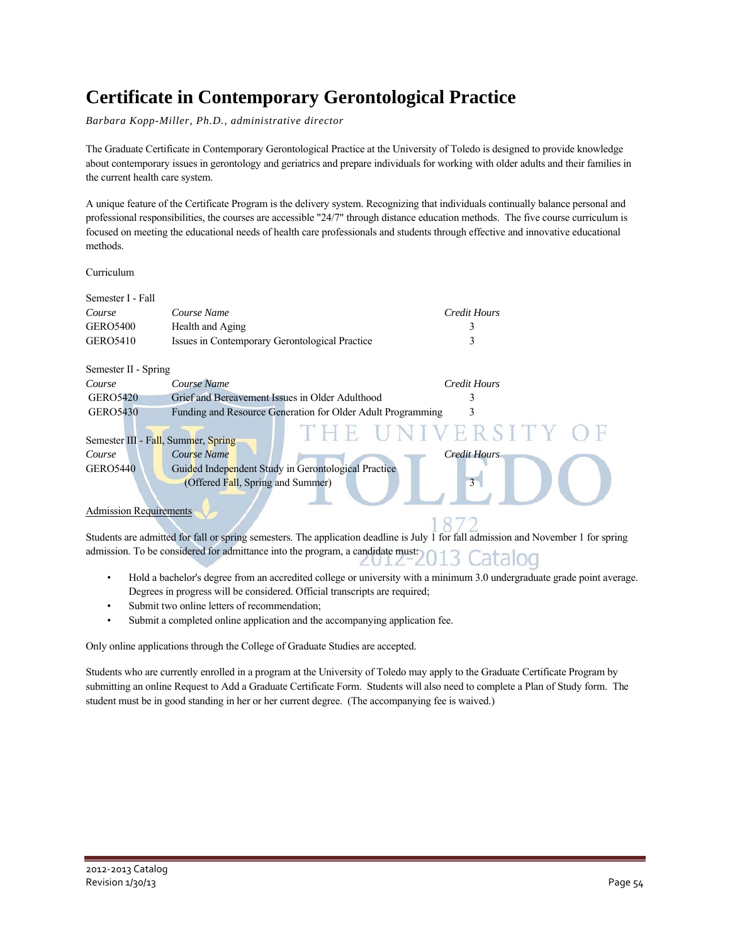## **Certificate in Contemporary Gerontological Practice**

*Barbara Kopp-Miller, Ph.D., administrative director* 

The Graduate Certificate in Contemporary Gerontological Practice at the University of Toledo is designed to provide knowledge about contemporary issues in gerontology and geriatrics and prepare individuals for working with older adults and their families in the current health care system.

A unique feature of the Certificate Program is the delivery system. Recognizing that individuals continually balance personal and professional responsibilities, the courses are accessible "24/7" through distance education methods. The five course curriculum is focused on meeting the educational needs of health care professionals and students through effective and innovative educational methods.

Curriculum

| Semester I - Fall                   |                                                             |                          |  |  |
|-------------------------------------|-------------------------------------------------------------|--------------------------|--|--|
| Course                              | Course Name                                                 | Credit Hours             |  |  |
| <b>GERO5400</b>                     | Health and Aging                                            | 3                        |  |  |
| <b>GERO5410</b>                     | Issues in Contemporary Gerontological Practice              |                          |  |  |
| Semester II - Spring                |                                                             |                          |  |  |
| Course                              | Course Name                                                 | Credit Hours             |  |  |
| <b>GERO5420</b>                     | Grief and Bereavement Issues in Older Adulthood             |                          |  |  |
| <b>GERO5430</b>                     | Funding and Resource Generation for Older Adult Programming | к                        |  |  |
| Semester III - Fall, Summer, Spring |                                                             | THE UNIVERSITY OF        |  |  |
| Course                              | Course Name                                                 | <b>Credit Hours</b>      |  |  |
| <b>GERO5440</b>                     | Guided Independent Study in Gerontological Practice         |                          |  |  |
|                                     | (Offered Fall, Spring and Summer)                           | $\overline{\mathcal{E}}$ |  |  |
|                                     |                                                             |                          |  |  |
| <b>Admission Requirements</b>       |                                                             |                          |  |  |
|                                     |                                                             |                          |  |  |

Students are admitted for fall or spring semesters. The application deadline is July 1 for fall admission and November 1 for spring admission. To be considered for admittance into the program, a candidate must:  $\overline{O}$ 

- Hold a bachelor's degree from an accredited college or university with a minimum 3.0 undergraduate grade point average. Degrees in progress will be considered. Official transcripts are required;
- Submit two online letters of recommendation;
- Submit a completed online application and the accompanying application fee.

Only online applications through the College of Graduate Studies are accepted.

Students who are currently enrolled in a program at the University of Toledo may apply to the Graduate Certificate Program by submitting an online Request to Add a Graduate Certificate Form. Students will also need to complete a Plan of Study form. The student must be in good standing in her or her current degree. (The accompanying fee is waived.)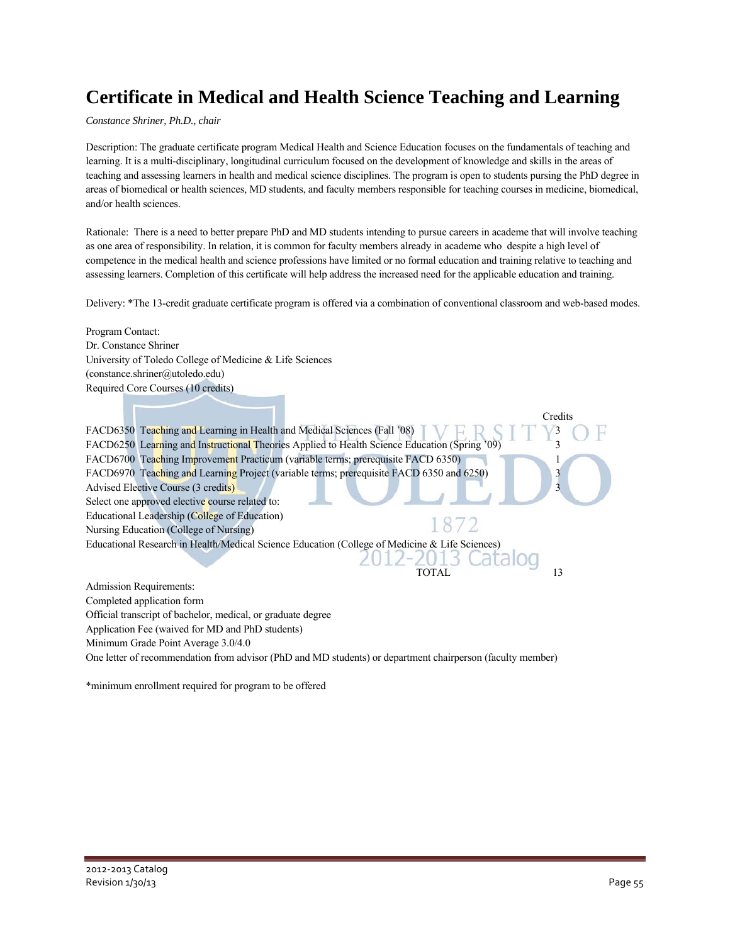## **Certificate in Medical and Health Science Teaching and Learning**

*Constance Shriner, Ph.D., chair* 

Description: The graduate certificate program Medical Health and Science Education focuses on the fundamentals of teaching and learning. It is a multi-disciplinary, longitudinal curriculum focused on the development of knowledge and skills in the areas of teaching and assessing learners in health and medical science disciplines. The program is open to students pursing the PhD degree in areas of biomedical or health sciences, MD students, and faculty members responsible for teaching courses in medicine, biomedical, and/or health sciences.

Rationale: There is a need to better prepare PhD and MD students intending to pursue careers in academe that will involve teaching as one area of responsibility. In relation, it is common for faculty members already in academe who despite a high level of competence in the medical health and science professions have limited or no formal education and training relative to teaching and assessing learners. Completion of this certificate will help address the increased need for the applicable education and training.

Delivery: \*The 13-credit graduate certificate program is offered via a combination of conventional classroom and web-based modes.

Program Contact: Dr. Constance Shriner University of Toledo College of Medicine & Life Sciences (constance.shriner@utoledo.edu) Required Core Courses (10 credits) Credits FACD6350 Teaching and Learning in Health and Medical Sciences (Fall '08)  $\Box$   $\Box$   $\Box$   $\Box$   $\Box$   $\Box$   $\Box$  3 FACD6250 Learning and Instructional Theories Applied to Health Science Education (Spring '09) 3 FACD6700 Teaching Improvement Practicum (variable terms; prerequisite FACD 6350) FACD6970 Teaching and Learning Project (variable terms; prerequisite FACD 6350 and 6250) 3 Advised Elective Course (3 credits) Select one approved elective course related to: Educational Leadership (College of Education) Nursing Education (College of Nursing) Educational Research in Health/Medical Science Education (College of Medicine & Life Sciences) j TOTAL 13 Admission Requirements: Completed application form Official transcript of bachelor, medical, or graduate degree Application Fee (waived for MD and PhD students) Minimum Grade Point Average 3.0/4.0 One letter of recommendation from advisor (PhD and MD students) or department chairperson (faculty member)

\*minimum enrollment required for program to be offered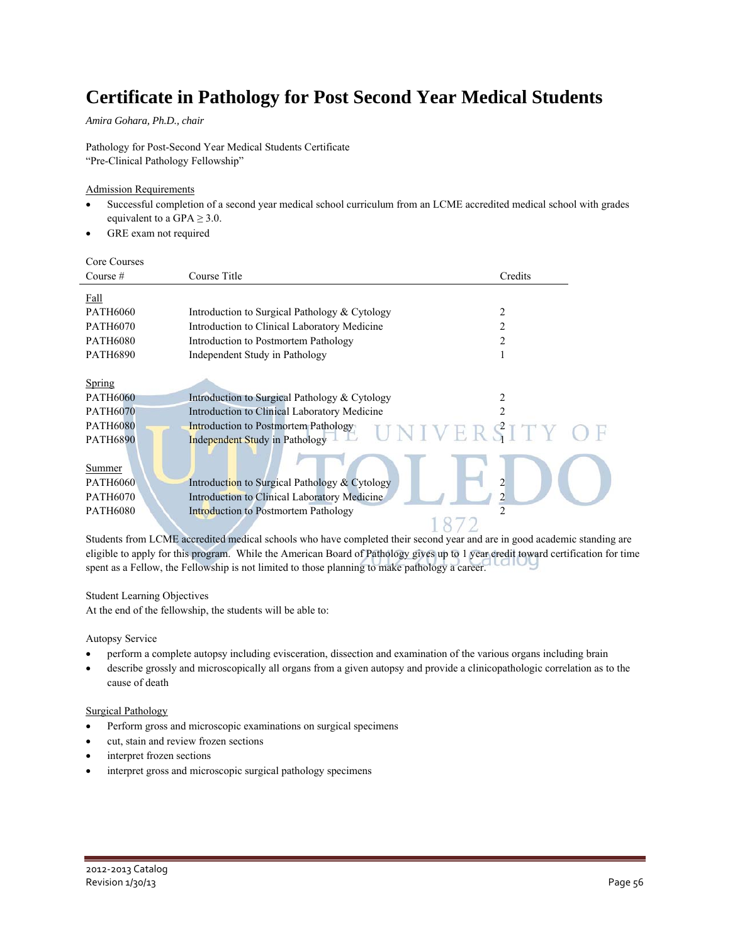## **Certificate in Pathology for Post Second Year Medical Students**

*Amira Gohara, Ph.D., chair* 

Pathology for Post-Second Year Medical Students Certificate "Pre-Clinical Pathology Fellowship"

### Admission Requirements

- Successful completion of a second year medical school curriculum from an LCME accredited medical school with grades equivalent to a GPA  $\geq$  3.0.
- GRE exam not required

Core Courses

| Course $#$      | Course Title                                  | Credits    |
|-----------------|-----------------------------------------------|------------|
| Fall            |                                               |            |
| <b>PATH6060</b> | Introduction to Surgical Pathology & Cytology | 2          |
| <b>PATH6070</b> | Introduction to Clinical Laboratory Medicine  |            |
| <b>PATH6080</b> | Introduction to Postmortem Pathology          | 2          |
| <b>PATH6890</b> | Independent Study in Pathology                |            |
|                 |                                               |            |
| Spring          |                                               |            |
| <b>PATH6060</b> | Introduction to Surgical Pathology & Cytology |            |
| <b>PATH6070</b> | Introduction to Clinical Laboratory Medicine  |            |
| <b>PATH6080</b> | Introduction to Postmortem Pathology          | UNIVERSITY |
| <b>PATH6890</b> | <b>Independent Study in Pathology</b>         |            |
|                 |                                               |            |
| Summer          |                                               |            |
| <b>PATH6060</b> | Introduction to Surgical Pathology & Cytology |            |
| <b>PATH6070</b> | Introduction to Clinical Laboratory Medicine  |            |
| <b>PATH6080</b> | Introduction to Postmortem Pathology          | 2          |
|                 |                                               |            |

Students from LCME accredited medical schools who have completed their second year and are in good academic standing are eligible to apply for this program. While the American Board of Pathology gives up to 1 year credit toward certification for time spent as a Fellow, the Fellowship is not limited to those planning to make pathology a career.

#### Student Learning Objectives

At the end of the fellowship, the students will be able to:

#### Autopsy Service

- perform a complete autopsy including evisceration, dissection and examination of the various organs including brain
- describe grossly and microscopically all organs from a given autopsy and provide a clinicopathologic correlation as to the cause of death

#### Surgical Pathology

- Perform gross and microscopic examinations on surgical specimens
- cut, stain and review frozen sections
- interpret frozen sections
- interpret gross and microscopic surgical pathology specimens